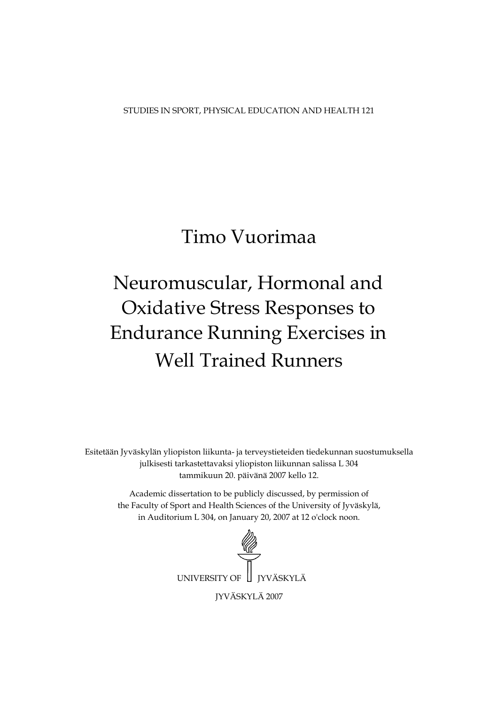STUDIES IN SPORT, PHYSICAL EDUCATION AND HEALTH 121

# Timo Vuorimaa

# Neuromuscular, Hormonal and **Oxidative Stress Responses to Endurance Running Exercises in Well Trained Runners**

Esitetään Jyväskylän yliopiston liikunta- ja terveystieteiden tiedekunnan suostumuksella julkisesti tarkastettavaksi yliopiston liikunnan salissa L 304 tammikuun 20. päivänä 2007 kello 12.

Academic dissertation to be publicly discussed, by permission of the Faculty of Sport and Health Sciences of the University of Jyväskylä, in Auditorium L 304, on January 20, 2007 at 12 o'clock noon.

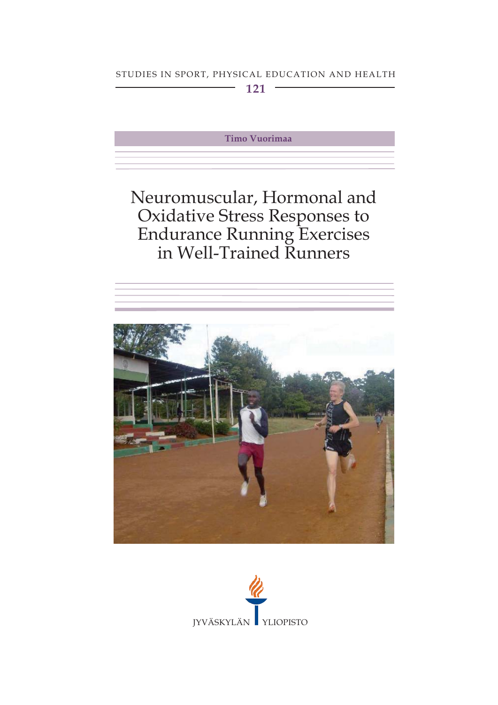# STUDIES IN SPORT, PHYSICAL EDUCATION AND HEALTH

 $121 -$ 

Timo Vuorimaa

# Neuromuscular, Hormonal and Oxidative Stress Responses to<br>Endurance Running Exercises<br>in Well-Trained Runners



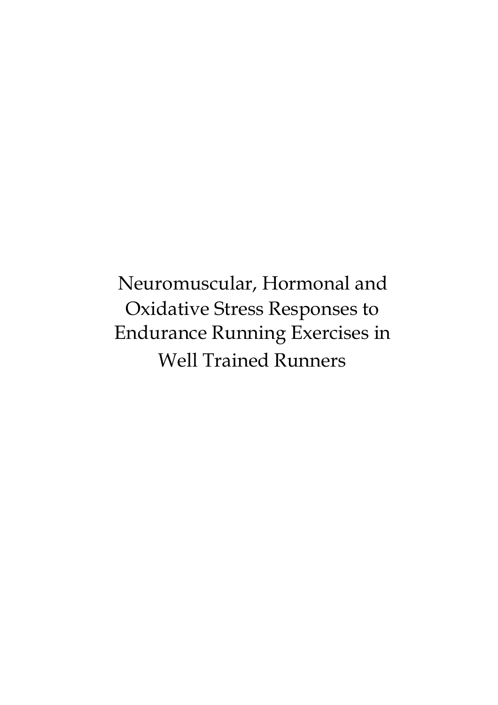Neuromuscular, Hormonal and Oxidative Stress Responses to **Endurance Running Exercises in Well Trained Runners**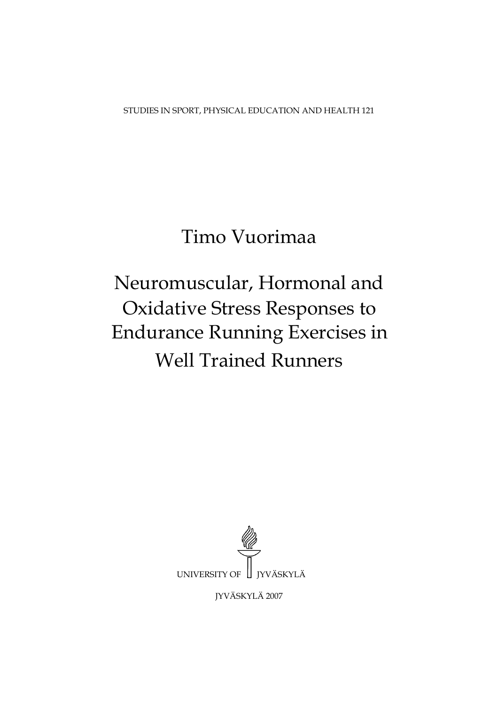STUDIES IN SPORT, PHYSICAL EDUCATION AND HEALTH 121

# Timo Vuorimaa

# Neuromuscular, Hormonal and **Oxidative Stress Responses to Endurance Running Exercises in Well Trained Runners**



**JYVÄSKYLÄ 2007**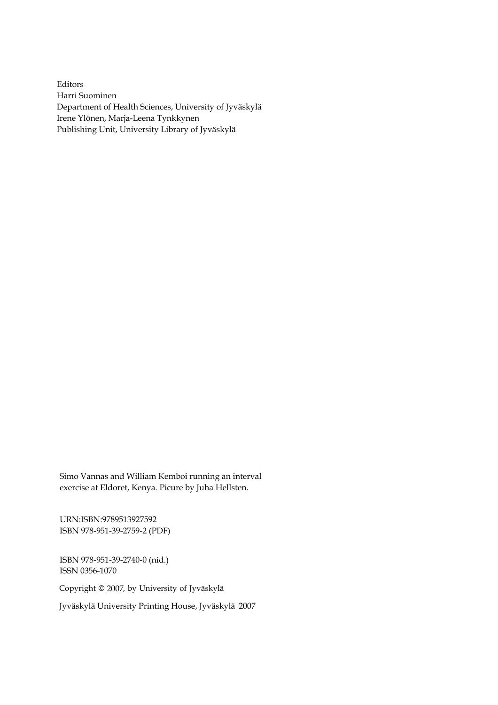Editors Harri Suominen Department of Health Sciences, University of Jyväskylä Irene Ylönen, Marja-Leena Tynkkynen Publishing Unit, University Library of Jyväskylä

Simo Vannas and William Kemboi running an interval<br>exercise at Eldoret, Kenya. Picure by Juha Hellsten.<br>URN:ISBN:9789513927592<br>ISBN 978-951-39-2759-2 (PDF)<br>ISBN 978-951-39-2740-0 (nid.)<br>ISSN 0356-1070<br>Copyright © 2007, by

URN:ISBN:9789513927592 ISBN 978-951-39-2759-2 (PDF)

ISBN 978-951-39-2740-0 (nid.) ISSN 0356-1070

Copyright © 2007, by University of Jyväskylä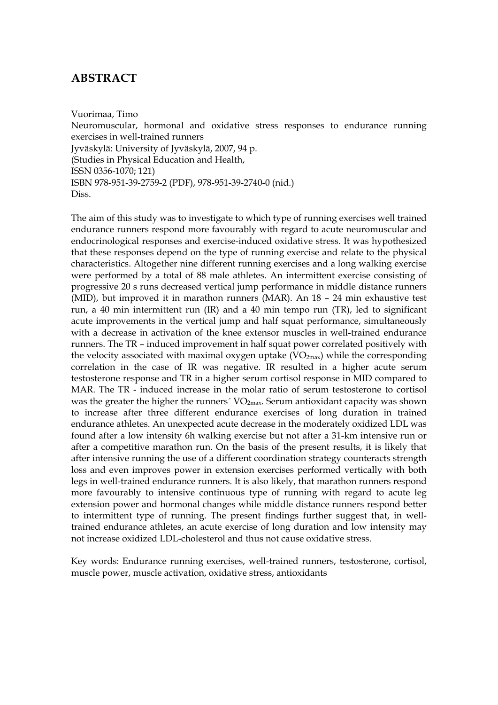# **ABSTRACT**

Vuorimaa, Timo Neuromuscular, hormonal and oxidative stress responses to endurance running exercises in well-trained runners Jyväskylä: University of Jyväskylä, 2007, 94 p. (Studies in Physical Education and Health, ISSN 0356-1070; 121) ISBN 978-951-39-2759-2 (PDF), 978-951-39-2740-0 (nid.) Diss.

The aim of this study was to investigate to which type of running exercises well trained endurance runners respond more favourably with regard to acute neuromuscular and endocrinological responses and exercise-induced oxidative stress. It was hypothesized that these responses depend on the type of running exercise and relate to the physical characteristics. Altogether nine different running exercises and a long walking exercise were performed by a total of 88 male athletes. An intermittent exercise consisting of progressive 20 s runs decreased vertical jump performance in middle distance runners (MID), but improved it in marathon runners (MAR). An 18 – 24 min exhaustive test run, a 40 min intermittent run (IR) and a 40 min tempo run (TR), led to significant acute improvements in the vertical jump and half squat performance, simultaneously with a decrease in activation of the knee extensor muscles in well-trained endurance runners. The TR – induced improvement in half squat power correlated positively with the velocity associated with maximal oxygen uptake  $(VO_{2max})$  while the corresponding correlation in the case of IR was negative. IR resulted in a higher acute serum testosterone response and TR in a higher serum cortisol response in MID compared to MAR. The TR - induced increase in the molar ratio of serum testosterone to cortisol was the greater the higher the runners<sup> $\gamma$ </sup> VO<sub>2max</sub>. Serum antioxidant capacity was shown to increase after three different endurance exercises of long duration in trained endurance athletes. An unexpected acute decrease in the moderately oxidized LDL was found after a low intensity 6h walking exercise but not after a 31-km intensive run or after a competitive marathon run. On the basis of the present results, it is likely that after intensive running the use of a different coordination strategy counteracts strength loss and even improves power in extension exercises performed vertically with both legs in well-trained endurance runners. It is also likely, that marathon runners respond more favourably to intensive continuous type of running with regard to acute leg extension power and hormonal changes while middle distance runners respond better to intermittent type of running. The present findings further suggest that, in welltrained endurance athletes, an acute exercise of long duration and low intensity may not increase oxidized LDL-cholesterol and thus not cause oxidative stress.

Key words: Endurance running exercises, well-trained runners, testosterone, cortisol, muscle power, muscle activation, oxidative stress, antioxidants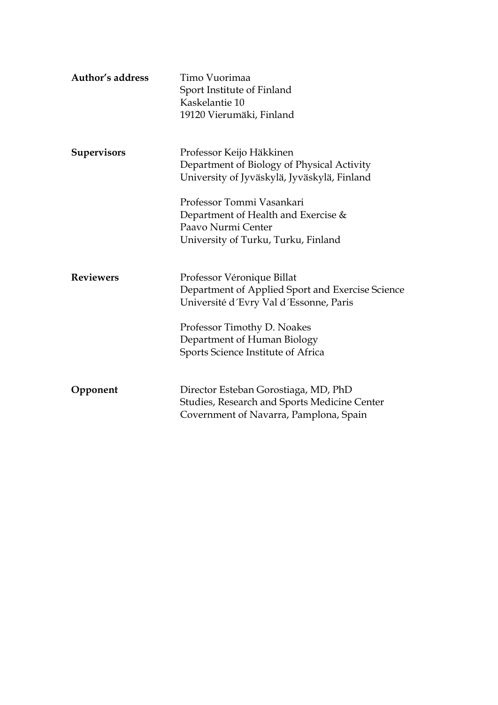| Author's address   | Timo Vuorimaa<br>Sport Institute of Finland<br>Kaskelantie 10<br>19120 Vierumäki, Finland                                                                                                                                    |
|--------------------|------------------------------------------------------------------------------------------------------------------------------------------------------------------------------------------------------------------------------|
| <b>Supervisors</b> | Professor Keijo Häkkinen<br>Department of Biology of Physical Activity<br>University of Jyväskylä, Jyväskylä, Finland                                                                                                        |
|                    | Professor Tommi Vasankari<br>Department of Health and Exercise &<br>Paavo Nurmi Center<br>University of Turku, Turku, Finland                                                                                                |
| <b>Reviewers</b>   | Professor Véronique Billat<br>Department of Applied Sport and Exercise Science<br>Université d'Evry Val d'Essonne, Paris<br>Professor Timothy D. Noakes<br>Department of Human Biology<br>Sports Science Institute of Africa |
| Opponent           | Director Esteban Gorostiaga, MD, PhD<br>Studies, Research and Sports Medicine Center<br>Covernment of Navarra, Pamplona, Spain                                                                                               |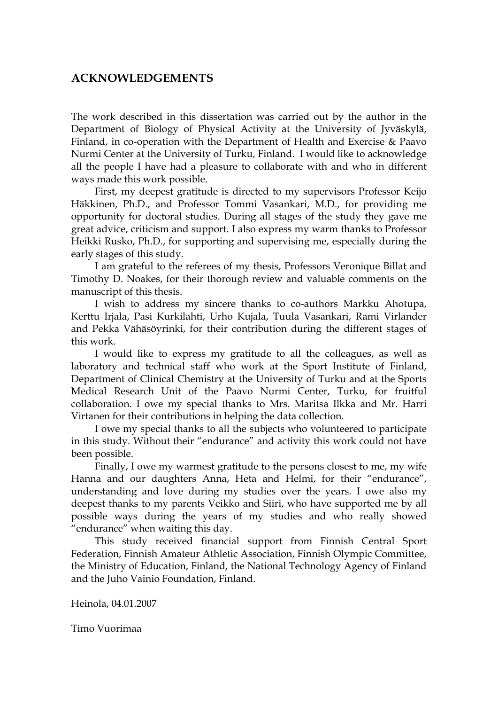## **ACKNOWLEDGEMENTS**

The work described in this dissertation was carried out by the author in the Department of Biology of Physical Activity at the University of Jyväskylä, Finland, in co-operation with the Department of Health and Exercise & Paavo Nurmi Center at the University of Turku, Finland. I would like to acknowledge all the people I have had a pleasure to collaborate with and who in different ways made this work possible.

First, my deepest gratitude is directed to my supervisors Professor Keijo Häkkinen, Ph.D., and Professor Tommi Vasankari, M.D., for providing me opportunity for doctoral studies. During all stages of the study they gave me great advice, criticism and support. I also express my warm thanks to Professor Heikki Rusko, Ph.D., for supporting and supervising me, especially during the early stages of this study.

I am grateful to the referees of my thesis, Professors Veronique Billat and Timothy D. Noakes, for their thorough review and valuable comments on the manuscript of this thesis.

I wish to address my sincere thanks to co-authors Markku Ahotupa, Kerttu Irjala, Pasi Kurkilahti, Urho Kujala, Tuula Vasankari, Rami Virlander and Pekka Vähäsöyrinki, for their contribution during the different stages of this work.

I would like to express my gratitude to all the colleagues, as well as laboratory and technical staff who work at the Sport Institute of Finland, Department of Clinical Chemistry at the University of Turku and at the Sports Medical Research Unit of the Paavo Nurmi Center, Turku, for fruitful collaboration. I owe my special thanks to Mrs. Maritsa Ilkka and Mr. Harri Virtanen for their contributions in helping the data collection.

I owe my special thanks to all the subjects who volunteered to participate in this study. Without their "endurance" and activity this work could not have been possible.

Finally, I owe my warmest gratitude to the persons closest to me, my wife Hanna and our daughters Anna, Heta and Helmi, for their "endurance", understanding and love during my studies over the years. I owe also my deepest thanks to my parents Veikko and Siiri, who have supported me by all possible ways during the years of my studies and who really showed "endurance" when waiting this day.

This study received financial support from Finnish Central Sport Federation, Finnish Amateur Athletic Association, Finnish Olympic Committee, the Ministry of Education, Finland, the National Technology Agency of Finland and the Juho Vainio Foundation, Finland.

Heinola, 04.01.2007

Timo Vuorimaa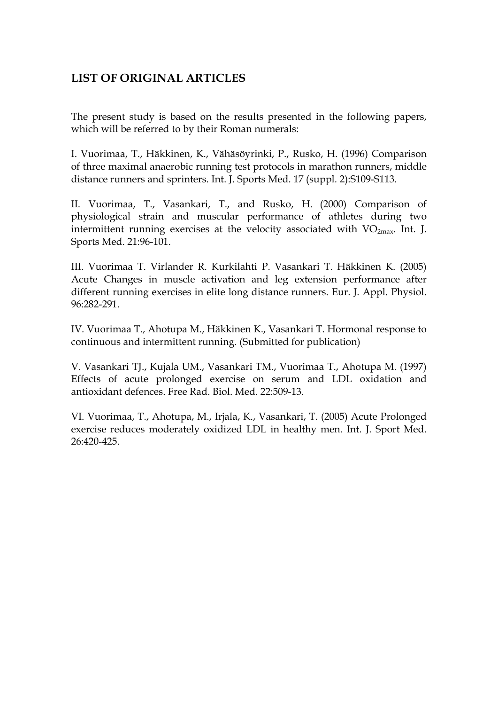# **LIST OF ORIGINAL ARTICLES**

The present study is based on the results presented in the following papers, which will be referred to by their Roman numerals:

I. Vuorimaa, T., Häkkinen, K., Vähäsöyrinki, P., Rusko, H. (1996) Comparison of three maximal anaerobic running test protocols in marathon runners, middle distance runners and sprinters. Int. J. Sports Med. 17 (suppl. 2):S109-S113.

II. Vuorimaa, T., Vasankari, T., and Rusko, H. (2000) Comparison of physiological strain and muscular performance of athletes during two intermittent running exercises at the velocity associated with  $VO<sub>2max</sub>$ . Int. J. Sports Med. 21:96-101.

III. Vuorimaa T. Virlander R. Kurkilahti P. Vasankari T. Häkkinen K. (2005) Acute Changes in muscle activation and leg extension performance after different running exercises in elite long distance runners. Eur. J. Appl. Physiol. 96:282-291.

IV. Vuorimaa T., Ahotupa M., Häkkinen K., Vasankari T. Hormonal response to continuous and intermittent running. (Submitted for publication)

V. Vasankari TJ., Kujala UM., Vasankari TM., Vuorimaa T., Ahotupa M. (1997) Effects of acute prolonged exercise on serum and LDL oxidation and antioxidant defences. Free Rad. Biol. Med. 22:509-13.

VI. Vuorimaa, T., Ahotupa, M., Irjala, K., Vasankari, T. (2005) Acute Prolonged exercise reduces moderately oxidized LDL in healthy men. Int. J. Sport Med. 26:420-425.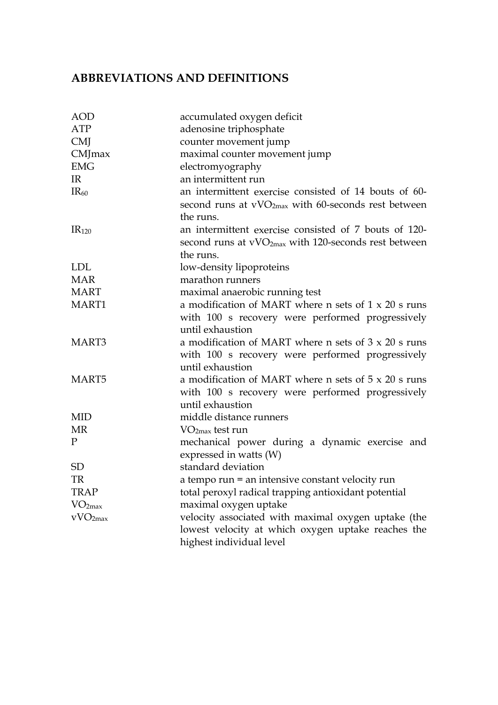# **ABBREVIATIONS AND DEFINITIONS**

| <b>AOD</b>          | accumulated oxygen deficit                                                                                                             |  |  |  |  |  |
|---------------------|----------------------------------------------------------------------------------------------------------------------------------------|--|--|--|--|--|
| ATP                 | adenosine triphosphate                                                                                                                 |  |  |  |  |  |
| <b>CMJ</b>          | counter movement jump                                                                                                                  |  |  |  |  |  |
| CMJmax              | maximal counter movement jump                                                                                                          |  |  |  |  |  |
| <b>EMG</b>          | electromyography                                                                                                                       |  |  |  |  |  |
| IR                  | an intermittent run                                                                                                                    |  |  |  |  |  |
| IR <sub>60</sub>    | an intermittent exercise consisted of 14 bouts of 60-<br>second runs at $vVO2max$ with 60-seconds rest between<br>the runs.            |  |  |  |  |  |
| IR <sub>120</sub>   | an intermittent exercise consisted of 7 bouts of 120-<br>second runs at vVO <sub>2max</sub> with 120-seconds rest between<br>the runs. |  |  |  |  |  |
| <b>LDL</b>          | low-density lipoproteins                                                                                                               |  |  |  |  |  |
| <b>MAR</b>          | marathon runners                                                                                                                       |  |  |  |  |  |
| <b>MART</b>         | maximal anaerobic running test                                                                                                         |  |  |  |  |  |
| MART1               | a modification of MART where n sets of $1 \times 20$ s runs<br>with 100 s recovery were performed progressively<br>until exhaustion    |  |  |  |  |  |
| MART3               | a modification of MART where n sets of $3 \times 20$ s runs<br>with 100 s recovery were performed progressively<br>until exhaustion    |  |  |  |  |  |
| MART <sub>5</sub>   | a modification of MART where n sets of $5 \times 20$ s runs<br>with 100 s recovery were performed progressively<br>until exhaustion    |  |  |  |  |  |
| <b>MID</b>          | middle distance runners                                                                                                                |  |  |  |  |  |
| <b>MR</b>           | $VO2max$ test run                                                                                                                      |  |  |  |  |  |
| $\mathbf{P}$        | mechanical power during a dynamic exercise and<br>expressed in watts (W)                                                               |  |  |  |  |  |
| <b>SD</b>           | standard deviation                                                                                                                     |  |  |  |  |  |
| TR                  | a tempo run = an intensive constant velocity run                                                                                       |  |  |  |  |  |
| <b>TRAP</b>         | total peroxyl radical trapping antioxidant potential                                                                                   |  |  |  |  |  |
| VO <sub>2max</sub>  | maximal oxygen uptake                                                                                                                  |  |  |  |  |  |
| vVO <sub>2max</sub> | velocity associated with maximal oxygen uptake (the<br>lowest velocity at which oxygen uptake reaches the                              |  |  |  |  |  |
|                     | highest individual level                                                                                                               |  |  |  |  |  |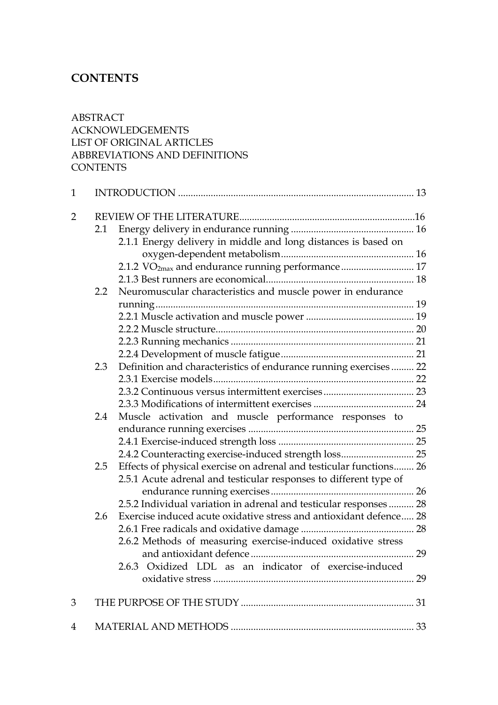# **CONTENTS**

## ABSTRACT ACKNOWLEDGEMENTS LIST OF ORIGINAL ARTICLES ABBREVIATIONS AND DEFINITIONS **CONTENTS**

| $\mathbf{1}$   |               |                                                                     |  |
|----------------|---------------|---------------------------------------------------------------------|--|
| $\overline{2}$ |               |                                                                     |  |
|                | 2.1           |                                                                     |  |
|                |               | 2.1.1 Energy delivery in middle and long distances is based on      |  |
|                |               |                                                                     |  |
|                |               | 2.1.2 VO <sub>2max</sub> and endurance running performance 17       |  |
|                |               |                                                                     |  |
|                | $2.2^{\circ}$ | Neuromuscular characteristics and muscle power in endurance         |  |
|                |               |                                                                     |  |
|                |               |                                                                     |  |
|                |               |                                                                     |  |
|                |               |                                                                     |  |
|                |               |                                                                     |  |
|                | 2.3           | Definition and characteristics of endurance running exercises 22    |  |
|                |               |                                                                     |  |
|                |               |                                                                     |  |
|                |               |                                                                     |  |
|                | 2.4           | Muscle activation and muscle performance responses to               |  |
|                |               |                                                                     |  |
|                |               |                                                                     |  |
|                |               | 2.4.2 Counteracting exercise-induced strength loss 25               |  |
|                | 2.5           | Effects of physical exercise on adrenal and testicular functions 26 |  |
|                |               | 2.5.1 Acute adrenal and testicular responses to different type of   |  |
|                |               |                                                                     |  |
|                |               | 2.5.2 Individual variation in adrenal and testicular responses 28   |  |
|                | 2.6           | Exercise induced acute oxidative stress and antioxidant defence 28  |  |
|                |               |                                                                     |  |
|                |               | 2.6.2 Methods of measuring exercise-induced oxidative stress        |  |
|                |               |                                                                     |  |
|                |               | 2.6.3 Oxidized LDL as an indicator of exercise-induced              |  |
|                |               |                                                                     |  |
|                |               |                                                                     |  |
| 3              |               |                                                                     |  |
| 4              |               |                                                                     |  |
|                |               |                                                                     |  |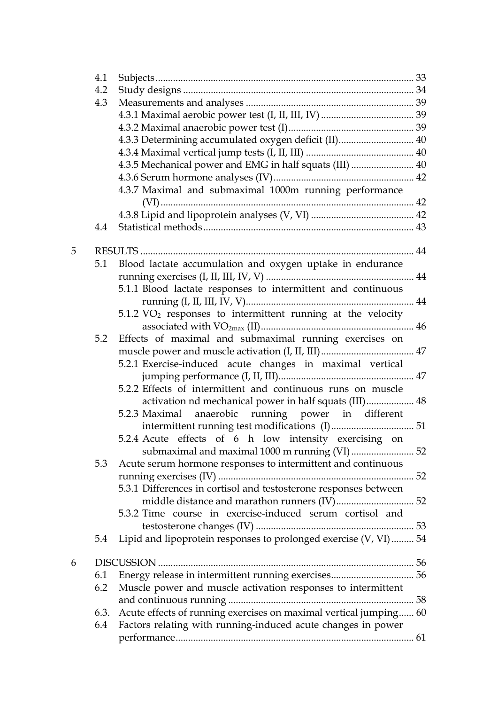|   | 4.1  |                                                                        |  |
|---|------|------------------------------------------------------------------------|--|
|   | 4.2  |                                                                        |  |
|   | 4.3  |                                                                        |  |
|   |      |                                                                        |  |
|   |      |                                                                        |  |
|   |      | 4.3.3 Determining accumulated oxygen deficit (II) 40                   |  |
|   |      |                                                                        |  |
|   |      | 4.3.5 Mechanical power and EMG in half squats (III)  40                |  |
|   |      |                                                                        |  |
|   |      | 4.3.7 Maximal and submaximal 1000m running performance                 |  |
|   |      |                                                                        |  |
|   |      |                                                                        |  |
|   | 4.4  |                                                                        |  |
| 5 |      |                                                                        |  |
|   |      | 5.1 Blood lactate accumulation and oxygen uptake in endurance          |  |
|   |      |                                                                        |  |
|   |      | 5.1.1 Blood lactate responses to intermittent and continuous           |  |
|   |      |                                                                        |  |
|   |      | $5.1.2 \text{ VO}_2$ responses to intermittent running at the velocity |  |
|   |      |                                                                        |  |
|   | 5.2  | Effects of maximal and submaximal running exercises on                 |  |
|   |      |                                                                        |  |
|   |      | 5.2.1 Exercise-induced acute changes in maximal vertical               |  |
|   |      |                                                                        |  |
|   |      | 5.2.2 Effects of intermittent and continuous runs on muscle            |  |
|   |      | activation nd mechanical power in half squats (III) 48                 |  |
|   |      | anaerobic running power in different<br>5.2.3 Maximal                  |  |
|   |      |                                                                        |  |
|   |      | 5.2.4 Acute effects of 6 h low intensity exercising on                 |  |
|   |      | submaximal and maximal 1000 m running (VI) 52                          |  |
|   | 5.3  | Acute serum hormone responses to intermittent and continuous           |  |
|   |      |                                                                        |  |
|   |      | 5.3.1 Differences in cortisol and testosterone responses between       |  |
|   |      |                                                                        |  |
|   |      | 5.3.2 Time course in exercise-induced serum cortisol and               |  |
|   |      |                                                                        |  |
|   | 5.4  | Lipid and lipoprotein responses to prolonged exercise (V, VI) 54       |  |
|   |      |                                                                        |  |
| 6 |      |                                                                        |  |
|   | 6.1  |                                                                        |  |
|   | 6.2  | Muscle power and muscle activation responses to intermittent           |  |
|   |      |                                                                        |  |
|   | 6.3. | Acute effects of running exercises on maximal vertical jumping 60      |  |
|   | 6.4  | Factors relating with running-induced acute changes in power           |  |
|   |      |                                                                        |  |
|   |      |                                                                        |  |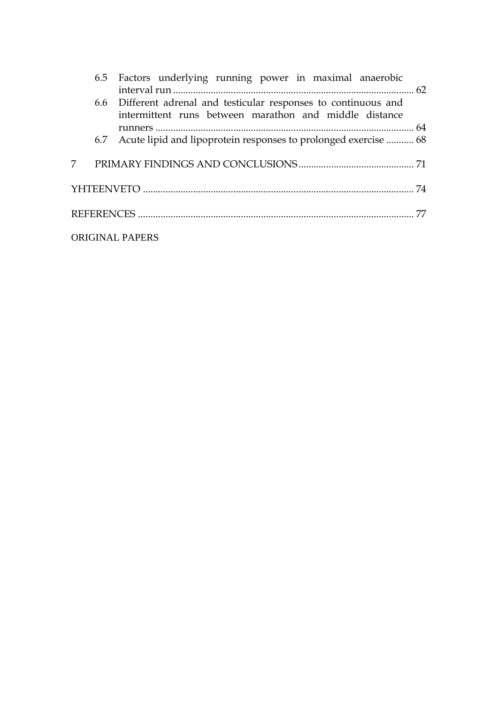|                        |  | 6.5 Factors underlying running power in maximal anaerobic                                                                  |  |
|------------------------|--|----------------------------------------------------------------------------------------------------------------------------|--|
|                        |  | 6.6 Different adrenal and testicular responses to continuous and<br>intermittent runs between marathon and middle distance |  |
|                        |  |                                                                                                                            |  |
|                        |  | 6.7 Acute lipid and lipoprotein responses to prolonged exercise  68                                                        |  |
|                        |  |                                                                                                                            |  |
|                        |  |                                                                                                                            |  |
|                        |  |                                                                                                                            |  |
| <b>ORIGINAL PAPERS</b> |  |                                                                                                                            |  |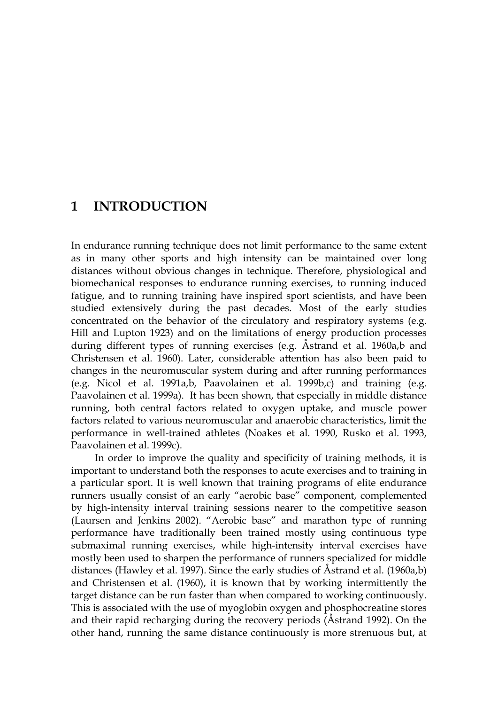# **1 INTRODUCTION**

In endurance running technique does not limit performance to the same extent as in many other sports and high intensity can be maintained over long distances without obvious changes in technique. Therefore, physiological and biomechanical responses to endurance running exercises, to running induced fatigue, and to running training have inspired sport scientists, and have been studied extensively during the past decades. Most of the early studies concentrated on the behavior of the circulatory and respiratory systems (e.g. Hill and Lupton 1923) and on the limitations of energy production processes during different types of running exercises (e.g. Åstrand et al. 1960a,b and Christensen et al. 1960). Later, considerable attention has also been paid to changes in the neuromuscular system during and after running performances (e.g. Nicol et al. 1991a,b, Paavolainen et al. 1999b,c) and training (e.g. Paavolainen et al. 1999a). It has been shown, that especially in middle distance running, both central factors related to oxygen uptake, and muscle power factors related to various neuromuscular and anaerobic characteristics, limit the performance in well-trained athletes (Noakes et al. 1990, Rusko et al. 1993, Paavolainen et al. 1999c).

In order to improve the quality and specificity of training methods, it is important to understand both the responses to acute exercises and to training in a particular sport. It is well known that training programs of elite endurance runners usually consist of an early "aerobic base" component, complemented by high-intensity interval training sessions nearer to the competitive season (Laursen and Jenkins 2002). "Aerobic base" and marathon type of running performance have traditionally been trained mostly using continuous type submaximal running exercises, while high-intensity interval exercises have mostly been used to sharpen the performance of runners specialized for middle distances (Hawley et al. 1997). Since the early studies of Åstrand et al. (1960a,b) and Christensen et al. (1960), it is known that by working intermittently the target distance can be run faster than when compared to working continuously. This is associated with the use of myoglobin oxygen and phosphocreatine stores and their rapid recharging during the recovery periods (Åstrand 1992). On the other hand, running the same distance continuously is more strenuous but, at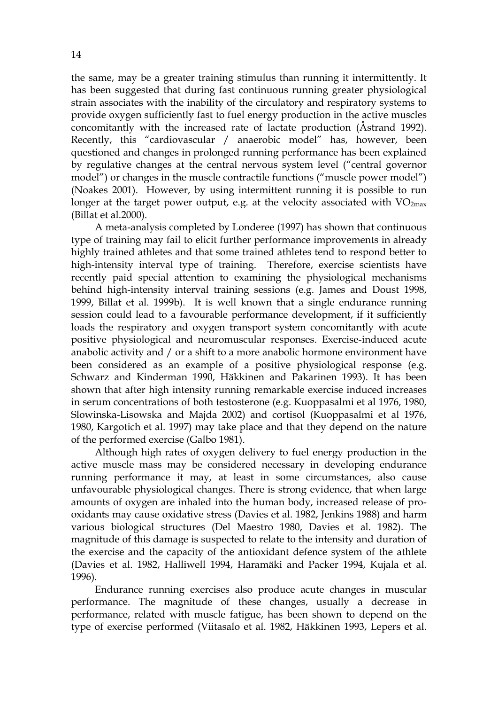the same, may be a greater training stimulus than running it intermittently. It has been suggested that during fast continuous running greater physiological strain associates with the inability of the circulatory and respiratory systems to provide oxygen sufficiently fast to fuel energy production in the active muscles concomitantly with the increased rate of lactate production (Åstrand 1992). Recently, this "cardiovascular / anaerobic model" has, however, been questioned and changes in prolonged running performance has been explained by regulative changes at the central nervous system level ("central governor model") or changes in the muscle contractile functions ("muscle power model") (Noakes 2001). However, by using intermittent running it is possible to run longer at the target power output, e.g. at the velocity associated with  $VO_{2max}$ (Billat et al.2000).

A meta-analysis completed by Londeree (1997) has shown that continuous type of training may fail to elicit further performance improvements in already highly trained athletes and that some trained athletes tend to respond better to high-intensity interval type of training. Therefore, exercise scientists have recently paid special attention to examining the physiological mechanisms behind high-intensity interval training sessions (e.g. James and Doust 1998, 1999, Billat et al. 1999b). It is well known that a single endurance running session could lead to a favourable performance development, if it sufficiently loads the respiratory and oxygen transport system concomitantly with acute positive physiological and neuromuscular responses. Exercise-induced acute anabolic activity and / or a shift to a more anabolic hormone environment have been considered as an example of a positive physiological response (e.g. Schwarz and Kinderman 1990, Häkkinen and Pakarinen 1993). It has been shown that after high intensity running remarkable exercise induced increases in serum concentrations of both testosterone (e.g. Kuoppasalmi et al 1976, 1980, Slowinska-Lisowska and Majda 2002) and cortisol (Kuoppasalmi et al 1976, 1980, Kargotich et al. 1997) may take place and that they depend on the nature of the performed exercise (Galbo 1981).

Although high rates of oxygen delivery to fuel energy production in the active muscle mass may be considered necessary in developing endurance running performance it may, at least in some circumstances, also cause unfavourable physiological changes. There is strong evidence, that when large amounts of oxygen are inhaled into the human body, increased release of prooxidants may cause oxidative stress (Davies et al. 1982, Jenkins 1988) and harm various biological structures (Del Maestro 1980, Davies et al. 1982). The magnitude of this damage is suspected to relate to the intensity and duration of the exercise and the capacity of the antioxidant defence system of the athlete (Davies et al. 1982, Halliwell 1994, Haramäki and Packer 1994, Kujala et al. 1996).

Endurance running exercises also produce acute changes in muscular performance. The magnitude of these changes, usually a decrease in performance, related with muscle fatigue, has been shown to depend on the type of exercise performed (Viitasalo et al. 1982, Häkkinen 1993, Lepers et al.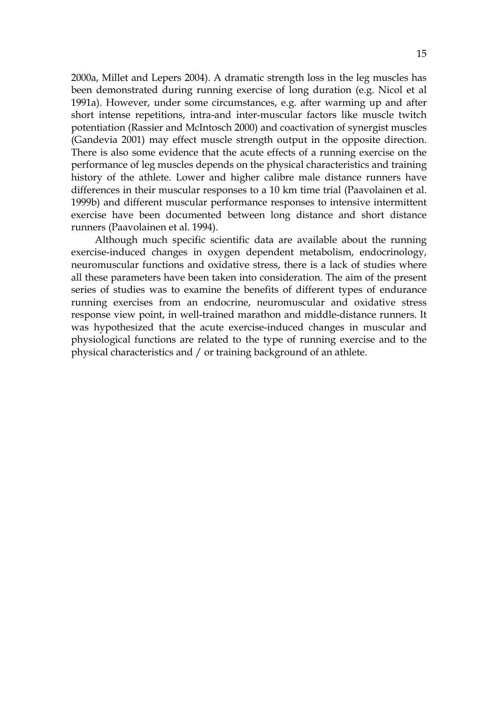2000a, Millet and Lepers 2004). A dramatic strength loss in the leg muscles has been demonstrated during running exercise of long duration (e.g. Nicol et al 1991a). However, under some circumstances, e.g. after warming up and after short intense repetitions, intra-and inter-muscular factors like muscle twitch potentiation (Rassier and McIntosch 2000) and coactivation of synergist muscles (Gandevia 2001) may effect muscle strength output in the opposite direction. There is also some evidence that the acute effects of a running exercise on the performance of leg muscles depends on the physical characteristics and training history of the athlete. Lower and higher calibre male distance runners have differences in their muscular responses to a 10 km time trial (Paavolainen et al. 1999b) and different muscular performance responses to intensive intermittent exercise have been documented between long distance and short distance runners (Paavolainen et al. 1994).

Although much specific scientific data are available about the running exercise-induced changes in oxygen dependent metabolism, endocrinology, neuromuscular functions and oxidative stress, there is a lack of studies where all these parameters have been taken into consideration. The aim of the present series of studies was to examine the benefits of different types of endurance running exercises from an endocrine, neuromuscular and oxidative stress response view point, in well-trained marathon and middle-distance runners. It was hypothesized that the acute exercise-induced changes in muscular and physiological functions are related to the type of running exercise and to the physical characteristics and / or training background of an athlete.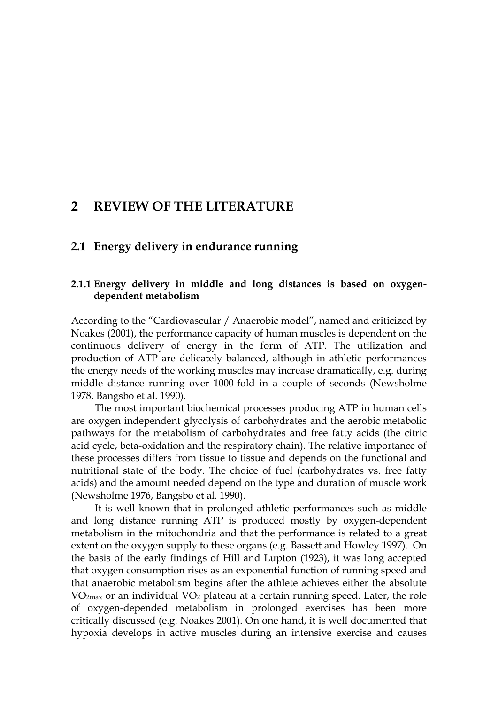# **2 REVIEW OF THE LITERATURE**

#### **2.1 Energy delivery in endurance running**

#### **2.1.1 Energy delivery in middle and long distances is based on oxygendependent metabolism**

According to the "Cardiovascular / Anaerobic model", named and criticized by Noakes (2001), the performance capacity of human muscles is dependent on the continuous delivery of energy in the form of ATP. The utilization and production of ATP are delicately balanced, although in athletic performances the energy needs of the working muscles may increase dramatically, e.g. during middle distance running over 1000-fold in a couple of seconds (Newsholme 1978, Bangsbo et al. 1990).

The most important biochemical processes producing ATP in human cells are oxygen independent glycolysis of carbohydrates and the aerobic metabolic pathways for the metabolism of carbohydrates and free fatty acids (the citric acid cycle, beta-oxidation and the respiratory chain). The relative importance of these processes differs from tissue to tissue and depends on the functional and nutritional state of the body. The choice of fuel (carbohydrates vs. free fatty acids) and the amount needed depend on the type and duration of muscle work (Newsholme 1976, Bangsbo et al. 1990).

It is well known that in prolonged athletic performances such as middle and long distance running ATP is produced mostly by oxygen-dependent metabolism in the mitochondria and that the performance is related to a great extent on the oxygen supply to these organs (e.g. Bassett and Howley 1997). On the basis of the early findings of Hill and Lupton (1923), it was long accepted that oxygen consumption rises as an exponential function of running speed and that anaerobic metabolism begins after the athlete achieves either the absolute  $VO<sub>2max</sub>$  or an individual  $VO<sub>2</sub>$  plateau at a certain running speed. Later, the role of oxygen-depended metabolism in prolonged exercises has been more critically discussed (e.g. Noakes 2001). On one hand, it is well documented that hypoxia develops in active muscles during an intensive exercise and causes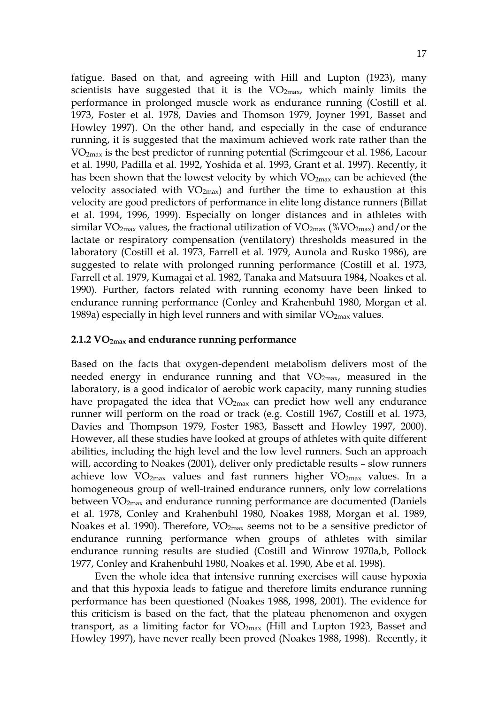fatigue. Based on that, and agreeing with Hill and Lupton (1923), many scientists have suggested that it is the  $VO_{2max}$ , which mainly limits the performance in prolonged muscle work as endurance running (Costill et al. 1973, Foster et al. 1978, Davies and Thomson 1979, Joyner 1991, Basset and Howley 1997). On the other hand, and especially in the case of endurance running, it is suggested that the maximum achieved work rate rather than the VO2max is the best predictor of running potential (Scrimgeour et al. 1986, Lacour et al. 1990, Padilla et al. 1992, Yoshida et al. 1993, Grant et al. 1997). Recently, it has been shown that the lowest velocity by which  $VO<sub>2max</sub>$  can be achieved (the velocity associated with  $VO<sub>2max</sub>$ ) and further the time to exhaustion at this velocity are good predictors of performance in elite long distance runners (Billat et al. 1994, 1996, 1999). Especially on longer distances and in athletes with similar VO<sub>2max</sub> values, the fractional utilization of VO<sub>2max</sub> (%VO<sub>2max</sub>) and/or the lactate or respiratory compensation (ventilatory) thresholds measured in the laboratory (Costill et al. 1973, Farrell et al. 1979, Aunola and Rusko 1986), are suggested to relate with prolonged running performance (Costill et al. 1973, Farrell et al. 1979, Kumagai et al. 1982, Tanaka and Matsuura 1984, Noakes et al. 1990). Further, factors related with running economy have been linked to endurance running performance (Conley and Krahenbuhl 1980, Morgan et al. 1989a) especially in high level runners and with similar  $VO<sub>2max</sub>$  values.

#### **2.1.2 VO2max and endurance running performance**

Based on the facts that oxygen-dependent metabolism delivers most of the needed energy in endurance running and that  $VO<sub>2max</sub>$ , measured in the laboratory, is a good indicator of aerobic work capacity, many running studies have propagated the idea that  $VO<sub>2max</sub>$  can predict how well any endurance runner will perform on the road or track (e.g. Costill 1967, Costill et al. 1973, Davies and Thompson 1979, Foster 1983, Bassett and Howley 1997, 2000). However, all these studies have looked at groups of athletes with quite different abilities, including the high level and the low level runners. Such an approach will, according to Noakes (2001), deliver only predictable results – slow runners achieve low  $VO_{2max}$  values and fast runners higher  $VO_{2max}$  values. In a homogeneous group of well-trained endurance runners, only low correlations between VO2max and endurance running performance are documented (Daniels et al. 1978, Conley and Krahenbuhl 1980, Noakes 1988, Morgan et al. 1989, Noakes et al. 1990). Therefore, VO<sub>2max</sub> seems not to be a sensitive predictor of endurance running performance when groups of athletes with similar endurance running results are studied (Costill and Winrow 1970a,b, Pollock 1977, Conley and Krahenbuhl 1980, Noakes et al. 1990, Abe et al. 1998).

Even the whole idea that intensive running exercises will cause hypoxia and that this hypoxia leads to fatigue and therefore limits endurance running performance has been questioned (Noakes 1988, 1998, 2001). The evidence for this criticism is based on the fact, that the plateau phenomenon and oxygen transport, as a limiting factor for  $VO<sub>2max</sub>$  (Hill and Lupton 1923, Basset and Howley 1997), have never really been proved (Noakes 1988, 1998). Recently, it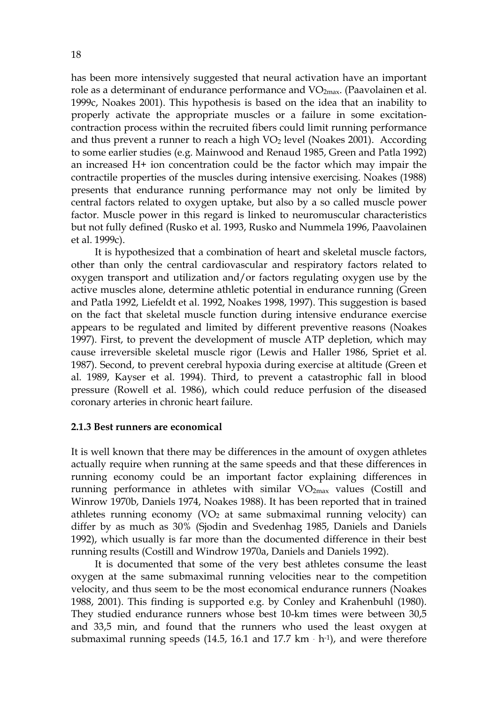has been more intensively suggested that neural activation have an important role as a determinant of endurance performance and  $VO<sub>2max</sub>$ . (Paavolainen et al. 1999c, Noakes 2001). This hypothesis is based on the idea that an inability to properly activate the appropriate muscles or a failure in some excitationcontraction process within the recruited fibers could limit running performance and thus prevent a runner to reach a high  $VO<sub>2</sub>$  level (Noakes 2001). According to some earlier studies (e.g. Mainwood and Renaud 1985, Green and Patla 1992) an increased H+ ion concentration could be the factor which may impair the contractile properties of the muscles during intensive exercising. Noakes (1988) presents that endurance running performance may not only be limited by central factors related to oxygen uptake, but also by a so called muscle power factor. Muscle power in this regard is linked to neuromuscular characteristics but not fully defined (Rusko et al. 1993, Rusko and Nummela 1996, Paavolainen et al. 1999c).

It is hypothesized that a combination of heart and skeletal muscle factors, other than only the central cardiovascular and respiratory factors related to oxygen transport and utilization and/or factors regulating oxygen use by the active muscles alone, determine athletic potential in endurance running (Green and Patla 1992, Liefeldt et al. 1992, Noakes 1998, 1997). This suggestion is based on the fact that skeletal muscle function during intensive endurance exercise appears to be regulated and limited by different preventive reasons (Noakes 1997). First, to prevent the development of muscle ATP depletion, which may cause irreversible skeletal muscle rigor (Lewis and Haller 1986, Spriet et al. 1987). Second, to prevent cerebral hypoxia during exercise at altitude (Green et al. 1989, Kayser et al. 1994). Third, to prevent a catastrophic fall in blood pressure (Rowell et al. 1986), which could reduce perfusion of the diseased coronary arteries in chronic heart failure.

#### **2.1.3 Best runners are economical**

It is well known that there may be differences in the amount of oxygen athletes actually require when running at the same speeds and that these differences in running economy could be an important factor explaining differences in running performance in athletes with similar  $VO<sub>2max</sub>$  values (Costill and Winrow 1970b, Daniels 1974, Noakes 1988). It has been reported that in trained athletes running economy (VO<sub>2</sub> at same submaximal running velocity) can differ by as much as 30% (Sjodin and Svedenhag 1985, Daniels and Daniels 1992), which usually is far more than the documented difference in their best running results (Costill and Windrow 1970a, Daniels and Daniels 1992).

It is documented that some of the very best athletes consume the least oxygen at the same submaximal running velocities near to the competition velocity, and thus seem to be the most economical endurance runners (Noakes 1988, 2001). This finding is supported e.g. by Conley and Krahenbuhl (1980). They studied endurance runners whose best 10-km times were between 30,5 and 33,5 min, and found that the runners who used the least oxygen at submaximal running speeds (14.5, 16.1 and 17.7  $km \cdot h^{-1}$ ), and were therefore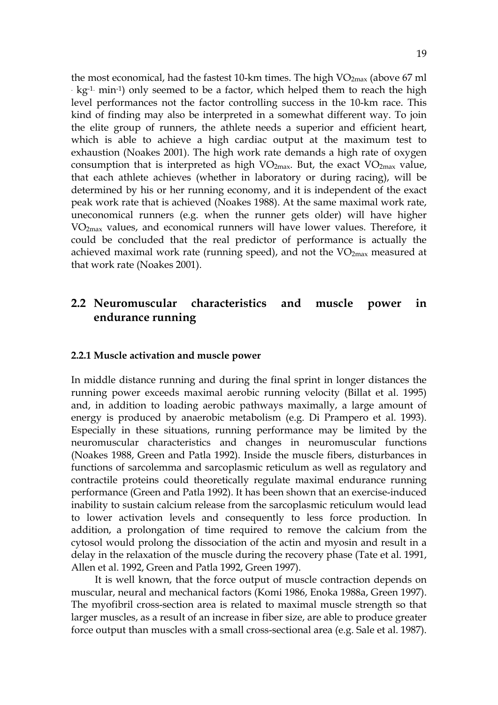the most economical, had the fastest 10-km times. The high  $VO<sub>2max</sub>$  (above 67 ml  $k_{\rm g}$ - kg<sup>-1.</sup> min<sup>-1</sup>) only seemed to be a factor, which helped them to reach the high level performances not the factor controlling success in the 10-km race. This kind of finding may also be interpreted in a somewhat different way. To join the elite group of runners, the athlete needs a superior and efficient heart, which is able to achieve a high cardiac output at the maximum test to exhaustion (Noakes 2001). The high work rate demands a high rate of oxygen consumption that is interpreted as high  $VO_{2max}$ . But, the exact  $VO_{2max}$  value, that each athlete achieves (whether in laboratory or during racing), will be determined by his or her running economy, and it is independent of the exact peak work rate that is achieved (Noakes 1988). At the same maximal work rate, uneconomical runners (e.g. when the runner gets older) will have higher VO2max values, and economical runners will have lower values. Therefore, it could be concluded that the real predictor of performance is actually the achieved maximal work rate (running speed), and not the  $VO<sub>2max</sub>$  measured at that work rate (Noakes 2001).

## **2.2 Neuromuscular characteristics and muscle power in endurance running**

#### **2.2.1 Muscle activation and muscle power**

In middle distance running and during the final sprint in longer distances the running power exceeds maximal aerobic running velocity (Billat et al. 1995) and, in addition to loading aerobic pathways maximally, a large amount of energy is produced by anaerobic metabolism (e.g. Di Prampero et al. 1993). Especially in these situations, running performance may be limited by the neuromuscular characteristics and changes in neuromuscular functions (Noakes 1988, Green and Patla 1992). Inside the muscle fibers, disturbances in functions of sarcolemma and sarcoplasmic reticulum as well as regulatory and contractile proteins could theoretically regulate maximal endurance running performance (Green and Patla 1992). It has been shown that an exercise-induced inability to sustain calcium release from the sarcoplasmic reticulum would lead to lower activation levels and consequently to less force production. In addition, a prolongation of time required to remove the calcium from the cytosol would prolong the dissociation of the actin and myosin and result in a delay in the relaxation of the muscle during the recovery phase (Tate et al. 1991, Allen et al. 1992, Green and Patla 1992, Green 1997).

It is well known, that the force output of muscle contraction depends on muscular, neural and mechanical factors (Komi 1986, Enoka 1988a, Green 1997). The myofibril cross-section area is related to maximal muscle strength so that larger muscles, as a result of an increase in fiber size, are able to produce greater force output than muscles with a small cross-sectional area (e.g. Sale et al. 1987).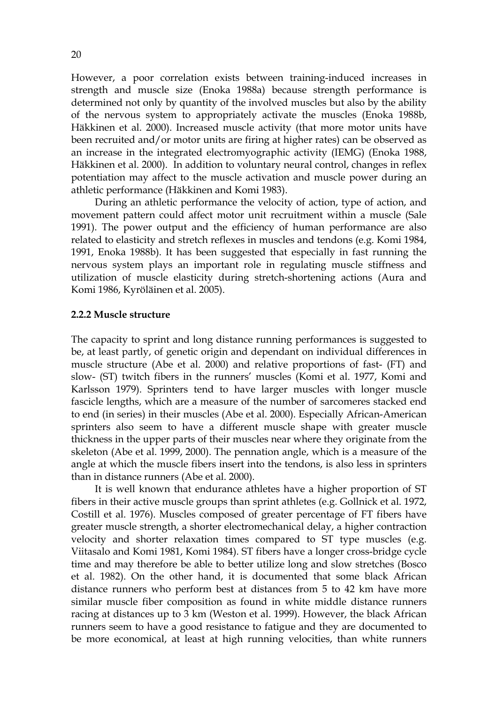However, a poor correlation exists between training-induced increases in strength and muscle size (Enoka 1988a) because strength performance is determined not only by quantity of the involved muscles but also by the ability of the nervous system to appropriately activate the muscles (Enoka 1988b, Häkkinen et al. 2000). Increased muscle activity (that more motor units have been recruited and/or motor units are firing at higher rates) can be observed as an increase in the integrated electromyographic activity (IEMG) (Enoka 1988, Häkkinen et al. 2000). In addition to voluntary neural control, changes in reflex potentiation may affect to the muscle activation and muscle power during an athletic performance (Häkkinen and Komi 1983).

During an athletic performance the velocity of action, type of action, and movement pattern could affect motor unit recruitment within a muscle (Sale 1991). The power output and the efficiency of human performance are also related to elasticity and stretch reflexes in muscles and tendons (e.g. Komi 1984, 1991, Enoka 1988b). It has been suggested that especially in fast running the nervous system plays an important role in regulating muscle stiffness and utilization of muscle elasticity during stretch-shortening actions (Aura and Komi 1986, Kyröläinen et al. 2005).

#### **2.2.2 Muscle structure**

The capacity to sprint and long distance running performances is suggested to be, at least partly, of genetic origin and dependant on individual differences in muscle structure (Abe et al. 2000) and relative proportions of fast- (FT) and slow- (ST) twitch fibers in the runners' muscles (Komi et al. 1977, Komi and Karlsson 1979). Sprinters tend to have larger muscles with longer muscle fascicle lengths, which are a measure of the number of sarcomeres stacked end to end (in series) in their muscles (Abe et al. 2000). Especially African-American sprinters also seem to have a different muscle shape with greater muscle thickness in the upper parts of their muscles near where they originate from the skeleton (Abe et al. 1999, 2000). The pennation angle, which is a measure of the angle at which the muscle fibers insert into the tendons, is also less in sprinters than in distance runners (Abe et al. 2000).

It is well known that endurance athletes have a higher proportion of ST fibers in their active muscle groups than sprint athletes (e.g. Gollnick et al. 1972, Costill et al. 1976). Muscles composed of greater percentage of FT fibers have greater muscle strength, a shorter electromechanical delay, a higher contraction velocity and shorter relaxation times compared to ST type muscles (e.g. Viitasalo and Komi 1981, Komi 1984). ST fibers have a longer cross-bridge cycle time and may therefore be able to better utilize long and slow stretches (Bosco et al. 1982). On the other hand, it is documented that some black African distance runners who perform best at distances from 5 to 42 km have more similar muscle fiber composition as found in white middle distance runners racing at distances up to 3 km (Weston et al. 1999). However, the black African runners seem to have a good resistance to fatigue and they are documented to be more economical, at least at high running velocities, than white runners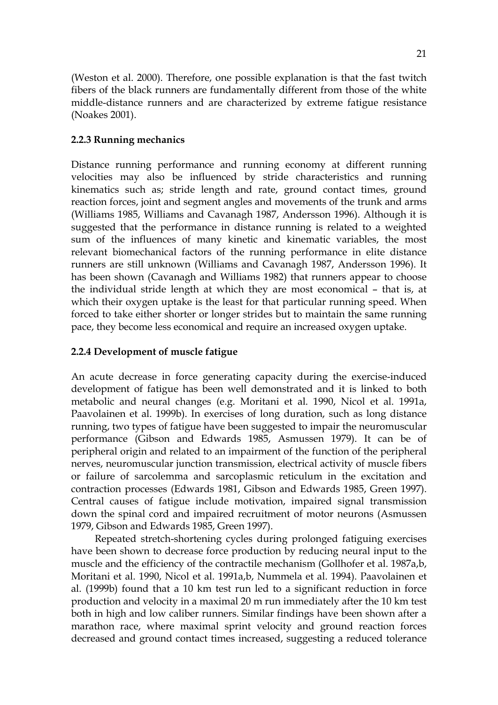(Weston et al. 2000). Therefore, one possible explanation is that the fast twitch fibers of the black runners are fundamentally different from those of the white middle-distance runners and are characterized by extreme fatigue resistance

#### **2.2.3 Running mechanics**

(Noakes 2001).

Distance running performance and running economy at different running velocities may also be influenced by stride characteristics and running kinematics such as; stride length and rate, ground contact times, ground reaction forces, joint and segment angles and movements of the trunk and arms (Williams 1985, Williams and Cavanagh 1987, Andersson 1996). Although it is suggested that the performance in distance running is related to a weighted sum of the influences of many kinetic and kinematic variables, the most relevant biomechanical factors of the running performance in elite distance runners are still unknown (Williams and Cavanagh 1987, Andersson 1996). It has been shown (Cavanagh and Williams 1982) that runners appear to choose the individual stride length at which they are most economical – that is, at which their oxygen uptake is the least for that particular running speed. When forced to take either shorter or longer strides but to maintain the same running pace, they become less economical and require an increased oxygen uptake.

#### **2.2.4 Development of muscle fatigue**

An acute decrease in force generating capacity during the exercise-induced development of fatigue has been well demonstrated and it is linked to both metabolic and neural changes (e.g. Moritani et al. 1990, Nicol et al. 1991a, Paavolainen et al. 1999b). In exercises of long duration, such as long distance running, two types of fatigue have been suggested to impair the neuromuscular performance (Gibson and Edwards 1985, Asmussen 1979). It can be of peripheral origin and related to an impairment of the function of the peripheral nerves, neuromuscular junction transmission, electrical activity of muscle fibers or failure of sarcolemma and sarcoplasmic reticulum in the excitation and contraction processes (Edwards 1981, Gibson and Edwards 1985, Green 1997). Central causes of fatigue include motivation, impaired signal transmission down the spinal cord and impaired recruitment of motor neurons (Asmussen 1979, Gibson and Edwards 1985, Green 1997).

Repeated stretch-shortening cycles during prolonged fatiguing exercises have been shown to decrease force production by reducing neural input to the muscle and the efficiency of the contractile mechanism (Gollhofer et al. 1987a,b, Moritani et al. 1990, Nicol et al. 1991a,b, Nummela et al. 1994). Paavolainen et al. (1999b) found that a 10 km test run led to a significant reduction in force production and velocity in a maximal 20 m run immediately after the 10 km test both in high and low caliber runners. Similar findings have been shown after a marathon race, where maximal sprint velocity and ground reaction forces decreased and ground contact times increased, suggesting a reduced tolerance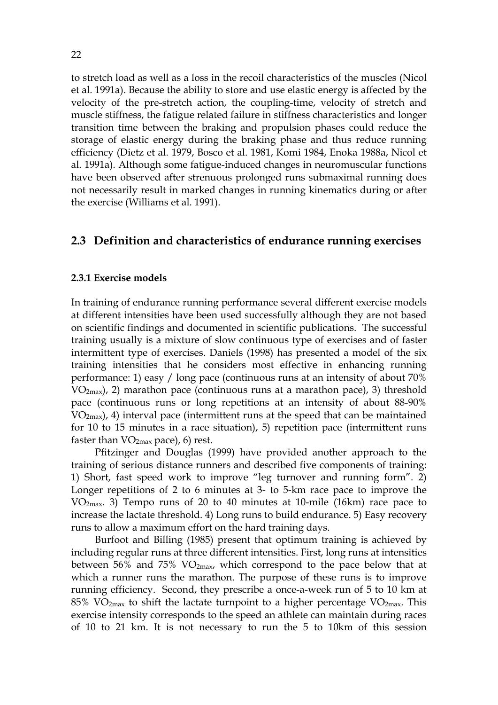to stretch load as well as a loss in the recoil characteristics of the muscles (Nicol et al. 1991a). Because the ability to store and use elastic energy is affected by the velocity of the pre-stretch action, the coupling-time, velocity of stretch and muscle stiffness, the fatigue related failure in stiffness characteristics and longer transition time between the braking and propulsion phases could reduce the storage of elastic energy during the braking phase and thus reduce running efficiency (Dietz et al. 1979, Bosco et al. 1981, Komi 1984, Enoka 1988a, Nicol et al. 1991a). Although some fatigue-induced changes in neuromuscular functions have been observed after strenuous prolonged runs submaximal running does not necessarily result in marked changes in running kinematics during or after the exercise (Williams et al. 1991).

#### **2.3 Definition and characteristics of endurance running exercises**

#### **2.3.1 Exercise models**

In training of endurance running performance several different exercise models at different intensities have been used successfully although they are not based on scientific findings and documented in scientific publications. The successful training usually is a mixture of slow continuous type of exercises and of faster intermittent type of exercises. Daniels (1998) has presented a model of the six training intensities that he considers most effective in enhancing running performance: 1) easy / long pace (continuous runs at an intensity of about 70% VO2max), 2) marathon pace (continuous runs at a marathon pace), 3) threshold pace (continuous runs or long repetitions at an intensity of about 88-90% VO2max), 4) interval pace (intermittent runs at the speed that can be maintained for 10 to 15 minutes in a race situation), 5) repetition pace (intermittent runs faster than  $VO_{2max}$  pace), 6) rest.

Pfitzinger and Douglas (1999) have provided another approach to the training of serious distance runners and described five components of training: 1) Short, fast speed work to improve "leg turnover and running form". 2) Longer repetitions of 2 to 6 minutes at 3- to 5-km race pace to improve the VO2max. 3) Tempo runs of 20 to 40 minutes at 10-mile (16km) race pace to increase the lactate threshold. 4) Long runs to build endurance. 5) Easy recovery runs to allow a maximum effort on the hard training days.

Burfoot and Billing (1985) present that optimum training is achieved by including regular runs at three different intensities. First, long runs at intensities between 56% and 75%  $VO_{2max}$ , which correspond to the pace below that at which a runner runs the marathon. The purpose of these runs is to improve running efficiency. Second, they prescribe a once-a-week run of 5 to 10 km at 85% VO<sub>2max</sub> to shift the lactate turnpoint to a higher percentage VO<sub>2max</sub>. This exercise intensity corresponds to the speed an athlete can maintain during races of 10 to 21 km. It is not necessary to run the 5 to 10km of this session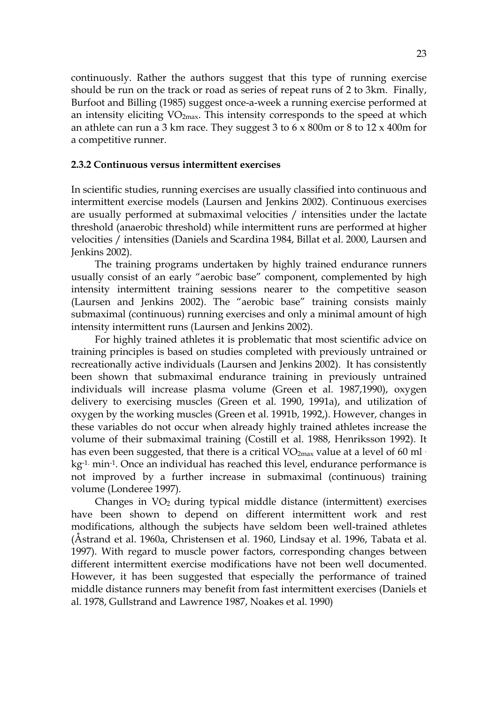continuously. Rather the authors suggest that this type of running exercise should be run on the track or road as series of repeat runs of 2 to 3km. Finally, Burfoot and Billing (1985) suggest once-a-week a running exercise performed at an intensity eliciting  $VO<sub>2max</sub>$ . This intensity corresponds to the speed at which an athlete can run a 3 km race. They suggest 3 to 6 x 800m or 8 to 12 x 400m for a competitive runner.

#### **2.3.2 Continuous versus intermittent exercises**

In scientific studies, running exercises are usually classified into continuous and intermittent exercise models (Laursen and Jenkins 2002). Continuous exercises are usually performed at submaximal velocities / intensities under the lactate threshold (anaerobic threshold) while intermittent runs are performed at higher velocities / intensities (Daniels and Scardina 1984, Billat et al. 2000, Laursen and Jenkins 2002).

The training programs undertaken by highly trained endurance runners usually consist of an early "aerobic base" component, complemented by high intensity intermittent training sessions nearer to the competitive season (Laursen and Jenkins 2002). The "aerobic base" training consists mainly submaximal (continuous) running exercises and only a minimal amount of high intensity intermittent runs (Laursen and Jenkins 2002).

For highly trained athletes it is problematic that most scientific advice on training principles is based on studies completed with previously untrained or recreationally active individuals (Laursen and Jenkins 2002). It has consistently been shown that submaximal endurance training in previously untrained individuals will increase plasma volume (Green et al. 1987,1990), oxygen delivery to exercising muscles (Green et al. 1990, 1991a), and utilization of oxygen by the working muscles (Green et al. 1991b, 1992,). However, changes in these variables do not occur when already highly trained athletes increase the volume of their submaximal training (Costill et al. 1988, Henriksson 1992). It has even been suggested, that there is a critical  $VO_{2max}$  value at a level of 60 ml  $\cdot$ kg-1. min-1. Once an individual has reached this level, endurance performance is not improved by a further increase in submaximal (continuous) training volume (Londeree 1997).

Changes in  $VO<sub>2</sub>$  during typical middle distance (intermittent) exercises have been shown to depend on different intermittent work and rest modifications, although the subjects have seldom been well-trained athletes (Åstrand et al. 1960a, Christensen et al. 1960, Lindsay et al. 1996, Tabata et al. 1997). With regard to muscle power factors, corresponding changes between different intermittent exercise modifications have not been well documented. However, it has been suggested that especially the performance of trained middle distance runners may benefit from fast intermittent exercises (Daniels et al. 1978, Gullstrand and Lawrence 1987, Noakes et al. 1990)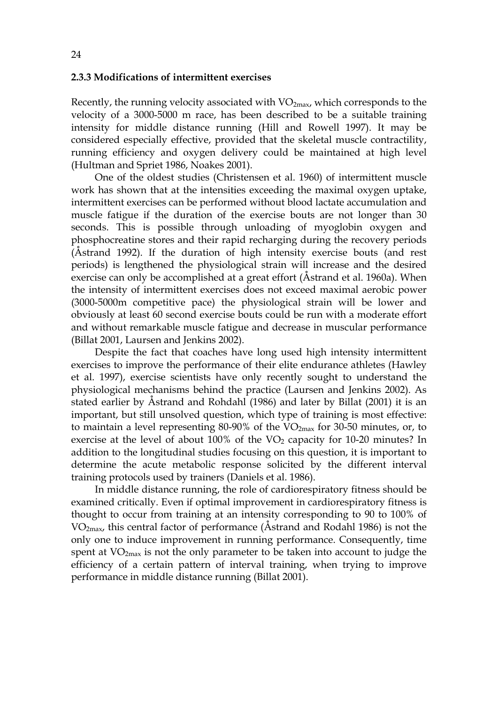#### **2.3.3 Modifications of intermittent exercises**

Recently, the running velocity associated with  $VO_{2max}$ , which corresponds to the velocity of a 3000-5000 m race, has been described to be a suitable training intensity for middle distance running (Hill and Rowell 1997). It may be considered especially effective, provided that the skeletal muscle contractility, running efficiency and oxygen delivery could be maintained at high level (Hultman and Spriet 1986, Noakes 2001).

One of the oldest studies (Christensen et al. 1960) of intermittent muscle work has shown that at the intensities exceeding the maximal oxygen uptake, intermittent exercises can be performed without blood lactate accumulation and muscle fatigue if the duration of the exercise bouts are not longer than 30 seconds. This is possible through unloading of myoglobin oxygen and phosphocreatine stores and their rapid recharging during the recovery periods (Åstrand 1992). If the duration of high intensity exercise bouts (and rest periods) is lengthened the physiological strain will increase and the desired exercise can only be accomplished at a great effort (Åstrand et al. 1960a). When the intensity of intermittent exercises does not exceed maximal aerobic power (3000-5000m competitive pace) the physiological strain will be lower and obviously at least 60 second exercise bouts could be run with a moderate effort and without remarkable muscle fatigue and decrease in muscular performance (Billat 2001, Laursen and Jenkins 2002).

Despite the fact that coaches have long used high intensity intermittent exercises to improve the performance of their elite endurance athletes (Hawley et al. 1997), exercise scientists have only recently sought to understand the physiological mechanisms behind the practice (Laursen and Jenkins 2002). As stated earlier by Åstrand and Rohdahl (1986) and later by Billat (2001) it is an important, but still unsolved question, which type of training is most effective: to maintain a level representing  $80-90\%$  of the VO<sub>2max</sub> for 30-50 minutes, or, to exercise at the level of about  $100\%$  of the VO<sub>2</sub> capacity for 10-20 minutes? In addition to the longitudinal studies focusing on this question, it is important to determine the acute metabolic response solicited by the different interval training protocols used by trainers (Daniels et al. 1986).

In middle distance running, the role of cardiorespiratory fitness should be examined critically. Even if optimal improvement in cardiorespiratory fitness is thought to occur from training at an intensity corresponding to 90 to 100% of  $VO<sub>2max</sub>$ , this central factor of performance (Astrand and Rodahl 1986) is not the only one to induce improvement in running performance. Consequently, time spent at  $VO<sub>2max</sub>$  is not the only parameter to be taken into account to judge the efficiency of a certain pattern of interval training, when trying to improve performance in middle distance running (Billat 2001).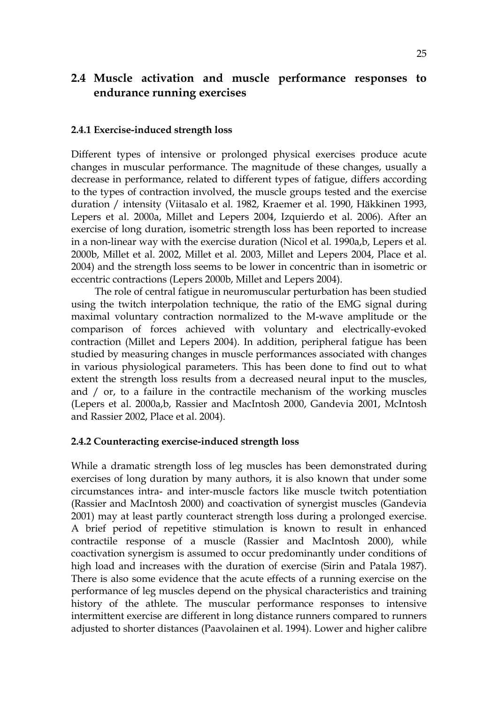# **2.4 Muscle activation and muscle performance responses to endurance running exercises**

#### **2.4.1 Exercise-induced strength loss**

Different types of intensive or prolonged physical exercises produce acute changes in muscular performance. The magnitude of these changes, usually a decrease in performance, related to different types of fatigue, differs according to the types of contraction involved, the muscle groups tested and the exercise duration / intensity (Viitasalo et al. 1982, Kraemer et al. 1990, Häkkinen 1993, Lepers et al. 2000a, Millet and Lepers 2004, Izquierdo et al. 2006). After an exercise of long duration, isometric strength loss has been reported to increase in a non-linear way with the exercise duration (Nicol et al. 1990a,b, Lepers et al. 2000b, Millet et al. 2002, Millet et al. 2003, Millet and Lepers 2004, Place et al. 2004) and the strength loss seems to be lower in concentric than in isometric or eccentric contractions (Lepers 2000b, Millet and Lepers 2004).

The role of central fatigue in neuromuscular perturbation has been studied using the twitch interpolation technique, the ratio of the EMG signal during maximal voluntary contraction normalized to the M-wave amplitude or the comparison of forces achieved with voluntary and electrically-evoked contraction (Millet and Lepers 2004). In addition, peripheral fatigue has been studied by measuring changes in muscle performances associated with changes in various physiological parameters. This has been done to find out to what extent the strength loss results from a decreased neural input to the muscles, and / or, to a failure in the contractile mechanism of the working muscles (Lepers et al. 2000a,b, Rassier and MacIntosh 2000, Gandevia 2001, McIntosh and Rassier 2002, Place et al. 2004).

#### **2.4.2 Counteracting exercise-induced strength loss**

While a dramatic strength loss of leg muscles has been demonstrated during exercises of long duration by many authors, it is also known that under some circumstances intra- and inter-muscle factors like muscle twitch potentiation (Rassier and MacIntosh 2000) and coactivation of synergist muscles (Gandevia 2001) may at least partly counteract strength loss during a prolonged exercise. A brief period of repetitive stimulation is known to result in enhanced contractile response of a muscle (Rassier and MacIntosh 2000), while coactivation synergism is assumed to occur predominantly under conditions of high load and increases with the duration of exercise (Sirin and Patala 1987). There is also some evidence that the acute effects of a running exercise on the performance of leg muscles depend on the physical characteristics and training history of the athlete. The muscular performance responses to intensive intermittent exercise are different in long distance runners compared to runners adjusted to shorter distances (Paavolainen et al. 1994). Lower and higher calibre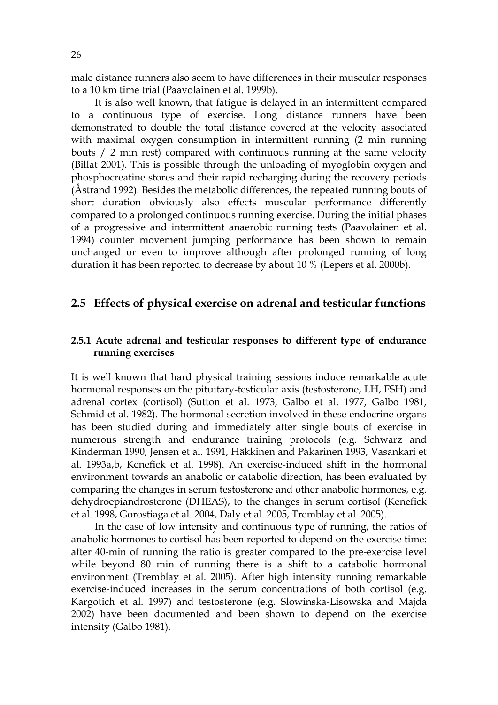male distance runners also seem to have differences in their muscular responses to a 10 km time trial (Paavolainen et al. 1999b).

It is also well known, that fatigue is delayed in an intermittent compared to a continuous type of exercise. Long distance runners have been demonstrated to double the total distance covered at the velocity associated with maximal oxygen consumption in intermittent running (2 min running bouts / 2 min rest) compared with continuous running at the same velocity (Billat 2001). This is possible through the unloading of myoglobin oxygen and phosphocreatine stores and their rapid recharging during the recovery periods (Åstrand 1992). Besides the metabolic differences, the repeated running bouts of short duration obviously also effects muscular performance differently compared to a prolonged continuous running exercise. During the initial phases of a progressive and intermittent anaerobic running tests (Paavolainen et al. 1994) counter movement jumping performance has been shown to remain unchanged or even to improve although after prolonged running of long duration it has been reported to decrease by about 10 % (Lepers et al. 2000b).

#### **2.5 Effects of physical exercise on adrenal and testicular functions**

#### **2.5.1 Acute adrenal and testicular responses to different type of endurance running exercises**

It is well known that hard physical training sessions induce remarkable acute hormonal responses on the pituitary-testicular axis (testosterone, LH, FSH) and adrenal cortex (cortisol) (Sutton et al. 1973, Galbo et al. 1977, Galbo 1981, Schmid et al. 1982). The hormonal secretion involved in these endocrine organs has been studied during and immediately after single bouts of exercise in numerous strength and endurance training protocols (e.g. Schwarz and Kinderman 1990, Jensen et al. 1991, Häkkinen and Pakarinen 1993, Vasankari et al. 1993a,b, Kenefick et al. 1998). An exercise-induced shift in the hormonal environment towards an anabolic or catabolic direction, has been evaluated by comparing the changes in serum testosterone and other anabolic hormones, e.g. dehydroepiandrosterone (DHEAS), to the changes in serum cortisol (Kenefick et al. 1998, Gorostiaga et al. 2004, Daly et al. 2005, Tremblay et al. 2005).

In the case of low intensity and continuous type of running, the ratios of anabolic hormones to cortisol has been reported to depend on the exercise time: after 40-min of running the ratio is greater compared to the pre-exercise level while beyond 80 min of running there is a shift to a catabolic hormonal environment (Tremblay et al. 2005). After high intensity running remarkable exercise-induced increases in the serum concentrations of both cortisol (e.g. Kargotich et al. 1997) and testosterone (e.g. Slowinska-Lisowska and Majda 2002) have been documented and been shown to depend on the exercise intensity (Galbo 1981).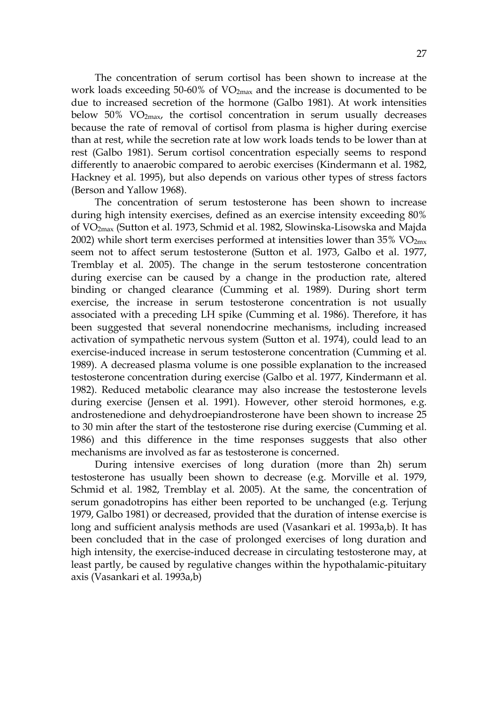The concentration of serum cortisol has been shown to increase at the work loads exceeding 50-60% of VO2max and the increase is documented to be due to increased secretion of the hormone (Galbo 1981). At work intensities below  $50\%$  VO<sub>2max</sub>, the cortisol concentration in serum usually decreases because the rate of removal of cortisol from plasma is higher during exercise than at rest, while the secretion rate at low work loads tends to be lower than at rest (Galbo 1981). Serum cortisol concentration especially seems to respond differently to anaerobic compared to aerobic exercises (Kindermann et al. 1982, Hackney et al. 1995), but also depends on various other types of stress factors (Berson and Yallow 1968).

The concentration of serum testosterone has been shown to increase during high intensity exercises, defined as an exercise intensity exceeding 80% of VO2max (Sutton et al. 1973, Schmid et al. 1982, Slowinska-Lisowska and Majda 2002) while short term exercises performed at intensities lower than  $35\%$  VO<sub>2mx</sub> seem not to affect serum testosterone (Sutton et al. 1973, Galbo et al. 1977, Tremblay et al. 2005). The change in the serum testosterone concentration during exercise can be caused by a change in the production rate, altered binding or changed clearance (Cumming et al. 1989). During short term exercise, the increase in serum testosterone concentration is not usually associated with a preceding LH spike (Cumming et al. 1986). Therefore, it has been suggested that several nonendocrine mechanisms, including increased activation of sympathetic nervous system (Sutton et al. 1974), could lead to an exercise-induced increase in serum testosterone concentration (Cumming et al. 1989). A decreased plasma volume is one possible explanation to the increased testosterone concentration during exercise (Galbo et al. 1977, Kindermann et al. 1982). Reduced metabolic clearance may also increase the testosterone levels during exercise (Jensen et al. 1991). However, other steroid hormones, e.g. androstenedione and dehydroepiandrosterone have been shown to increase 25 to 30 min after the start of the testosterone rise during exercise (Cumming et al. 1986) and this difference in the time responses suggests that also other mechanisms are involved as far as testosterone is concerned.

During intensive exercises of long duration (more than 2h) serum testosterone has usually been shown to decrease (e.g. Morville et al. 1979, Schmid et al. 1982, Tremblay et al. 2005). At the same, the concentration of serum gonadotropins has either been reported to be unchanged (e.g. Terjung 1979, Galbo 1981) or decreased, provided that the duration of intense exercise is long and sufficient analysis methods are used (Vasankari et al. 1993a,b). It has been concluded that in the case of prolonged exercises of long duration and high intensity, the exercise-induced decrease in circulating testosterone may, at least partly, be caused by regulative changes within the hypothalamic-pituitary axis (Vasankari et al. 1993a,b)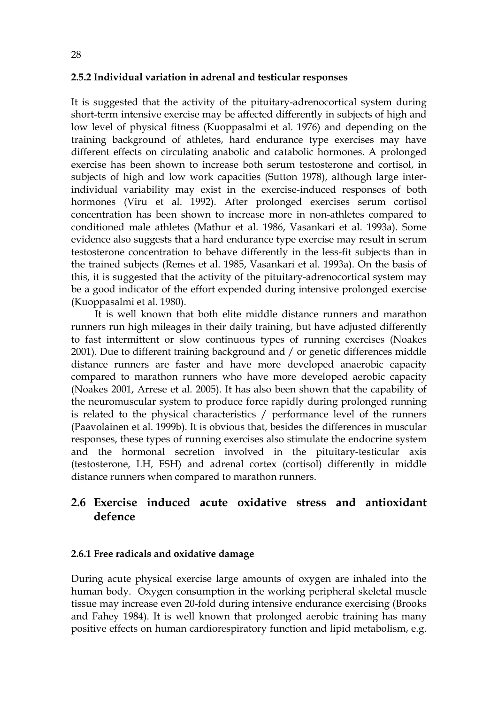#### **2.5.2 Individual variation in adrenal and testicular responses**

It is suggested that the activity of the pituitary-adrenocortical system during short-term intensive exercise may be affected differently in subjects of high and low level of physical fitness (Kuoppasalmi et al. 1976) and depending on the training background of athletes, hard endurance type exercises may have different effects on circulating anabolic and catabolic hormones. A prolonged exercise has been shown to increase both serum testosterone and cortisol, in subjects of high and low work capacities (Sutton 1978), although large interindividual variability may exist in the exercise-induced responses of both hormones (Viru et al. 1992). After prolonged exercises serum cortisol concentration has been shown to increase more in non-athletes compared to conditioned male athletes (Mathur et al. 1986, Vasankari et al. 1993a). Some evidence also suggests that a hard endurance type exercise may result in serum testosterone concentration to behave differently in the less-fit subjects than in the trained subjects (Remes et al. 1985, Vasankari et al. 1993a). On the basis of this, it is suggested that the activity of the pituitary-adrenocortical system may be a good indicator of the effort expended during intensive prolonged exercise (Kuoppasalmi et al. 1980).

It is well known that both elite middle distance runners and marathon runners run high mileages in their daily training, but have adjusted differently to fast intermittent or slow continuous types of running exercises (Noakes 2001). Due to different training background and / or genetic differences middle distance runners are faster and have more developed anaerobic capacity compared to marathon runners who have more developed aerobic capacity (Noakes 2001, Arrese et al. 2005). It has also been shown that the capability of the neuromuscular system to produce force rapidly during prolonged running is related to the physical characteristics / performance level of the runners (Paavolainen et al. 1999b). It is obvious that, besides the differences in muscular responses, these types of running exercises also stimulate the endocrine system and the hormonal secretion involved in the pituitary-testicular axis (testosterone, LH, FSH) and adrenal cortex (cortisol) differently in middle distance runners when compared to marathon runners.

## **2.6 Exercise induced acute oxidative stress and antioxidant defence**

#### **2.6.1 Free radicals and oxidative damage**

During acute physical exercise large amounts of oxygen are inhaled into the human body. Oxygen consumption in the working peripheral skeletal muscle tissue may increase even 20-fold during intensive endurance exercising (Brooks and Fahey 1984). It is well known that prolonged aerobic training has many positive effects on human cardiorespiratory function and lipid metabolism, e.g.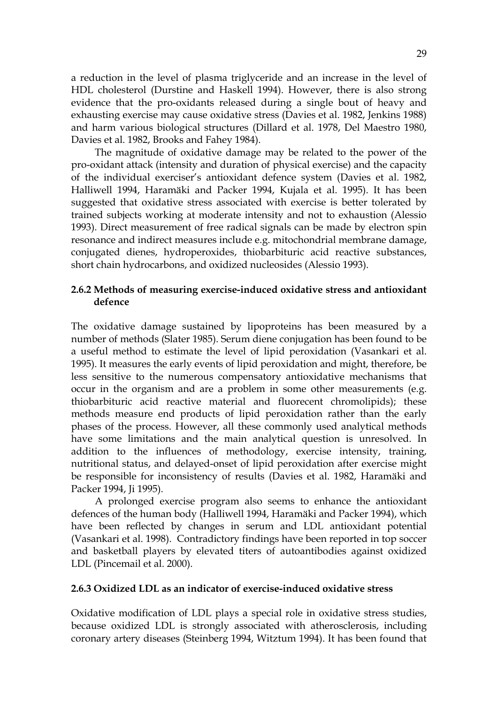a reduction in the level of plasma triglyceride and an increase in the level of HDL cholesterol (Durstine and Haskell 1994). However, there is also strong evidence that the pro-oxidants released during a single bout of heavy and exhausting exercise may cause oxidative stress (Davies et al. 1982, Jenkins 1988) and harm various biological structures (Dillard et al. 1978, Del Maestro 1980, Davies et al. 1982, Brooks and Fahey 1984).

The magnitude of oxidative damage may be related to the power of the pro-oxidant attack (intensity and duration of physical exercise) and the capacity of the individual exerciser's antioxidant defence system (Davies et al. 1982, Halliwell 1994, Haramäki and Packer 1994, Kujala et al. 1995). It has been suggested that oxidative stress associated with exercise is better tolerated by trained subjects working at moderate intensity and not to exhaustion (Alessio 1993). Direct measurement of free radical signals can be made by electron spin resonance and indirect measures include e.g. mitochondrial membrane damage, conjugated dienes, hydroperoxides, thiobarbituric acid reactive substances, short chain hydrocarbons, and oxidized nucleosides (Alessio 1993).

#### **2.6.2 Methods of measuring exercise-induced oxidative stress and antioxidant defence**

The oxidative damage sustained by lipoproteins has been measured by a number of methods (Slater 1985). Serum diene conjugation has been found to be a useful method to estimate the level of lipid peroxidation (Vasankari et al. 1995). It measures the early events of lipid peroxidation and might, therefore, be less sensitive to the numerous compensatory antioxidative mechanisms that occur in the organism and are a problem in some other measurements (e.g. thiobarbituric acid reactive material and fluorecent chromolipids); these methods measure end products of lipid peroxidation rather than the early phases of the process. However, all these commonly used analytical methods have some limitations and the main analytical question is unresolved. In addition to the influences of methodology, exercise intensity, training, nutritional status, and delayed-onset of lipid peroxidation after exercise might be responsible for inconsistency of results (Davies et al. 1982, Haramäki and Packer 1994, Ji 1995).

A prolonged exercise program also seems to enhance the antioxidant defences of the human body (Halliwell 1994, Haramäki and Packer 1994), which have been reflected by changes in serum and LDL antioxidant potential (Vasankari et al. 1998). Contradictory findings have been reported in top soccer and basketball players by elevated titers of autoantibodies against oxidized LDL (Pincemail et al. 2000).

#### **2.6.3 Oxidized LDL as an indicator of exercise-induced oxidative stress**

Oxidative modification of LDL plays a special role in oxidative stress studies, because oxidized LDL is strongly associated with atherosclerosis, including coronary artery diseases (Steinberg 1994, Witztum 1994). It has been found that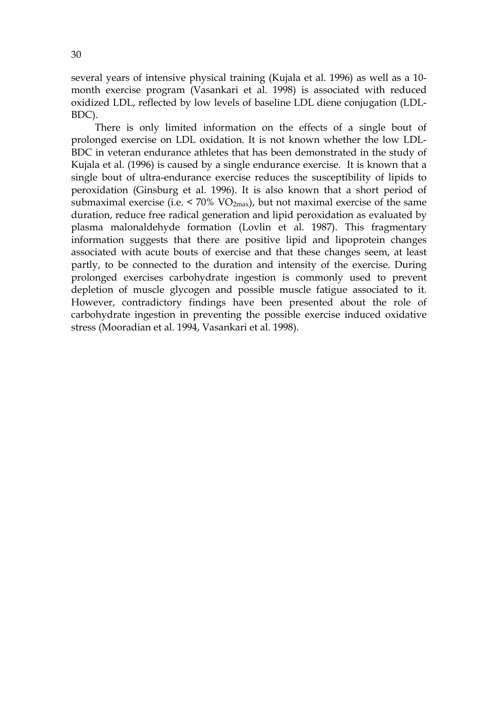several years of intensive physical training (Kujala et al. 1996) as well as a 10 month exercise program (Vasankari et al. 1998) is associated with reduced oxidized LDL, reflected by low levels of baseline LDL diene conjugation (LDL-BDC).

There is only limited information on the effects of a single bout of prolonged exercise on LDL oxidation. It is not known whether the low LDL-BDC in veteran endurance athletes that has been demonstrated in the study of Kujala et al. (1996) is caused by a single endurance exercise. It is known that a single bout of ultra-endurance exercise reduces the susceptibility of lipids to peroxidation (Ginsburg et al. 1996). It is also known that a short period of submaximal exercise (i.e.  $\leq 70\%$  VO<sub>2max</sub>), but not maximal exercise of the same duration, reduce free radical generation and lipid peroxidation as evaluated by plasma malonaldehyde formation (Lovlin et al. 1987). This fragmentary information suggests that there are positive lipid and lipoprotein changes associated with acute bouts of exercise and that these changes seem, at least partly, to be connected to the duration and intensity of the exercise. During prolonged exercises carbohydrate ingestion is commonly used to prevent depletion of muscle glycogen and possible muscle fatigue associated to it. However, contradictory findings have been presented about the role of carbohydrate ingestion in preventing the possible exercise induced oxidative stress (Mooradian et al. 1994, Vasankari et al. 1998).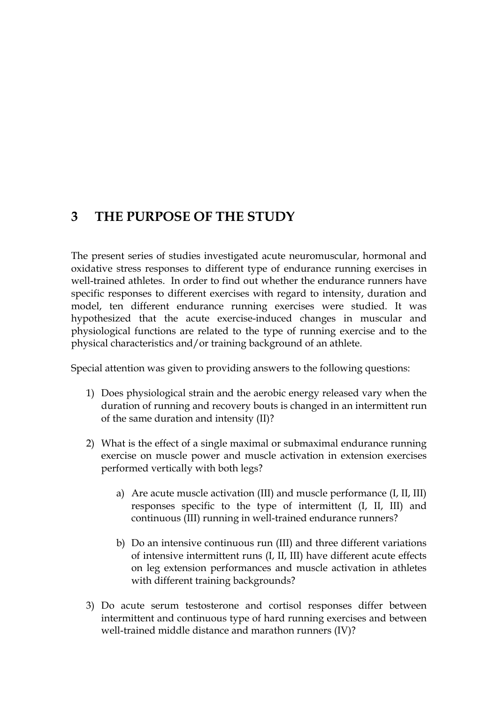# **3 THE PURPOSE OF THE STUDY**

The present series of studies investigated acute neuromuscular, hormonal and oxidative stress responses to different type of endurance running exercises in well-trained athletes. In order to find out whether the endurance runners have specific responses to different exercises with regard to intensity, duration and model, ten different endurance running exercises were studied. It was hypothesized that the acute exercise-induced changes in muscular and physiological functions are related to the type of running exercise and to the physical characteristics and/or training background of an athlete.

Special attention was given to providing answers to the following questions:

- 1) Does physiological strain and the aerobic energy released vary when the duration of running and recovery bouts is changed in an intermittent run of the same duration and intensity (II)?
- 2) What is the effect of a single maximal or submaximal endurance running exercise on muscle power and muscle activation in extension exercises performed vertically with both legs?
	- a) Are acute muscle activation (III) and muscle performance (I, II, III) responses specific to the type of intermittent (I, II, III) and continuous (III) running in well-trained endurance runners?
	- b) Do an intensive continuous run (III) and three different variations of intensive intermittent runs (I, II, III) have different acute effects on leg extension performances and muscle activation in athletes with different training backgrounds?
- 3) Do acute serum testosterone and cortisol responses differ between intermittent and continuous type of hard running exercises and between well-trained middle distance and marathon runners (IV)?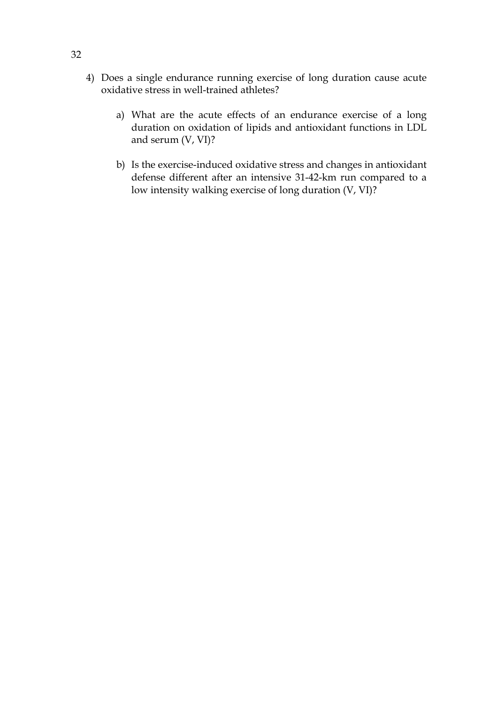- 4) Does a single endurance running exercise of long duration cause acute oxidative stress in well-trained athletes?
	- a) What are the acute effects of an endurance exercise of a long duration on oxidation of lipids and antioxidant functions in LDL and serum (V, VI)?
	- b) Is the exercise-induced oxidative stress and changes in antioxidant defense different after an intensive 31-42-km run compared to a low intensity walking exercise of long duration (V, VI)?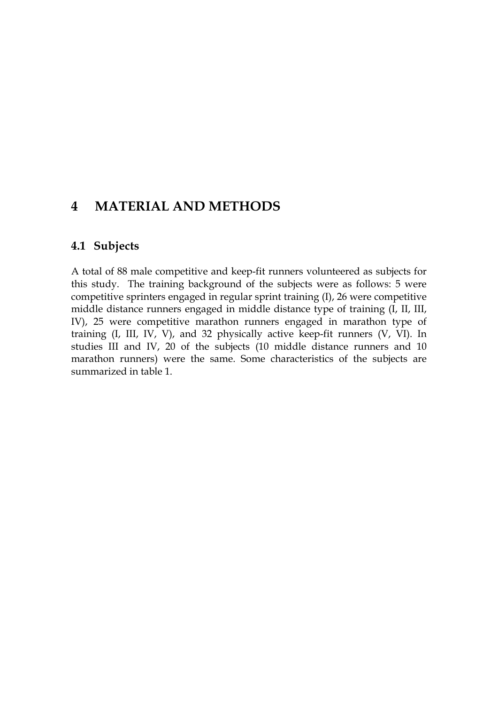# **4 MATERIAL AND METHODS**

#### **4.1 Subjects**

A total of 88 male competitive and keep-fit runners volunteered as subjects for this study. The training background of the subjects were as follows: 5 were competitive sprinters engaged in regular sprint training (I), 26 were competitive middle distance runners engaged in middle distance type of training (I, II, III, IV), 25 were competitive marathon runners engaged in marathon type of training (I, III, IV, V), and 32 physically active keep-fit runners (V, VI). In studies III and IV, 20 of the subjects (10 middle distance runners and 10 marathon runners) were the same. Some characteristics of the subjects are summarized in table 1.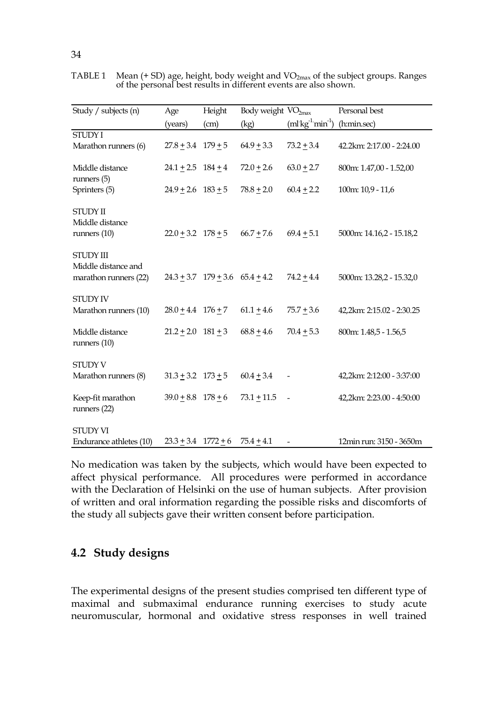TABLE 1 Mean (+ SD) age, height, body weight and VO<sub>2max</sub> of the subject groups. Ranges of the personal best results in different events are also shown.

| Study / subjects (n)                                      | Age                        | Height                                | Body weight VO <sub>2max</sub> |                                            | Personal best             |
|-----------------------------------------------------------|----------------------------|---------------------------------------|--------------------------------|--------------------------------------------|---------------------------|
|                                                           | (years)                    | (cm)                                  | (kg)                           | $(ml$ kg <sup>-1</sup> min <sup>-1</sup> ) | (h:min.sec)               |
| <b>STUDY I</b><br>Marathon runners (6)                    | $27.8 + 3.4$ $179 + 5$     |                                       | $64.9 \pm 3.3$                 | $73.2 \pm 3.4$                             | 42.2km: 2:17.00 - 2:24.00 |
| Middle distance<br>runners $(5)$                          | $24.1 + 2.5$ $184 + 4$     |                                       | $72.0 \pm 2.6$                 | $63.0 \pm 2.7$                             | 800m: 1.47,00 - 1.52,00   |
| Sprinters (5)                                             | $24.9 + 2.6$ $183 + 5$     |                                       | $78.8 \pm 2.0$                 | $60.4 \pm 2.2$                             | 100m: 10,9 - 11,6         |
| <b>STUDY II</b><br>Middle distance<br>runners $(10)$      | $22.0 + 3.2$ $178 + 5$     |                                       | $66.7 + 7.6$                   | $69.4 \pm 5.1$                             | 5000m: 14.16,2 - 15.18,2  |
| STUDY III<br>Middle distance and<br>marathon runners (22) |                            | $24.3 + 3.7$ $179 + 3.6$ $65.4 + 4.2$ |                                | $74.2 + 4.4$                               | 5000m: 13.28,2 - 15.32,0  |
| <b>STUDY IV</b><br>Marathon runners (10)                  | $28.0 + 4.4$ $176 + 7$     |                                       | $61.1 + 4.6$                   | $75.7 + 3.6$                               | 42,2km: 2:15.02 - 2:30.25 |
| Middle distance<br>runners $(10)$                         | $21.2 + 2.0$ $181 + 3$     |                                       | $68.8 + 4.6$                   | $70.4 + 5.3$                               | 800m: 1.48,5 - 1.56,5     |
| <b>STUDY V</b><br>Marathon runners (8)                    | $31.3 \pm 3.2$ $173 \pm 5$ |                                       | $60.4 + 3.4$                   | $\overline{a}$                             | 42,2km: 2:12:00 - 3:37:00 |
| Keep-fit marathon<br>runners $(22)$                       | $39.0 + 8.8$ $178 + 6$     |                                       | $73.1 + 11.5$                  | $\sim$ $-$                                 | 42,2km: 2:23.00 - 4:50:00 |
| <b>STUDY VI</b><br>Endurance athletes (10)                | $23.3 + 3.4$ $1772 + 6$    |                                       | $75.4 + 4.1$                   |                                            | 12min run: 3150 - 3650m   |

No medication was taken by the subjects, which would have been expected to affect physical performance. All procedures were performed in accordance with the Declaration of Helsinki on the use of human subjects. After provision of written and oral information regarding the possible risks and discomforts of the study all subjects gave their written consent before participation.

### **4.2 Study designs**

The experimental designs of the present studies comprised ten different type of maximal and submaximal endurance running exercises to study acute neuromuscular, hormonal and oxidative stress responses in well trained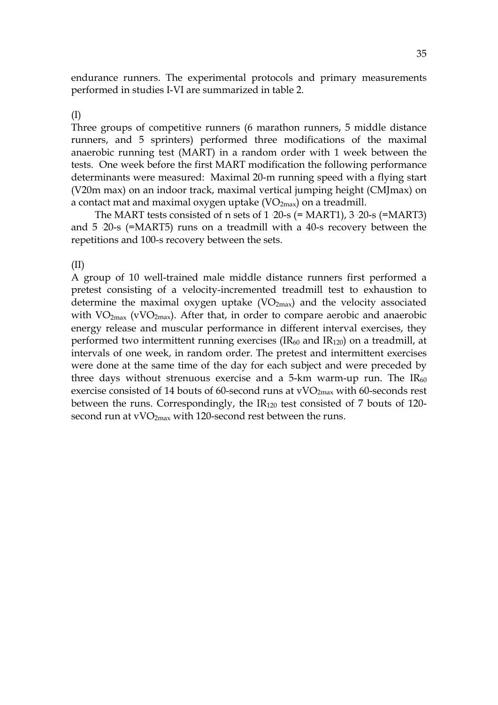endurance runners. The experimental protocols and primary measurements performed in studies I-VI are summarized in table 2.

#### (I)

Three groups of competitive runners (6 marathon runners, 5 middle distance runners, and 5 sprinters) performed three modifications of the maximal anaerobic running test (MART) in a random order with 1 week between the tests. One week before the first MART modification the following performance determinants were measured: Maximal 20-m running speed with a flying start (V20m max) on an indoor track, maximal vertical jumping height (CMJmax) on a contact mat and maximal oxygen uptake  $(VO<sub>2max</sub>)$  on a treadmill.

The MART tests consisted of n sets of  $1 \cdot 20$ -s (= MART1),  $3 \cdot 20$ -s (= MART3) and 5 . 20-s (=MART5) runs on a treadmill with a 40-s recovery between the repetitions and 100-s recovery between the sets.

(II)

A group of 10 well-trained male middle distance runners first performed a pretest consisting of a velocity-incremented treadmill test to exhaustion to determine the maximal oxygen uptake  $(VO<sub>2max</sub>)$  and the velocity associated with  $VO_{2max}$  (vVO<sub>2max</sub>). After that, in order to compare aerobic and anaerobic energy release and muscular performance in different interval exercises, they performed two intermittent running exercises (IR60 and IR120) on a treadmill, at intervals of one week, in random order. The pretest and intermittent exercises were done at the same time of the day for each subject and were preceded by three days without strenuous exercise and a 5-km warm-up run. The  $IR_{60}$ exercise consisted of 14 bouts of 60-second runs at  $vVO<sub>2max</sub>$  with 60-seconds rest between the runs. Correspondingly, the IR120 test consisted of 7 bouts of 120 second run at  $vVO<sub>2max</sub>$  with 120-second rest between the runs.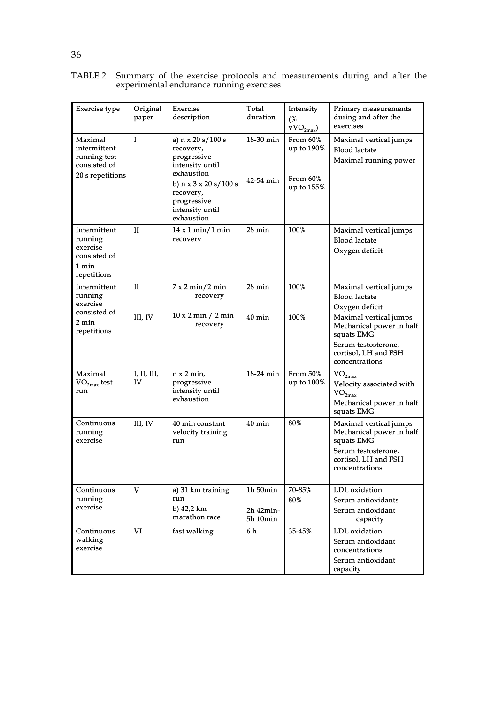| <b>Exercise</b> type                                                        | Original<br>paper      | Exercise<br>description                                                                                                                                                                   | Total<br>duration                      | Intensity<br>(%<br>$vVO_{2max}$                  | Primary measurements<br>during and after the<br>exercises                                                                         |
|-----------------------------------------------------------------------------|------------------------|-------------------------------------------------------------------------------------------------------------------------------------------------------------------------------------------|----------------------------------------|--------------------------------------------------|-----------------------------------------------------------------------------------------------------------------------------------|
| Maximal<br>intermittent<br>running test<br>consisted of<br>20 s repetitions | I                      | a) $n \times 20 s / 100 s$<br>recovery,<br>progressive<br>intensity until<br>exhaustion<br>b) $n \times 3 \times 20$ s/100 s<br>recovery,<br>progressive<br>intensity until<br>exhaustion | $18-30$ min<br>42-54 min               | From 60%<br>up to 190%<br>From 60%<br>up to 155% | Maximal vertical jumps<br><b>Blood lactate</b><br>Maximal running power                                                           |
| Intermittent<br>running<br>exercise<br>consisted of<br>1 min<br>repetitions | H                      | $14 \times 1$ min/1 min<br>recovery                                                                                                                                                       | $28 \text{ min}$                       | 100%                                             | Maximal vertical jumps<br><b>Blood lactate</b><br>Oxygen deficit                                                                  |
| Intermittent<br>running<br>exercise<br>consisted of<br>2 min                | $_{\rm II}$<br>III, IV | $7 \times 2 \text{ min}/2 \text{ min}$<br>recovery<br>$10 \times 2$ min / 2 min<br>recovery                                                                                               | 28 min<br>$40 \text{ min}$             | 100%<br>100%                                     | Maximal vertical jumps<br><b>Blood lactate</b><br>Oxygen deficit<br>Maximal vertical jumps<br>Mechanical power in half            |
| repetitions                                                                 |                        |                                                                                                                                                                                           |                                        |                                                  | squats EMG<br>Serum testosterone,<br>cortisol, LH and FSH<br>concentrations                                                       |
| Maximal<br>$VO2max$ test<br>run                                             | I, II, III,<br>IV      | $n \times 2$ min,<br>progressive<br>intensity until<br>exhaustion                                                                                                                         | $18-24$ min                            | From 50%<br>up to 100%                           | VO <sub>2max</sub><br>Velocity associated with<br>$\mathrm{VO}_{2\mathrm{max}}$<br>Mechanical power in half<br>squats EMG         |
| Continuous<br>running<br>exercise                                           | III, IV                | 40 min constant<br>velocity training<br>run                                                                                                                                               | $40 \text{ min}$                       | 80%                                              | Maximal vertical jumps<br>Mechanical power in half<br>squats EMG<br>Serum testosterone,<br>cortisol, LH and FSH<br>concentrations |
| Continuous<br>running<br>exercise                                           | V                      | a) 31 km training<br>run<br>b) $42,2 \text{ km}$<br>marathon race                                                                                                                         | $1h$ 50 $min$<br>2h 42min-<br>5h 10min | 70-85%<br>80%                                    | LDL oxidation<br>Serum antioxidants<br>Serum antioxidant<br>capacity                                                              |
| Continuous<br>walking<br>exercise                                           | VI                     | fast walking                                                                                                                                                                              | 6 h                                    | 35-45%                                           | LDL oxidation<br>Serum antioxidant<br>concentrations<br>Serum antioxidant<br>capacity                                             |

TABLE 2 Summary of the exercise protocols and measurements during and after the experimental endurance running exercises

# 36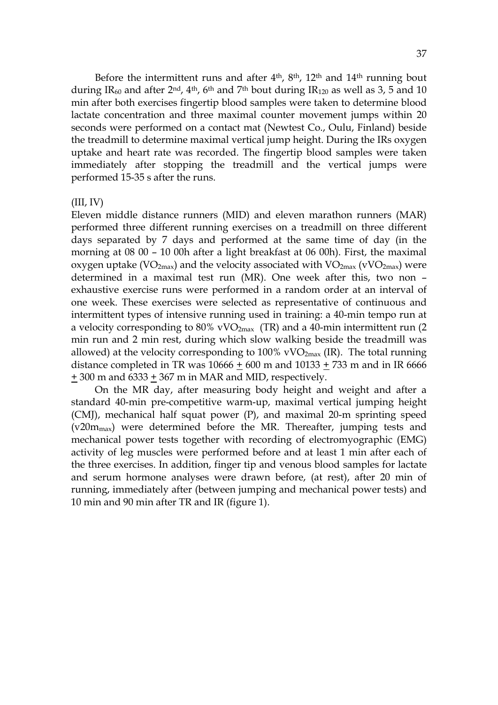Before the intermittent runs and after  $4<sup>th</sup>$ ,  $8<sup>th</sup>$ ,  $12<sup>th</sup>$  and  $14<sup>th</sup>$  running bout during IR<sub>60</sub> and after  $2<sup>nd</sup>$ ,  $4<sup>th</sup>$ ,  $6<sup>th</sup>$  and  $7<sup>th</sup>$  bout during IR<sub>120</sub> as well as 3, 5 and 10 min after both exercises fingertip blood samples were taken to determine blood lactate concentration and three maximal counter movement jumps within 20 seconds were performed on a contact mat (Newtest Co., Oulu, Finland) beside the treadmill to determine maximal vertical jump height. During the IRs oxygen uptake and heart rate was recorded. The fingertip blood samples were taken immediately after stopping the treadmill and the vertical jumps were performed 15-35 s after the runs.

#### $(III, IV)$

Eleven middle distance runners (MID) and eleven marathon runners (MAR) performed three different running exercises on a treadmill on three different days separated by 7 days and performed at the same time of day (in the morning at 08 00 – 10 00h after a light breakfast at 06 00h). First, the maximal oxygen uptake ( $VO_{2max}$ ) and the velocity associated with  $VO_{2max}$  ( $VVO_{2max}$ ) were determined in a maximal test run (MR). One week after this, two non – exhaustive exercise runs were performed in a random order at an interval of one week. These exercises were selected as representative of continuous and intermittent types of intensive running used in training: a 40-min tempo run at a velocity corresponding to 80% vVO<sub>2max</sub> (TR) and a 40-min intermittent run (2) min run and 2 min rest, during which slow walking beside the treadmill was allowed) at the velocity corresponding to  $100\%$  vVO<sub>2max</sub> (IR). The total running distance completed in TR was  $10666 + 600$  m and  $10133 + 733$  m and in IR 6666 + 300 m and 6333 + 367 m in MAR and MID, respectively.

On the MR day, after measuring body height and weight and after a standard 40-min pre-competitive warm-up, maximal vertical jumping height (CMJ), mechanical half squat power (P), and maximal 20-m sprinting speed (v20mmax) were determined before the MR. Thereafter, jumping tests and mechanical power tests together with recording of electromyographic (EMG) activity of leg muscles were performed before and at least 1 min after each of the three exercises. In addition, finger tip and venous blood samples for lactate and serum hormone analyses were drawn before, (at rest), after 20 min of running, immediately after (between jumping and mechanical power tests) and 10 min and 90 min after TR and IR (figure 1).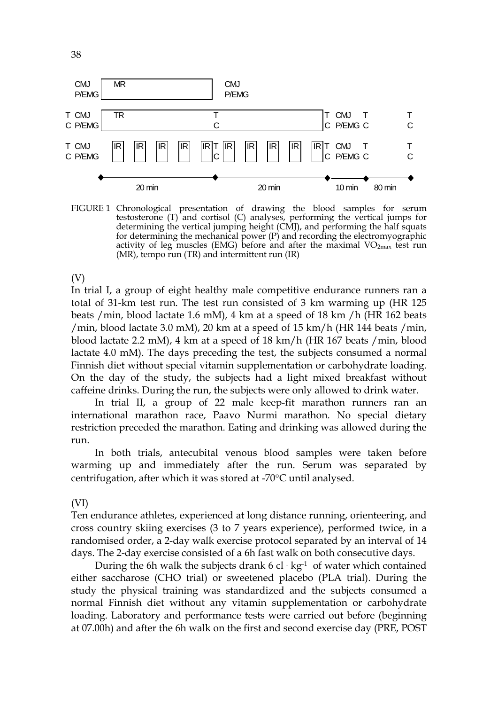

FIGURE 1 Chronological presentation of drawing the blood samples for serum testosterone (T) and cortisol (C) analyses, performing the vertical jumps for determining the vertical jumping height (CMJ), and performing the half squats for determining the mechanical power (P) and recording the electromyographic activity of leg muscles (EMG) before and after the maximal  $VO_{2max}$  test run (MR), tempo run (TR) and intermittent run (IR)

(V)

In trial I, a group of eight healthy male competitive endurance runners ran a total of 31-km test run. The test run consisted of 3 km warming up (HR 125 beats /min, blood lactate 1.6 mM), 4 km at a speed of 18 km /h (HR 162 beats /min, blood lactate 3.0 mM), 20 km at a speed of 15 km/h (HR 144 beats /min, blood lactate 2.2 mM), 4 km at a speed of 18 km/h (HR 167 beats /min, blood lactate 4.0 mM). The days preceding the test, the subjects consumed a normal Finnish diet without special vitamin supplementation or carbohydrate loading. On the day of the study, the subjects had a light mixed breakfast without caffeine drinks. During the run, the subjects were only allowed to drink water.

In trial II, a group of 22 male keep-fit marathon runners ran an international marathon race, Paavo Nurmi marathon. No special dietary restriction preceded the marathon. Eating and drinking was allowed during the run.

In both trials, antecubital venous blood samples were taken before warming up and immediately after the run. Serum was separated by centrifugation, after which it was stored at -70°C until analysed.

#### (VI)

Ten endurance athletes, experienced at long distance running, orienteering, and cross country skiing exercises (3 to 7 years experience), performed twice, in a randomised order, a 2-day walk exercise protocol separated by an interval of 14 days. The 2-day exercise consisted of a 6h fast walk on both consecutive days.

During the 6h walk the subjects drank  $6$  cl  $\cdot$  kg<sup>-1</sup> of water which contained either saccharose (CHO trial) or sweetened placebo (PLA trial). During the study the physical training was standardized and the subjects consumed a normal Finnish diet without any vitamin supplementation or carbohydrate loading. Laboratory and performance tests were carried out before (beginning at 07.00h) and after the 6h walk on the first and second exercise day (PRE, POST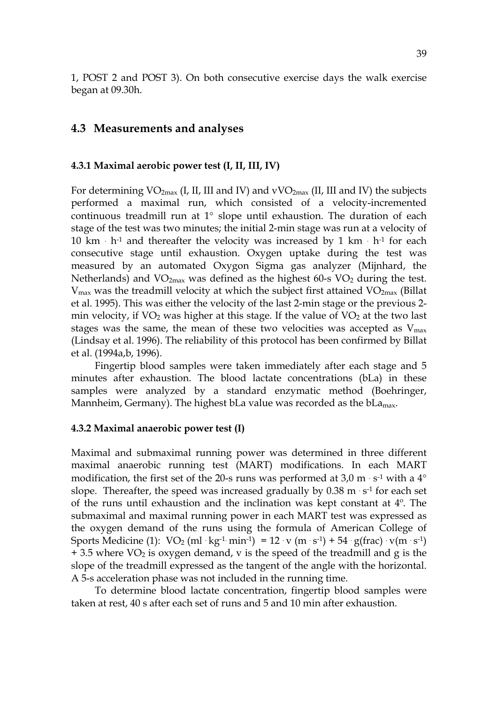1, POST 2 and POST 3). On both consecutive exercise days the walk exercise began at 09.30h.

### **4.3 Measurements and analyses**

#### **4.3.1 Maximal aerobic power test (I, II, III, IV)**

For determining  $VO_{2max}$  (I, II, III and IV) and  $vVO_{2max}$  (II, III and IV) the subjects performed a maximal run, which consisted of a velocity-incremented continuous treadmill run at 1° slope until exhaustion. The duration of each stage of the test was two minutes; the initial 2-min stage was run at a velocity of 10 km  $\cdot$  h<sup>-1</sup> and thereafter the velocity was increased by 1 km  $\cdot$  h<sup>-1</sup> for each consecutive stage until exhaustion. Oxygen uptake during the test was measured by an automated Oxygon Sigma gas analyzer (Mijnhard, the Netherlands) and  $VO<sub>2max</sub>$  was defined as the highest 60-s  $VO<sub>2</sub>$  during the test.  $V_{\text{max}}$  was the treadmill velocity at which the subject first attained  $VO_{\text{2max}}$  (Billat et al. 1995). This was either the velocity of the last 2-min stage or the previous 2 min velocity, if  $VO<sub>2</sub>$  was higher at this stage. If the value of  $VO<sub>2</sub>$  at the two last stages was the same, the mean of these two velocities was accepted as  $V_{\text{max}}$ (Lindsay et al. 1996). The reliability of this protocol has been confirmed by Billat et al. (1994a,b, 1996).

Fingertip blood samples were taken immediately after each stage and 5 minutes after exhaustion. The blood lactate concentrations (bLa) in these samples were analyzed by a standard enzymatic method (Boehringer, Mannheim, Germany). The highest bLa value was recorded as the  $bLa<sub>max</sub>$ .

#### **4.3.2 Maximal anaerobic power test (I)**

Maximal and submaximal running power was determined in three different maximal anaerobic running test (MART) modifications. In each MART modification, the first set of the 20-s runs was performed at 3,0 m  $\cdot$  s<sup>-1</sup> with a 4 $\circ$ slope. Thereafter, the speed was increased gradually by  $0.38 \text{ m} \cdot \text{s}^{-1}$  for each set of the runs until exhaustion and the inclination was kept constant at 4º. The submaximal and maximal running power in each MART test was expressed as the oxygen demand of the runs using the formula of American College of Sports Medicine (1):  $VO_2$  (ml  $\cdot$  kg<sup>-1.</sup> min<sup>-1</sup>) = 12  $\cdot$  v (m  $\cdot$  s<sup>-1</sup>) + 54  $\cdot$  g(frac)  $\cdot$  v(m  $\cdot$  s<sup>-1</sup>)  $+ 3.5$  where VO<sub>2</sub> is oxygen demand, v is the speed of the treadmill and g is the slope of the treadmill expressed as the tangent of the angle with the horizontal. A 5-s acceleration phase was not included in the running time.

To determine blood lactate concentration, fingertip blood samples were taken at rest, 40 s after each set of runs and 5 and 10 min after exhaustion.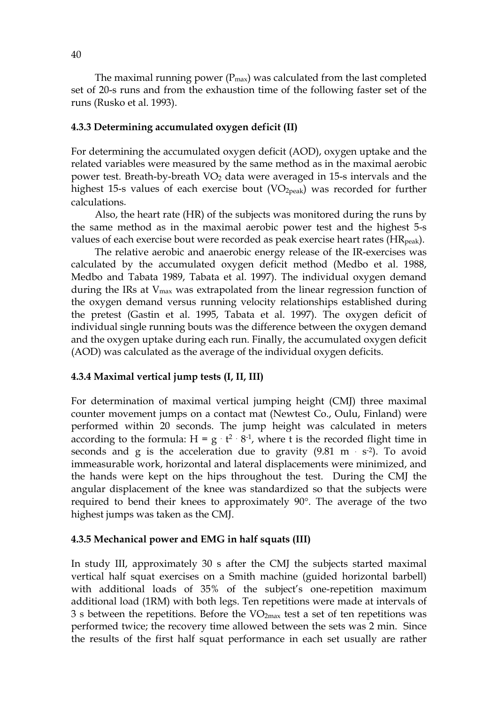The maximal running power  $(P_{\text{max}})$  was calculated from the last completed set of 20-s runs and from the exhaustion time of the following faster set of the runs (Rusko et al. 1993).

#### **4.3.3 Determining accumulated oxygen deficit (II)**

For determining the accumulated oxygen deficit (AOD), oxygen uptake and the related variables were measured by the same method as in the maximal aerobic power test. Breath-by-breath VO<sub>2</sub> data were averaged in 15-s intervals and the highest 15-s values of each exercise bout  $(VO<sub>2peak</sub>)$  was recorded for further calculations.

Also, the heart rate (HR) of the subjects was monitored during the runs by the same method as in the maximal aerobic power test and the highest 5-s values of each exercise bout were recorded as peak exercise heart rates (HR<sub>peak</sub>).

The relative aerobic and anaerobic energy release of the IR-exercises was calculated by the accumulated oxygen deficit method (Medbo et al. 1988, Medbo and Tabata 1989, Tabata et al. 1997). The individual oxygen demand during the IRs at  $V_{\text{max}}$  was extrapolated from the linear regression function of the oxygen demand versus running velocity relationships established during the pretest (Gastin et al. 1995, Tabata et al. 1997). The oxygen deficit of individual single running bouts was the difference between the oxygen demand and the oxygen uptake during each run. Finally, the accumulated oxygen deficit (AOD) was calculated as the average of the individual oxygen deficits.

#### **4.3.4 Maximal vertical jump tests (I, II, III)**

For determination of maximal vertical jumping height (CMJ) three maximal counter movement jumps on a contact mat (Newtest Co., Oulu, Finland) were performed within 20 seconds. The jump height was calculated in meters according to the formula:  $H = g \cdot t^2 \cdot 8^{-1}$ , where t is the recorded flight time in seconds and g is the acceleration due to gravity  $(9.81 \text{ m} \cdot \text{s}^{-2})$ . To avoid immeasurable work, horizontal and lateral displacements were minimized, and the hands were kept on the hips throughout the test. During the CMJ the angular displacement of the knee was standardized so that the subjects were required to bend their knees to approximately 90°. The average of the two highest jumps was taken as the CMJ.

#### **4.3.5 Mechanical power and EMG in half squats (III)**

In study III, approximately 30 s after the CMJ the subjects started maximal vertical half squat exercises on a Smith machine (guided horizontal barbell) with additional loads of 35% of the subject's one-repetition maximum additional load (1RM) with both legs. Ten repetitions were made at intervals of 3 s between the repetitions. Before the  $VO<sub>2max</sub>$  test a set of ten repetitions was performed twice; the recovery time allowed between the sets was 2 min. Since the results of the first half squat performance in each set usually are rather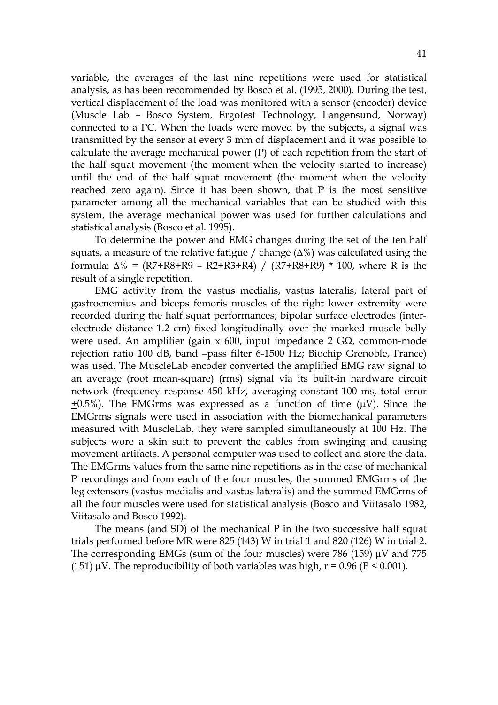variable, the averages of the last nine repetitions were used for statistical analysis, as has been recommended by Bosco et al. (1995, 2000). During the test, vertical displacement of the load was monitored with a sensor (encoder) device (Muscle Lab – Bosco System, Ergotest Technology, Langensund, Norway) connected to a PC. When the loads were moved by the subjects, a signal was transmitted by the sensor at every 3 mm of displacement and it was possible to calculate the average mechanical power (P) of each repetition from the start of the half squat movement (the moment when the velocity started to increase) until the end of the half squat movement (the moment when the velocity reached zero again). Since it has been shown, that P is the most sensitive parameter among all the mechanical variables that can be studied with this system, the average mechanical power was used for further calculations and statistical analysis (Bosco et al. 1995).

To determine the power and EMG changes during the set of the ten half squats, a measure of the relative fatigue / change  $(\Delta\%)$  was calculated using the formula:  $\Delta\% = (R7 + R8 + R9 - R2 + R3 + R4) / (R7 + R8 + R9) * 100$ , where R is the result of a single repetition.

EMG activity from the vastus medialis, vastus lateralis, lateral part of gastrocnemius and biceps femoris muscles of the right lower extremity were recorded during the half squat performances; bipolar surface electrodes (interelectrode distance 1.2 cm) fixed longitudinally over the marked muscle belly were used. An amplifier (gain x 600, input impedance 2 GΩ, common-mode rejection ratio 100 dB, band –pass filter 6-1500 Hz; Biochip Grenoble, France) was used. The MuscleLab encoder converted the amplified EMG raw signal to an average (root mean-square) (rms) signal via its built-in hardware circuit network (frequency response 450 kHz, averaging constant 100 ms, total error +0.5%). The EMGrms was expressed as a function of time  $(\mu V)$ . Since the EMGrms signals were used in association with the biomechanical parameters measured with MuscleLab, they were sampled simultaneously at 100 Hz. The subjects wore a skin suit to prevent the cables from swinging and causing movement artifacts. A personal computer was used to collect and store the data. The EMGrms values from the same nine repetitions as in the case of mechanical P recordings and from each of the four muscles, the summed EMGrms of the leg extensors (vastus medialis and vastus lateralis) and the summed EMGrms of all the four muscles were used for statistical analysis (Bosco and Viitasalo 1982, Viitasalo and Bosco 1992).

The means (and SD) of the mechanical P in the two successive half squat trials performed before MR were 825 (143) W in trial 1 and 820 (126) W in trial 2. The corresponding EMGs (sum of the four muscles) were 786 (159)  $\mu$ V and 775 (151)  $\mu$ V. The reproducibility of both variables was high,  $r = 0.96$  (P < 0.001).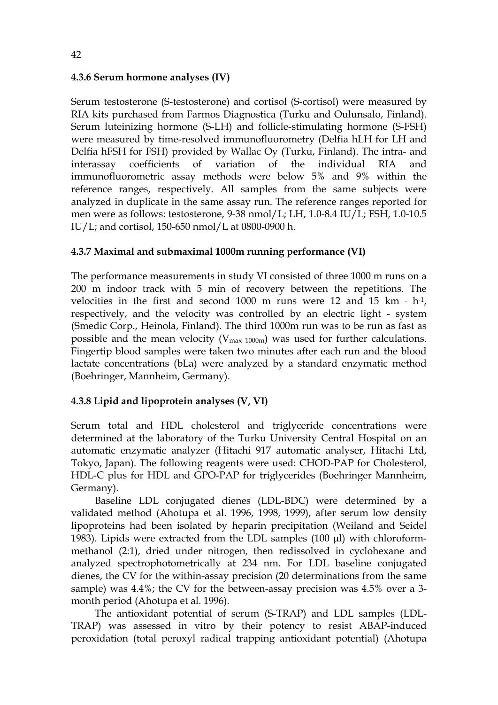### **4.3.6 Serum hormone analyses (IV)**

Serum testosterone (S-testosterone) and cortisol (S-cortisol) were measured by RIA kits purchased from Farmos Diagnostica (Turku and Oulunsalo, Finland). Serum luteinizing hormone (S-LH) and follicle-stimulating hormone (S-FSH) were measured by time-resolved immunofluorometry (Delfia hLH for LH and Delfia hFSH for FSH) provided by Wallac Oy (Turku, Finland). The intra- and interassay coefficients of variation of the individual RIA and immunofluorometric assay methods were below 5% and 9% within the reference ranges, respectively. All samples from the same subjects were analyzed in duplicate in the same assay run. The reference ranges reported for men were as follows: testosterone, 9-38 nmol/L; LH, 1.0-8.4 IU/L; FSH, 1.0-10.5 IU/L; and cortisol, 150-650 nmol/L at 0800-0900 h.

### **4.3.7 Maximal and submaximal 1000m running performance (VI)**

The performance measurements in study VI consisted of three 1000 m runs on a 200 m indoor track with 5 min of recovery between the repetitions. The velocities in the first and second 1000 m runs were 12 and 15  $km - h<sup>-1</sup>$ , respectively, and the velocity was controlled by an electric light - system (Smedic Corp., Heinola, Finland). The third 1000m run was to be run as fast as possible and the mean velocity ( $V_{\text{max 1000m}}$ ) was used for further calculations. Fingertip blood samples were taken two minutes after each run and the blood lactate concentrations (bLa) were analyzed by a standard enzymatic method (Boehringer, Mannheim, Germany).

### **4.3.8 Lipid and lipoprotein analyses (V, VI)**

Serum total and HDL cholesterol and triglyceride concentrations were determined at the laboratory of the Turku University Central Hospital on an automatic enzymatic analyzer (Hitachi 917 automatic analyser, Hitachi Ltd, Tokyo, Japan). The following reagents were used: CHOD-PAP for Cholesterol, HDL-C plus for HDL and GPO-PAP for triglycerides (Boehringer Mannheim, Germany).

Baseline LDL conjugated dienes (LDL-BDC) were determined by a validated method (Ahotupa et al. 1996, 1998, 1999), after serum low density lipoproteins had been isolated by heparin precipitation (Weiland and Seidel 1983). Lipids were extracted from the LDL samples (100 μl) with chloroformmethanol (2:1), dried under nitrogen, then redissolved in cyclohexane and analyzed spectrophotometrically at 234 nm. For LDL baseline conjugated dienes, the CV for the within-assay precision (20 determinations from the same sample) was 4.4%; the CV for the between-assay precision was 4.5% over a 3 month period (Ahotupa et al. 1996).

The antioxidant potential of serum (S-TRAP) and LDL samples (LDL-TRAP) was assessed in vitro by their potency to resist ABAP-induced peroxidation (total peroxyl radical trapping antioxidant potential) (Ahotupa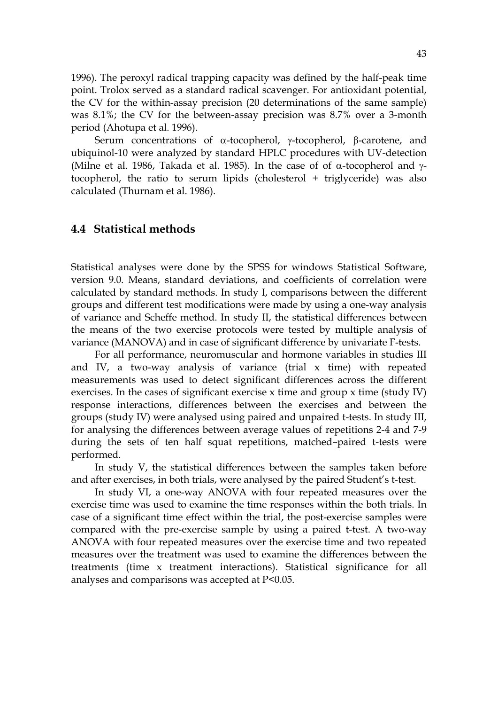1996). The peroxyl radical trapping capacity was defined by the half-peak time point. Trolox served as a standard radical scavenger. For antioxidant potential, the CV for the within-assay precision (20 determinations of the same sample) was 8.1%; the CV for the between-assay precision was 8.7% over a 3-month period (Ahotupa et al. 1996).

Serum concentrations of α-tocopherol, γ-tocopherol, β-carotene, and ubiquinol-10 were analyzed by standard HPLC procedures with UV-detection (Milne et al. 1986, Takada et al. 1985). In the case of of  $\alpha$ -tocopherol and  $\gamma$ tocopherol, the ratio to serum lipids (cholesterol + triglyceride) was also calculated (Thurnam et al. 1986).

### **4.4 Statistical methods**

Statistical analyses were done by the SPSS for windows Statistical Software, version 9.0. Means, standard deviations, and coefficients of correlation were calculated by standard methods. In study I, comparisons between the different groups and different test modifications were made by using a one-way analysis of variance and Scheffe method. In study II, the statistical differences between the means of the two exercise protocols were tested by multiple analysis of variance (MANOVA) and in case of significant difference by univariate F-tests.

For all performance, neuromuscular and hormone variables in studies III and IV, a two-way analysis of variance (trial  $x$  time) with repeated measurements was used to detect significant differences across the different exercises. In the cases of significant exercise x time and group x time (study IV) response interactions, differences between the exercises and between the groups (study IV) were analysed using paired and unpaired t-tests. In study III, for analysing the differences between average values of repetitions 2-4 and 7-9 during the sets of ten half squat repetitions, matched–paired t-tests were performed.

In study V, the statistical differences between the samples taken before and after exercises, in both trials, were analysed by the paired Student's t-test.

In study VI, a one-way ANOVA with four repeated measures over the exercise time was used to examine the time responses within the both trials. In case of a significant time effect within the trial, the post-exercise samples were compared with the pre-exercise sample by using a paired t-test. A two-way ANOVA with four repeated measures over the exercise time and two repeated measures over the treatment was used to examine the differences between the treatments (time x treatment interactions). Statistical significance for all analyses and comparisons was accepted at P<0.05.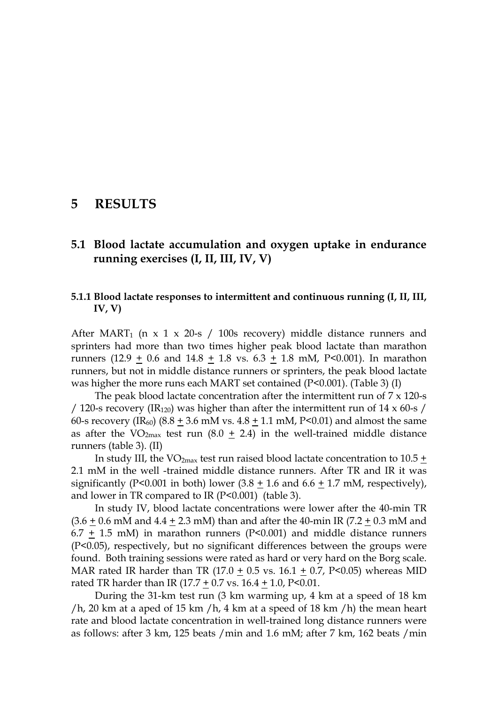## **5 RESULTS**

## **5.1 Blood lactate accumulation and oxygen uptake in endurance running exercises (I, II, III, IV, V)**

#### **5.1.1 Blood lactate responses to intermittent and continuous running (I, II, III, IV, V)**

After MART<sub>1</sub> (n x 1 x 20-s / 100s recovery) middle distance runners and sprinters had more than two times higher peak blood lactate than marathon runners (12.9 + 0.6 and 14.8 + 1.8 vs.  $6.3 + 1.8$  mM, P<0.001). In marathon runners, but not in middle distance runners or sprinters, the peak blood lactate was higher the more runs each MART set contained (P<0.001). (Table 3) (I)

The peak blood lactate concentration after the intermittent run of  $7 \times 120$ -s / 120-s recovery (IR<sub>120</sub>) was higher than after the intermittent run of 14  $\times$  60-s / 60-s recovery (IR<sub>60</sub>) (8.8 + 3.6 mM vs.  $4.8 + 1.1$  mM, P<0.01) and almost the same as after the VO<sub>2max</sub> test run (8.0  $\pm$  2.4) in the well-trained middle distance runners (table 3). (II)

In study III, the VO<sub>2max</sub> test run raised blood lactate concentration to  $10.5 \pm$ 2.1 mM in the well -trained middle distance runners. After TR and IR it was significantly (P<0.001 in both) lower  $(3.8 \pm 1.6 \text{ and } 6.6 \pm 1.7 \text{ mM}$ , respectively), and lower in TR compared to IR (P<0.001) (table 3).

In study IV, blood lactate concentrations were lower after the 40-min TR  $(3.6 + 0.6 \text{ mM} \text{ and } 4.4 + 2.3 \text{ mM})$  than and after the 40-min IR (7.2 + 0.3 mM and 6.7  $\pm$  1.5 mM) in marathon runners (P<0.001) and middle distance runners (P<0.05), respectively, but no significant differences between the groups were found. Both training sessions were rated as hard or very hard on the Borg scale. MAR rated IR harder than TR (17.0  $\pm$  0.5 vs. 16.1  $\pm$  0.7, P<0.05) whereas MID rated TR harder than IR (17.7  $\pm$  0.7 vs. 16.4 + 1.0, P<0.01.

During the 31-km test run (3 km warming up, 4 km at a speed of 18 km /h, 20 km at a aped of 15 km /h, 4 km at a speed of 18 km /h) the mean heart rate and blood lactate concentration in well-trained long distance runners were as follows: after 3 km, 125 beats /min and 1.6 mM; after 7 km, 162 beats /min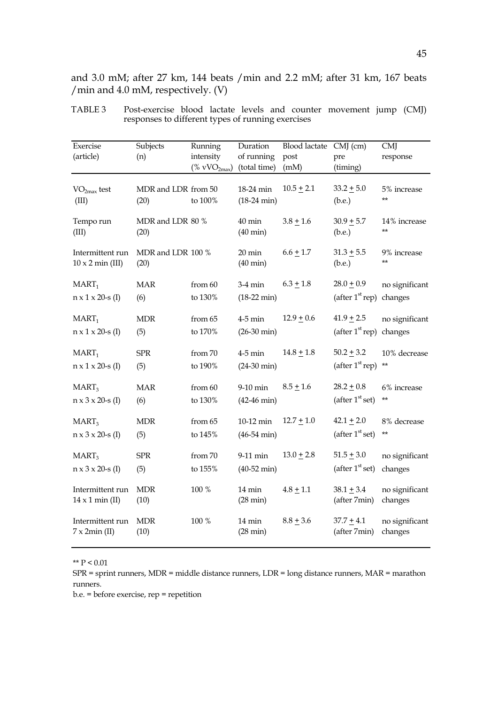and 3.0 mM; after 27 km, 144 beats /min and 2.2 mM; after 31 km, 167 beats /min and 4.0 mM, respectively. (V)

| Exercise<br>(article)                       | Subjects<br>(n)             | Running<br>intensity<br>$(\% \text{ vVO}_{2\text{max}})$ | Duration<br>of running<br>(total time) | <b>Blood lactate</b><br>post<br>(mM) | $CMJ$ (cm)<br>pre<br>(timing) | <b>CMJ</b><br>response       |
|---------------------------------------------|-----------------------------|----------------------------------------------------------|----------------------------------------|--------------------------------------|-------------------------------|------------------------------|
| $VO2max$ test<br>(III)                      | MDR and LDR from 50<br>(20) | to 100%                                                  | 18-24 min<br>$(18-24 \text{ min})$     | $10.5 \pm 2.1$                       | $33.2 + 5.0$<br>(b.e.)        | 5% increase<br>$***$         |
| Tempo run<br>(III)                          | MDR and LDR 80 %<br>(20)    |                                                          | 40 min<br>$(40 \text{ min})$           | $3.8 + 1.6$                          | $30.9 + 5.7$<br>(b.e.)        | 14% increase<br>$\star\star$ |
| Intermittent run<br>$10 \times 2$ min (III) | MDR and LDR 100 %<br>(20)   |                                                          | $20 \text{ min}$<br>$(40 \text{ min})$ | $6.6 + 1.7$                          | $31.3 + 5.5$<br>(b.e.)        | 9% increase<br>$***$         |
| $MART_1$                                    | MAR                         | from 60                                                  | $3-4$ min                              | $6.3 + 1.8$                          | $28.0 + 0.9$                  | no significant               |
| $n \times 1 \times 20$ -s (I)               | (6)                         | to 130%                                                  | $(18-22 \text{ min})$                  |                                      | (after $1st rep$ )            | changes                      |
| $MART_1$                                    | <b>MDR</b>                  | from 65                                                  | $4-5$ min                              | $12.9 + 0.6$                         | $41.9 + 2.5$                  | no significant               |
| $n \times 1 \times 20$ -s (I)               | (5)                         | to 170%                                                  | $(26-30 \text{ min})$                  |                                      | (after 1 <sup>st</sup> rep)   | changes                      |
| $\text{MART}_1$                             | ${\rm SPR}$                 | from 70                                                  | $4-5$ min                              | $14.8 + 1.8$                         | $50.2 \pm 3.2$                | 10% decrease                 |
| $n \times 1 \times 20$ -s (I)               | (5)                         | to 190%                                                  | $(24-30 \text{ min})$                  |                                      | (after $1st$ rep)             | $***$                        |
| $\text{MART}_3$                             | <b>MAR</b>                  | from 60                                                  | 9-10 min                               | $8.5 + 1.6$                          | $28.2 \pm 0.8$                | 6% increase                  |
| $n \times 3 \times 20$ -s (I)               | (6)                         | to 130%                                                  | $(42-46 \text{ min})$                  |                                      | (after $1st$ set)             | **                           |
| MART <sub>3</sub>                           | <b>MDR</b>                  | from 65                                                  | 10-12 min                              | $12.7 \pm 1.0$                       | $42.1 \pm 2.0$                | 8% decrease                  |
| $n \times 3 \times 20$ -s (I)               | (5)                         | to 145%                                                  | $(46-54 \text{ min})$                  |                                      | (after 1 <sup>st</sup> set)   | $***$                        |
| MART <sub>3</sub>                           | ${\rm SPR}$                 | from 70                                                  | 9-11 min                               | $13.0 + 2.8$                         | $51.5 + 3.0$                  | no significant               |
| $n \times 3 \times 20$ -s (I)               | (5)                         | to 155%                                                  | $(40-52 \text{ min})$                  |                                      | (after 1 <sup>st</sup> set)   | changes                      |
| Intermittent run<br>$14 \times 1$ min (II)  | <b>MDR</b><br>(10)          | 100 %                                                    | 14 min<br>$(28 \text{ min})$           | $4.8 + 1.1$                          | $38.1 + 3.4$<br>(after 7min)  | no significant<br>changes    |
| Intermittent run<br>$7 \times 2$ min (II)   | <b>MDR</b><br>(10)          | 100 %                                                    | 14 min<br>$(28 \text{ min})$           | $8.8 + 3.6$                          | $37.7 + 4.1$<br>(after 7min)  | no significant<br>changes    |

TABLE 3 Post-exercise blood lactate levels and counter movement jump (CMJ) responses to different types of running exercises

 $^{\ast\ast}$  P  $< 0.01$ 

SPR = sprint runners, MDR = middle distance runners, LDR = long distance runners, MAR = marathon runners.

b.e. = before exercise, rep = repetition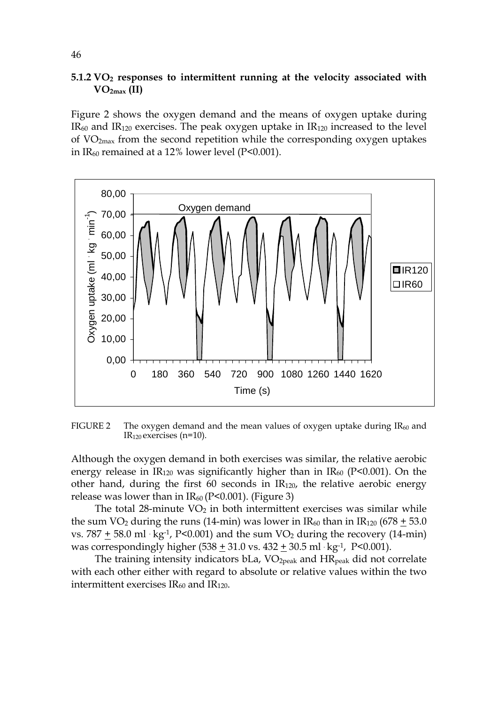#### **5.1.2 VO2 responses to intermittent running at the velocity associated with VO2max (II)**

Figure 2 shows the oxygen demand and the means of oxygen uptake during  $IR<sub>60</sub>$  and  $IR<sub>120</sub>$  exercises. The peak oxygen uptake in  $IR<sub>120</sub>$  increased to the level of  $VO<sub>2max</sub>$  from the second repetition while the corresponding oxygen uptakes in  $IR_{60}$  remained at a 12% lower level (P<0.001).



FIGURE 2 The oxygen demand and the mean values of oxygen uptake during  $IR_{60}$  and  $IR<sub>120</sub>$  exercises (n=10).

Although the oxygen demand in both exercises was similar, the relative aerobic energy release in  $IR<sub>120</sub>$  was significantly higher than in  $IR<sub>60</sub>$  (P<0.001). On the other hand, during the first 60 seconds in  $IR<sub>120</sub>$ , the relative aerobic energy release was lower than in  $IR_{60}$  (P<0.001). (Figure 3)

The total  $28$ -minute  $VO<sub>2</sub>$  in both intermittent exercises was similar while the sum VO<sub>2</sub> during the runs (14-min) was lower in  $IR_{60}$  than in  $IR_{120}$  (678 + 53.0) vs.  $787 + 58.0$  ml  $\cdot$  kg<sup>-1</sup>, P<0.001) and the sum VO<sub>2</sub> during the recovery (14-min) was correspondingly higher  $(538 + 31.0 \text{ vs. } 432 + 30.5 \text{ ml·kg-1}, P < 0.001)$ .

The training intensity indicators  $bLa$ ,  $VO<sub>2peak</sub>$  and  $HR<sub>peak</sub>$  did not correlate with each other either with regard to absolute or relative values within the two intermittent exercises  $IR<sub>60</sub>$  and  $IR<sub>120</sub>$ .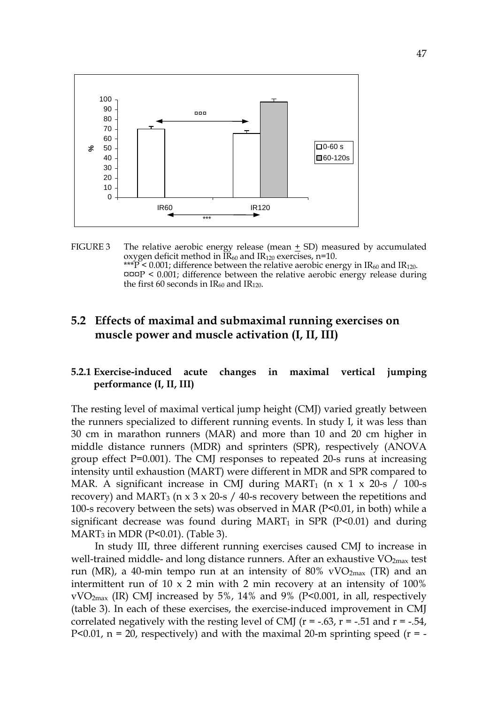

FIGURE 3 The relative aerobic energy release (mean + SD) measured by accumulated oxygen deficit method in  $IR_{60}$  and  $IR_{120}$  exercises, n=10. \*\*\* $\overline{P}$  < 0.001; difference between the relative aerobic energy in IR<sub>60</sub> and IR<sub>120</sub>.  $\text{map}$  < 0.001; difference between the relative aerobic energy release during the first 60 seconds in  $IR_{60}$  and  $IR_{120}$ .

## **5.2 Effects of maximal and submaximal running exercises on muscle power and muscle activation (I, II, III)**

#### **5.2.1 Exercise-induced acute changes in maximal vertical jumping performance (I, II, III)**

The resting level of maximal vertical jump height (CMJ) varied greatly between the runners specialized to different running events. In study I, it was less than 30 cm in marathon runners (MAR) and more than 10 and 20 cm higher in middle distance runners (MDR) and sprinters (SPR), respectively (ANOVA group effect P=0.001). The CMJ responses to repeated 20-s runs at increasing intensity until exhaustion (MART) were different in MDR and SPR compared to MAR. A significant increase in CMJ during MART<sub>1</sub> (n  $\times$  1  $\times$  20-s / 100-s recovery) and MART<sub>3</sub> ( $n \times 3 \times 20$ -s / 40-s recovery between the repetitions and 100-s recovery between the sets) was observed in MAR (P<0.01, in both) while a significant decrease was found during  $MART_1$  in SPR (P<0.01) and during  $MART<sub>3</sub>$  in MDR (P<0.01). (Table 3).

In study III, three different running exercises caused CMJ to increase in well-trained middle- and long distance runners. After an exhaustive  $VO<sub>2max</sub>$  test run (MR), a 40-min tempo run at an intensity of 80% vVO<sub>2max</sub> (TR) and an intermittent run of  $10 \times 2$  min with 2 min recovery at an intensity of  $100\%$ vVO2max (IR) CMJ increased by 5%, 14% and 9% (P<0.001, in all, respectively (table 3). In each of these exercises, the exercise-induced improvement in CMJ correlated negatively with the resting level of CMJ ( $r = -.63$ ,  $r = -.51$  and  $r = -.54$ , P<0.01,  $n = 20$ , respectively) and with the maximal 20-m sprinting speed ( $r = -$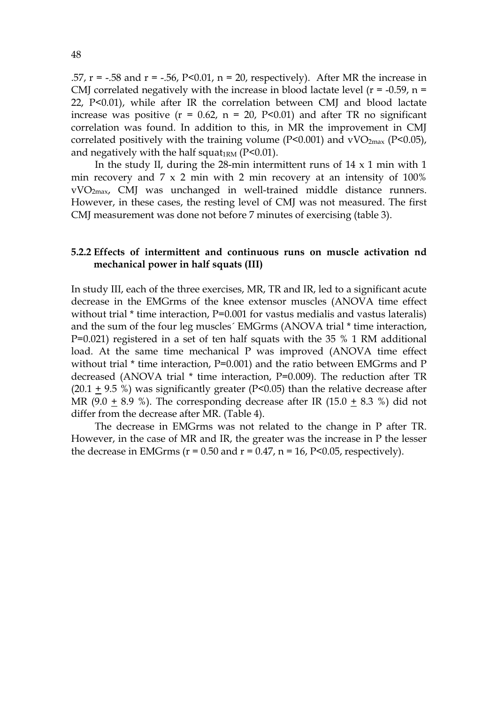.57,  $r = -0.58$  and  $r = -0.56$ ,  $P < 0.01$ ,  $n = 20$ , respectively). After MR the increase in CMJ correlated negatively with the increase in blood lactate level ( $r = -0.59$ ,  $n =$ 22, P<0.01), while after IR the correlation between CMJ and blood lactate increase was positive  $(r = 0.62, n = 20, P<0.01)$  and after TR no significant correlation was found. In addition to this, in MR the improvement in CMJ correlated positively with the training volume ( $P<0.001$ ) and vVO<sub>2max</sub> ( $P<0.05$ ), and negatively with the half squat<sub>1RM</sub> ( $P<0.01$ ).

In the study II, during the 28-min intermittent runs of  $14 \times 1$  min with  $1$ min recovery and 7 x 2 min with 2 min recovery at an intensity of 100% vVO2max, CMJ was unchanged in well-trained middle distance runners. However, in these cases, the resting level of CMJ was not measured. The first CMJ measurement was done not before 7 minutes of exercising (table 3).

#### **5.2.2 Effects of intermittent and continuous runs on muscle activation nd mechanical power in half squats (III)**

In study III, each of the three exercises, MR, TR and IR, led to a significant acute decrease in the EMGrms of the knee extensor muscles (ANOVA time effect without trial \* time interaction, P=0.001 for vastus medialis and vastus lateralis) and the sum of the four leg muscles´ EMGrms (ANOVA trial \* time interaction, P=0.021) registered in a set of ten half squats with the 35 % 1 RM additional load. At the same time mechanical P was improved (ANOVA time effect without trial  $*$  time interaction, P=0.001) and the ratio between EMGrms and P decreased (ANOVA trial \* time interaction, P=0.009). The reduction after TR  $(20.1 + 9.5)$  %) was significantly greater (P<0.05) than the relative decrease after MR (9.0 + 8.9 %). The corresponding decrease after IR (15.0 + 8.3 %) did not differ from the decrease after MR. (Table 4).

The decrease in EMGrms was not related to the change in P after TR. However, in the case of MR and IR, the greater was the increase in P the lesser the decrease in EMGrms ( $r = 0.50$  and  $r = 0.47$ ,  $n = 16$ ,  $P < 0.05$ , respectively).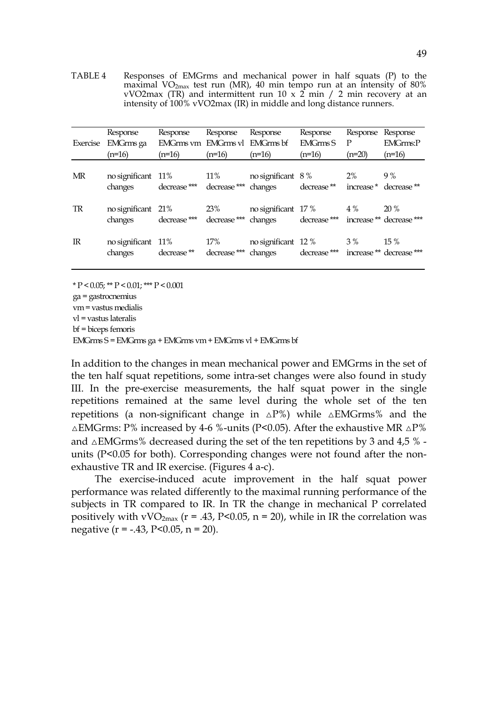TABLE 4 Responses of EMGrms and mechanical power in half squats (P) to the maximal VO2max test run (MR), 40 min tempo run at an intensity of 80% vVO2max (TR) and intermittent run  $10 \times 2$  min  $\ell$  2 min recovery at an intensity of 100% vVO2max (IR) in middle and long distance runners.

| Exercise    | Response<br>EMGrms ga<br>$(n=16)$ | Response<br>EMGrms vm EMGrms vl EMGrms bf<br>(n=16) | Response<br>$(n=16)$           | Response<br>$(n=16)$                                          | Response<br><b>EMGrms S</b><br>$(n=16)$ | Response<br>$\mathbf{P}$<br>$(n=20)$ | Response<br><b>EMGrms:P</b><br>$(n=16)$ |
|-------------|-----------------------------------|-----------------------------------------------------|--------------------------------|---------------------------------------------------------------|-----------------------------------------|--------------------------------------|-----------------------------------------|
| MR          | no significant 11%<br>changes     | decrease ***                                        | $11\%$<br>decrease *** changes | no significant $8\%$                                          | decrease **                             | 2%                                   | 9%<br>increase * decrease **            |
| TR          | no significant 21%<br>changes     | decrease ***                                        | 23%                            | no significant $17\%$ 4%<br>decrease *** changes decrease *** |                                         |                                      | 20%<br>increase ** decrease ***         |
| $_{\rm IR}$ | no significant $11\%$<br>changes  | decrease ** decrease ***                            | 17%                            | no significant $12\%$<br>changes decrease ***                 |                                         | 3 %                                  | $15\%$<br>increase ** decrease ***      |

 $*$  P < 0.05;  $*$  P < 0.01;  $*$   $*$  P < 0.001

ga = gastrocnemius

vm = vastus medialis

vl = vastus lateralis

bf = biceps femoris

EMGrms S = EMGrms ga + EMGrms vm + EMGrms vl + EMGrms bf

In addition to the changes in mean mechanical power and EMGrms in the set of the ten half squat repetitions, some intra-set changes were also found in study III. In the pre-exercise measurements, the half squat power in the single repetitions remained at the same level during the whole set of the ten repetitions (a non-significant change in  $\Delta P\%$ ) while  $\Delta EMGrms\%$  and the  $\triangle$ EMGrms: P% increased by 4-6 %-units (P<0.05). After the exhaustive MR  $\triangle$ P% and  $\triangle$ EMGrms% decreased during the set of the ten repetitions by 3 and 4,5 % units (P<0.05 for both). Corresponding changes were not found after the nonexhaustive TR and IR exercise. (Figures 4 a-c).

The exercise-induced acute improvement in the half squat power performance was related differently to the maximal running performance of the subjects in TR compared to IR. In TR the change in mechanical P correlated positively with vVO<sub>2max</sub> ( $r = .43$ , P<0.05, n = 20), while in IR the correlation was negative  $(r = -.43, P < 0.05, n = 20)$ .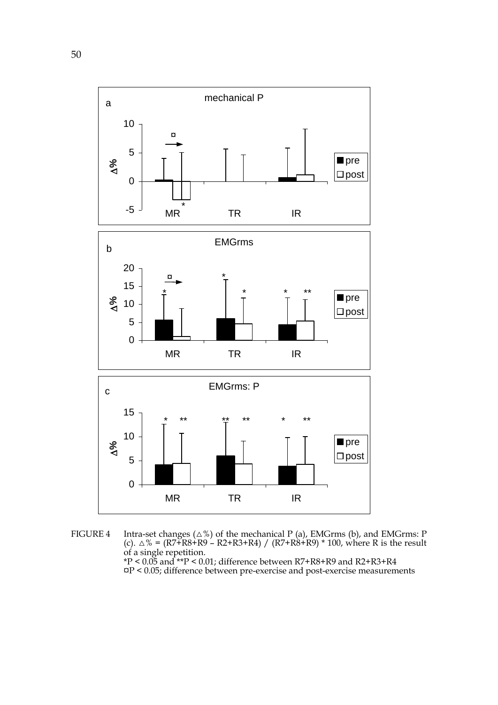

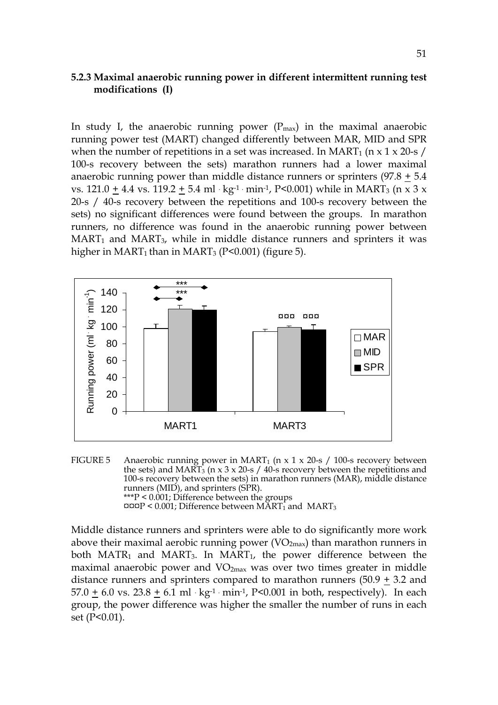#### **5.2.3 Maximal anaerobic running power in different intermittent running test modifications (I)**

In study I, the anaerobic running power  $(P_{\text{max}})$  in the maximal anaerobic running power test (MART) changed differently between MAR, MID and SPR when the number of repetitions in a set was increased. In MART<sub>1</sub> ( $n \times 1 \times 20$ -s / 100-s recovery between the sets) marathon runners had a lower maximal anaerobic running power than middle distance runners or sprinters  $(97.8 + 5.4)$ vs.  $121.0 + 4.4$  vs.  $119.2 + 5.4$  ml · kg<sup>-1</sup> · min<sup>-1</sup>, P<0.001) while in MART<sub>3</sub> (n x 3 x 20-s / 40-s recovery between the repetitions and 100-s recovery between the sets) no significant differences were found between the groups. In marathon runners, no difference was found in the anaerobic running power between  $MART<sub>1</sub>$  and  $MART<sub>3</sub>$ , while in middle distance runners and sprinters it was higher in MART<sub>1</sub> than in MART<sub>3</sub> (P<0.001) (figure 5).



FIGURE 5 Anaerobic running power in MART<sub>1</sub> (n x 1 x 20-s / 100-s recovery between the sets) and MART<sub>3</sub> (n x 3 x 20-s / 40-s recovery between the repetitions and 100-s recovery between the sets) in marathon runners (MAR), middle distance runners (MID), and sprinters (SPR). \*\*\*P < 0.001; Difference between the groups  $\texttt{map} < 0.001$ ; Difference between MART<sub>1</sub> and MART<sub>3</sub>

Middle distance runners and sprinters were able to do significantly more work above their maximal aerobic running power  $(VO<sub>2max</sub>)$  than marathon runners in both MATR<sub>1</sub> and MART<sub>3</sub>. In MART<sub>1</sub>, the power difference between the maximal anaerobic power and  $VO<sub>2max</sub>$  was over two times greater in middle distance runners and sprinters compared to marathon runners  $(50.9 \pm 3.2 \text{ and }$  $57.0 + 6.0$  vs.  $23.8 + 6.1$  ml  $\cdot$  kg<sup>-1</sup>  $\cdot$  min<sup>-1</sup>, P<0.001 in both, respectively). In each group, the power difference was higher the smaller the number of runs in each set (P<0.01).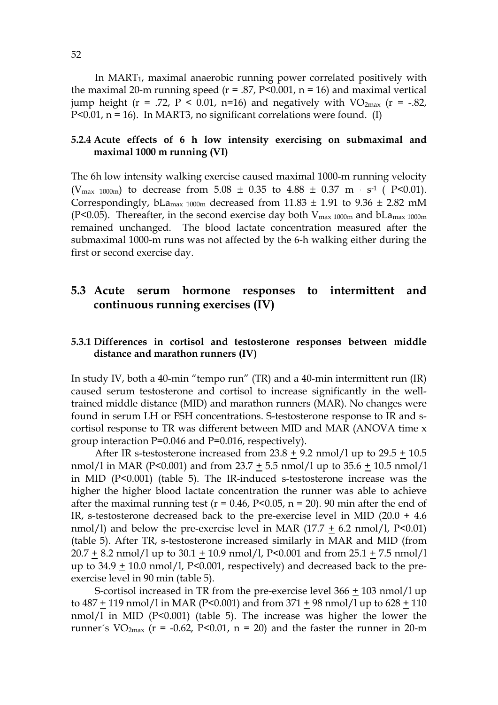In MART<sub>1</sub>, maximal anaerobic running power correlated positively with the maximal 20-m running speed ( $r = .87$ , P<0.001,  $n = 16$ ) and maximal vertical jump height ( $r = .72$ ,  $P < 0.01$ ,  $n=16$ ) and negatively with VO<sub>2max</sub> ( $r = -.82$ , P<0.01,  $n = 16$ ). In MART3, no significant correlations were found. (I)

### **5.2.4 Acute effects of 6 h low intensity exercising on submaximal and maximal 1000 m running (VI)**

The 6h low intensity walking exercise caused maximal 1000-m running velocity (V<sub>max 1000m</sub>) to decrease from  $5.08 \pm 0.35$  to  $4.88 \pm 0.37$  m  $\cdot$  s<sup>-1</sup> ( P<0.01). Correspondingly, bLa<sub>max 1000m</sub> decreased from  $11.83 \pm 1.91$  to  $9.36 \pm 2.82$  mM (P<0.05). Thereafter, in the second exercise day both  $V_{\text{max 1000m}}$  and  $bLa_{\text{max 1000m}}$ remained unchanged. The blood lactate concentration measured after the submaximal 1000-m runs was not affected by the 6-h walking either during the first or second exercise day.

## **5.3 Acute serum hormone responses to intermittent and continuous running exercises (IV)**

#### **5.3.1 Differences in cortisol and testosterone responses between middle distance and marathon runners (IV)**

In study IV, both a 40-min "tempo run" (TR) and a 40-min intermittent run (IR) caused serum testosterone and cortisol to increase significantly in the welltrained middle distance (MID) and marathon runners (MAR). No changes were found in serum LH or FSH concentrations. S-testosterone response to IR and scortisol response to TR was different between MID and MAR (ANOVA time x group interaction P=0.046 and P=0.016, respectively).

After IR s-testosterone increased from  $23.8 + 9.2$  nmol/l up to  $29.5 + 10.5$ nmol/l in MAR (P<0.001) and from 23.7 + 5.5 nmol/l up to 35.6 + 10.5 nmol/l in MID (P<0.001) (table 5). The IR-induced s-testosterone increase was the higher the higher blood lactate concentration the runner was able to achieve after the maximal running test ( $r = 0.46$ ,  $P<0.05$ ,  $n = 20$ ). 90 min after the end of IR, s-testosterone decreased back to the pre-exercise level in MID (20.0 + 4.6 nmol/l) and below the pre-exercise level in MAR  $(17.7 + 6.2 \text{ nmol/l}, P<0.01)$ (table 5). After TR, s-testosterone increased similarly in MAR and MID (from  $20.7 + 8.2$  nmol/l up to  $30.1 + 10.9$  nmol/l, P<0.001 and from  $25.1 + 7.5$  nmol/l up to  $34.9 + 10.0$  nmol/l, P<0.001, respectively) and decreased back to the preexercise level in 90 min (table 5).

S-cortisol increased in TR from the pre-exercise level 366 + 103 nmol/l up to  $487 + 119$  nmol/l in MAR (P<0.001) and from  $371 + 98$  nmol/l up to  $628 + 110$ nmol/l in MID (P<0.001) (table 5). The increase was higher the lower the runner's  $VO<sub>2max</sub>$  (r = -0.62, P<0.01, n = 20) and the faster the runner in 20-m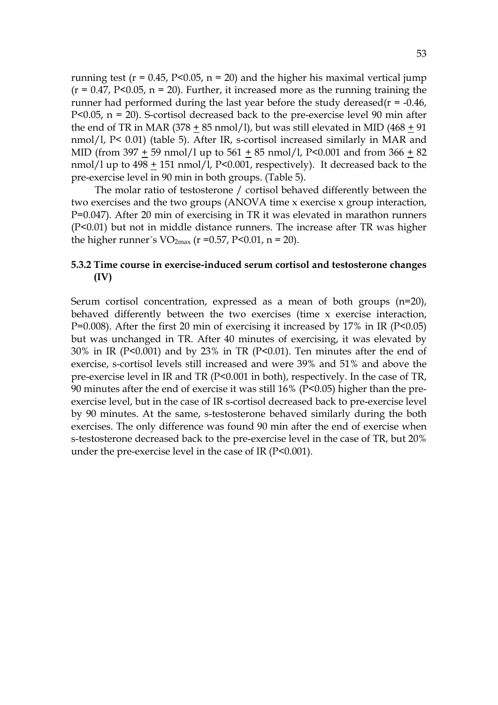running test ( $r = 0.45$ ,  $P < 0.05$ ,  $n = 20$ ) and the higher his maximal vertical jump  $(r = 0.47, P<0.05, n = 20)$ . Further, it increased more as the running training the runner had performed during the last year before the study dereased( $r = -0.46$ ), P<0.05,  $n = 20$ ). S-cortisol decreased back to the pre-exercise level 90 min after the end of TR in MAR (378 + 85 nmol/l), but was still elevated in MID (468 + 91) nmol/l, P< 0.01) (table 5). After IR, s-cortisol increased similarly in MAR and MID (from 397 + 59 nmol/l up to 561 + 85 nmol/l, P<0.001 and from 366 + 82 nmol/l up to 498 + 151 nmol/l, P<0.001, respectively). It decreased back to the pre-exercise level in 90 min in both groups. (Table 5).

The molar ratio of testosterone / cortisol behaved differently between the two exercises and the two groups (ANOVA time x exercise x group interaction, P=0.047). After 20 min of exercising in TR it was elevated in marathon runners (P<0.01) but not in middle distance runners. The increase after TR was higher the higher runner's  $VO_{2max}$  (r =0.57, P<0.01, n = 20).

#### **5.3.2 Time course in exercise-induced serum cortisol and testosterone changes (IV)**

Serum cortisol concentration, expressed as a mean of both groups (n=20), behaved differently between the two exercises (time x exercise interaction,  $P=0.008$ ). After the first 20 min of exercising it increased by 17% in IR ( $P<0.05$ ) but was unchanged in TR. After 40 minutes of exercising, it was elevated by 30% in IR (P<0.001) and by 23% in TR (P<0.01). Ten minutes after the end of exercise, s-cortisol levels still increased and were 39% and 51% and above the pre-exercise level in IR and TR (P<0.001 in both), respectively. In the case of TR, 90 minutes after the end of exercise it was still 16% (P<0.05) higher than the preexercise level, but in the case of IR s-cortisol decreased back to pre-exercise level by 90 minutes. At the same, s-testosterone behaved similarly during the both exercises. The only difference was found 90 min after the end of exercise when s-testosterone decreased back to the pre-exercise level in the case of TR, but 20% under the pre-exercise level in the case of IR (P<0.001).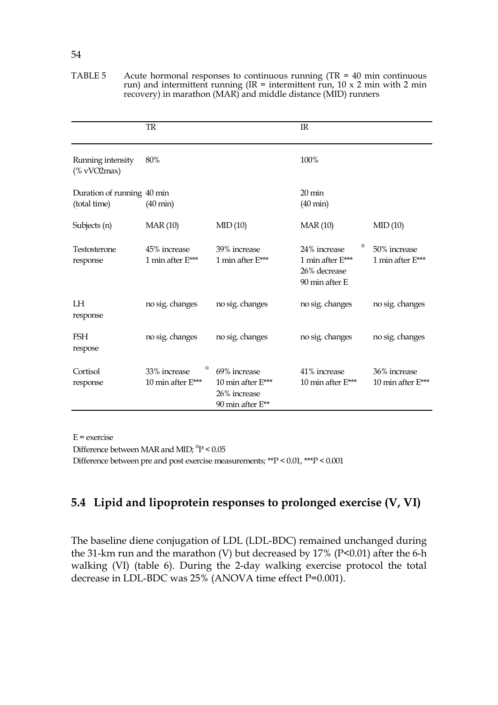|                                            | <b>TR</b>                              |                                                                         | $_{\rm IR}$                                                             |                                   |
|--------------------------------------------|----------------------------------------|-------------------------------------------------------------------------|-------------------------------------------------------------------------|-----------------------------------|
| Running intensity<br>$(%$ vVO2max $)$      | 80%                                    |                                                                         | 100%                                                                    |                                   |
| Duration of running 40 min<br>(total time) | $(40 \text{ min})$                     |                                                                         | $20 \,\mathrm{min}$<br>$(40 \text{ min})$                               |                                   |
| Subjects (n)                               | <b>MAR</b> (10)                        | MID(10)                                                                 | <b>MAR</b> (10)                                                         | MID(10)                           |
| Testosterone<br>response                   | 45% increase<br>1 min after E***       | 39% increase<br>1 min after E***                                        | O<br>24% increase<br>1 min after E***<br>26% decrease<br>90 min after E | 50% increase<br>1 min after E***  |
| LH<br>response                             | no sig. changes                        | no sig. changes                                                         | no sig. changes                                                         | no sig. changes                   |
| <b>FSH</b><br>respose                      | no sig. changes                        | no sig. changes                                                         | no sig. changes                                                         | no sig. changes                   |
| Cortisol<br>response                       | O<br>33% increase<br>10 min after E*** | 69% increase<br>10 min after $E***$<br>26% increase<br>90 min after E** | 41% increase<br>10 min after $E***$                                     | 36% increase<br>10 min after E*** |

TABLE 5 Acute hormonal responses to continuous running  $(TR = 40 \text{ min}$  continuous run) and intermittent running (IR = intermittent run,  $10 \times 2$  min with 2 min recovery) in marathon (MAR) and middle distance (MID) runners

 $E =$  exercise

Difference between MAR and MID;  $\mathrm{^{13}P}$  < 0.05 Difference between pre and post exercise measurements; \*\*P < 0.01, \*\*\*P < 0.001

# **5.4 Lipid and lipoprotein responses to prolonged exercise (V, VI)**

The baseline diene conjugation of LDL (LDL-BDC) remained unchanged during the 31-km run and the marathon (V) but decreased by 17% (P<0.01) after the 6-h walking (VI) (table 6). During the 2-day walking exercise protocol the total decrease in LDL-BDC was 25% (ANOVA time effect P=0.001).

#### 54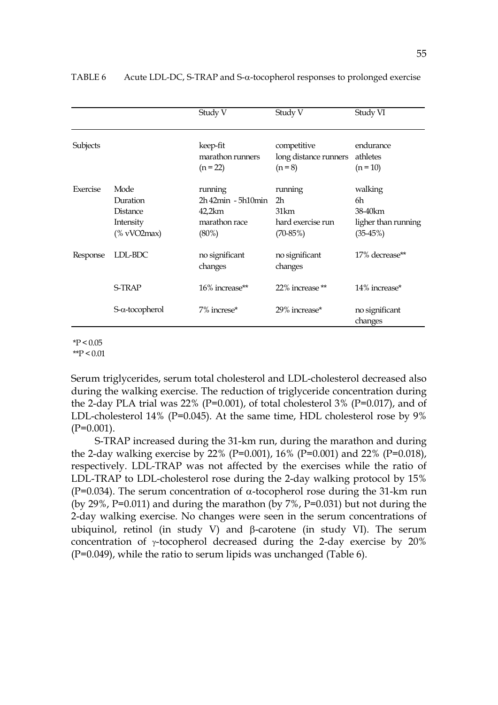|          |                                                              | Study V                                                                       | Study V                                                  | Study VI                                                       |
|----------|--------------------------------------------------------------|-------------------------------------------------------------------------------|----------------------------------------------------------|----------------------------------------------------------------|
| Subjects |                                                              | keep-fit<br>marathon runners<br>$(n = 22)$                                    | competitive<br>long distance runners<br>$(n = 8)$        | endurance<br>athletes<br>$(n = 10)$                            |
| Exercise | Mode<br>Duration<br>Distance<br>Intensity<br>$%$ vVO2max $)$ | running<br>$2h$ 42 $min$ - 5 $h$ 10 $min$<br>42,2km<br>marathon race<br>(80%) | running<br>2h<br>31km<br>hard exercise run<br>$(70-85%)$ | walking<br>6h<br>38-40 km<br>ligher than running<br>$(35-45%)$ |
| Response | LDL-BDC                                                      | no significant<br>changes                                                     | no significant<br>changes                                | 17% decrease**                                                 |
|          | <b>S-TRAP</b>                                                | 16% increase**                                                                | 22% increase **                                          | 14% increase*                                                  |
|          | $S-\alpha$ -tocopherol                                       | 7% increse*                                                                   | 29% increase*                                            | no significant<br>changes                                      |

TABLE 6 Acute LDL-DC, S-TRAP and S-α-tocopherol responses to prolonged exercise

 $*P < 0.05$ 

 $*$  $P < 0.01$ 

Serum triglycerides, serum total cholesterol and LDL-cholesterol decreased also during the walking exercise. The reduction of triglyceride concentration during the 2-day PLA trial was  $22\%$  (P=0.001), of total cholesterol  $3\%$  (P=0.017), and of LDL-cholesterol 14% (P=0.045). At the same time, HDL cholesterol rose by 9%  $(P=0.001)$ .

S-TRAP increased during the 31-km run, during the marathon and during the 2-day walking exercise by 22% (P=0.001), 16% (P=0.001) and 22% (P=0.018), respectively. LDL-TRAP was not affected by the exercises while the ratio of LDL-TRAP to LDL-cholesterol rose during the 2-day walking protocol by 15% (P=0.034). The serum concentration of  $\alpha$ -tocopherol rose during the 31-km run (by 29%, P=0.011) and during the marathon (by 7%, P=0.031) but not during the 2-day walking exercise. No changes were seen in the serum concentrations of ubiquinol, retinol (in study V) and β-carotene (in study VI). The serum concentration of γ-tocopherol decreased during the 2-day exercise by 20%  $(P=0.049)$ , while the ratio to serum lipids was unchanged (Table 6).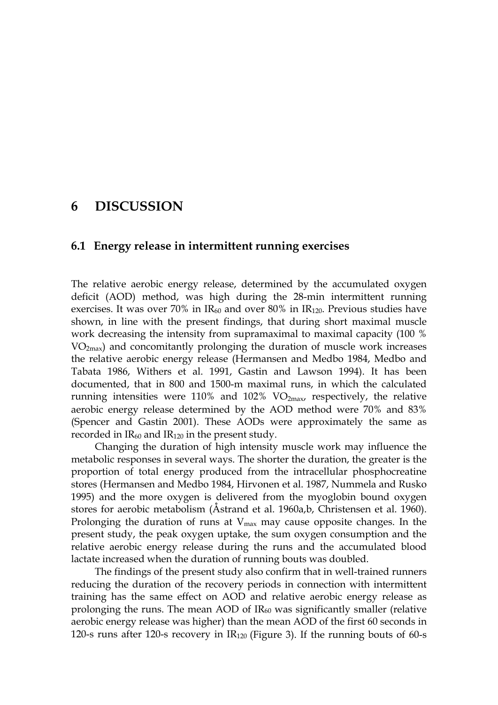## **6 DISCUSSION**

#### **6.1 Energy release in intermittent running exercises**

The relative aerobic energy release, determined by the accumulated oxygen deficit (AOD) method, was high during the 28-min intermittent running exercises. It was over 70% in  $IR_{60}$  and over 80% in  $IR_{120}$ . Previous studies have shown, in line with the present findings, that during short maximal muscle work decreasing the intensity from supramaximal to maximal capacity (100 % VO2max) and concomitantly prolonging the duration of muscle work increases the relative aerobic energy release (Hermansen and Medbo 1984, Medbo and Tabata 1986, Withers et al. 1991, Gastin and Lawson 1994). It has been documented, that in 800 and 1500-m maximal runs, in which the calculated running intensities were  $110\%$  and  $102\%$  VO<sub>2max</sub>, respectively, the relative aerobic energy release determined by the AOD method were 70% and 83% (Spencer and Gastin 2001). These AODs were approximately the same as recorded in  $IR_{60}$  and  $IR_{120}$  in the present study.

Changing the duration of high intensity muscle work may influence the metabolic responses in several ways. The shorter the duration, the greater is the proportion of total energy produced from the intracellular phosphocreatine stores (Hermansen and Medbo 1984, Hirvonen et al. 1987, Nummela and Rusko 1995) and the more oxygen is delivered from the myoglobin bound oxygen stores for aerobic metabolism (Åstrand et al. 1960a,b, Christensen et al. 1960). Prolonging the duration of runs at  $V_{\text{max}}$  may cause opposite changes. In the present study, the peak oxygen uptake, the sum oxygen consumption and the relative aerobic energy release during the runs and the accumulated blood lactate increased when the duration of running bouts was doubled.

The findings of the present study also confirm that in well-trained runners reducing the duration of the recovery periods in connection with intermittent training has the same effect on AOD and relative aerobic energy release as prolonging the runs. The mean AOD of  $IR_{60}$  was significantly smaller (relative aerobic energy release was higher) than the mean AOD of the first 60 seconds in 120-s runs after 120-s recovery in  $IR<sub>120</sub>$  (Figure 3). If the running bouts of 60-s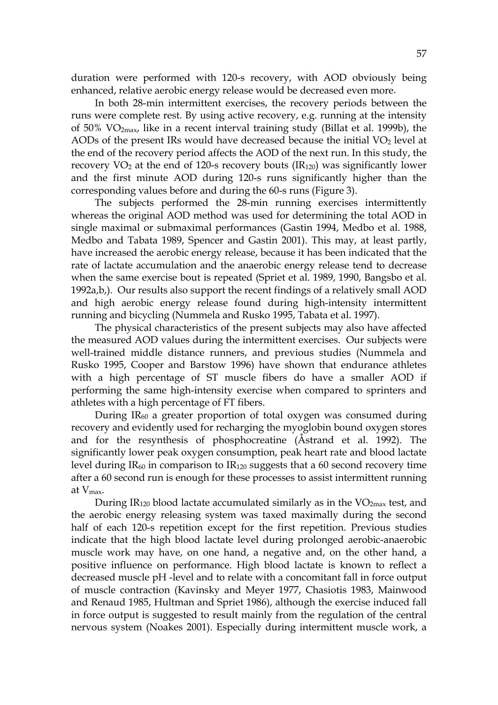duration were performed with 120-s recovery, with AOD obviously being enhanced, relative aerobic energy release would be decreased even more.

In both 28-min intermittent exercises, the recovery periods between the runs were complete rest. By using active recovery, e.g. running at the intensity of 50%  $VO<sub>2max</sub>$ , like in a recent interval training study (Billat et al. 1999b), the AODs of the present IRs would have decreased because the initial  $VO<sub>2</sub>$  level at the end of the recovery period affects the AOD of the next run. In this study, the recovery  $VO_2$  at the end of 120-s recovery bouts (IR<sub>120</sub>) was significantly lower and the first minute AOD during 120-s runs significantly higher than the corresponding values before and during the 60-s runs (Figure 3).

The subjects performed the 28-min running exercises intermittently whereas the original AOD method was used for determining the total AOD in single maximal or submaximal performances (Gastin 1994, Medbo et al. 1988, Medbo and Tabata 1989, Spencer and Gastin 2001). This may, at least partly, have increased the aerobic energy release, because it has been indicated that the rate of lactate accumulation and the anaerobic energy release tend to decrease when the same exercise bout is repeated (Spriet et al. 1989, 1990, Bangsbo et al. 1992a,b,). Our results also support the recent findings of a relatively small AOD and high aerobic energy release found during high-intensity intermittent running and bicycling (Nummela and Rusko 1995, Tabata et al. 1997).

The physical characteristics of the present subjects may also have affected the measured AOD values during the intermittent exercises. Our subjects were well-trained middle distance runners, and previous studies (Nummela and Rusko 1995, Cooper and Barstow 1996) have shown that endurance athletes with a high percentage of ST muscle fibers do have a smaller AOD if performing the same high-intensity exercise when compared to sprinters and athletes with a high percentage of FT fibers.

During  $IR<sub>60</sub>$  a greater proportion of total oxygen was consumed during recovery and evidently used for recharging the myoglobin bound oxygen stores and for the resynthesis of phosphocreatine (Åstrand et al. 1992). The significantly lower peak oxygen consumption, peak heart rate and blood lactate level during  $IR_{60}$  in comparison to  $IR_{120}$  suggests that a 60 second recovery time after a 60 second run is enough for these processes to assist intermittent running at Vmax.

During  $IR<sub>120</sub>$  blood lactate accumulated similarly as in the VO<sub>2max</sub> test, and the aerobic energy releasing system was taxed maximally during the second half of each 120-s repetition except for the first repetition. Previous studies indicate that the high blood lactate level during prolonged aerobic-anaerobic muscle work may have, on one hand, a negative and, on the other hand, a positive influence on performance. High blood lactate is known to reflect a decreased muscle pH -level and to relate with a concomitant fall in force output of muscle contraction (Kavinsky and Meyer 1977, Chasiotis 1983, Mainwood and Renaud 1985, Hultman and Spriet 1986), although the exercise induced fall in force output is suggested to result mainly from the regulation of the central nervous system (Noakes 2001). Especially during intermittent muscle work, a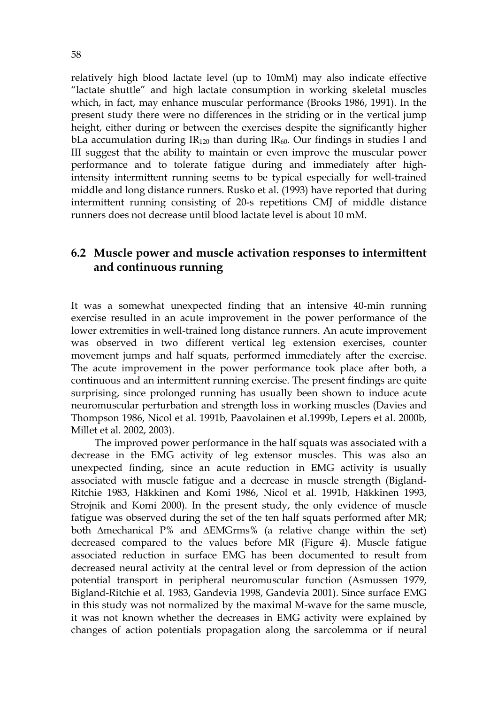relatively high blood lactate level (up to 10mM) may also indicate effective "lactate shuttle" and high lactate consumption in working skeletal muscles which, in fact, may enhance muscular performance (Brooks 1986, 1991). In the present study there were no differences in the striding or in the vertical jump height, either during or between the exercises despite the significantly higher bLa accumulation during  $IR<sub>120</sub>$  than during  $IR<sub>60</sub>$ . Our findings in studies I and III suggest that the ability to maintain or even improve the muscular power performance and to tolerate fatigue during and immediately after highintensity intermittent running seems to be typical especially for well-trained middle and long distance runners. Rusko et al. (1993) have reported that during intermittent running consisting of 20-s repetitions CMJ of middle distance runners does not decrease until blood lactate level is about 10 mM.

## **6.2 Muscle power and muscle activation responses to intermittent and continuous running**

It was a somewhat unexpected finding that an intensive 40-min running exercise resulted in an acute improvement in the power performance of the lower extremities in well-trained long distance runners. An acute improvement was observed in two different vertical leg extension exercises, counter movement jumps and half squats, performed immediately after the exercise. The acute improvement in the power performance took place after both, a continuous and an intermittent running exercise. The present findings are quite surprising, since prolonged running has usually been shown to induce acute neuromuscular perturbation and strength loss in working muscles (Davies and Thompson 1986, Nicol et al. 1991b, Paavolainen et al.1999b, Lepers et al. 2000b, Millet et al. 2002, 2003).

The improved power performance in the half squats was associated with a decrease in the EMG activity of leg extensor muscles. This was also an unexpected finding, since an acute reduction in EMG activity is usually associated with muscle fatigue and a decrease in muscle strength (Bigland-Ritchie 1983, Häkkinen and Komi 1986, Nicol et al. 1991b, Häkkinen 1993, Strojnik and Komi 2000). In the present study, the only evidence of muscle fatigue was observed during the set of the ten half squats performed after MR; both ∆mechanical P% and ∆EMGrms% (a relative change within the set) decreased compared to the values before MR (Figure 4). Muscle fatigue associated reduction in surface EMG has been documented to result from decreased neural activity at the central level or from depression of the action potential transport in peripheral neuromuscular function (Asmussen 1979, Bigland-Ritchie et al. 1983, Gandevia 1998, Gandevia 2001). Since surface EMG in this study was not normalized by the maximal M-wave for the same muscle, it was not known whether the decreases in EMG activity were explained by changes of action potentials propagation along the sarcolemma or if neural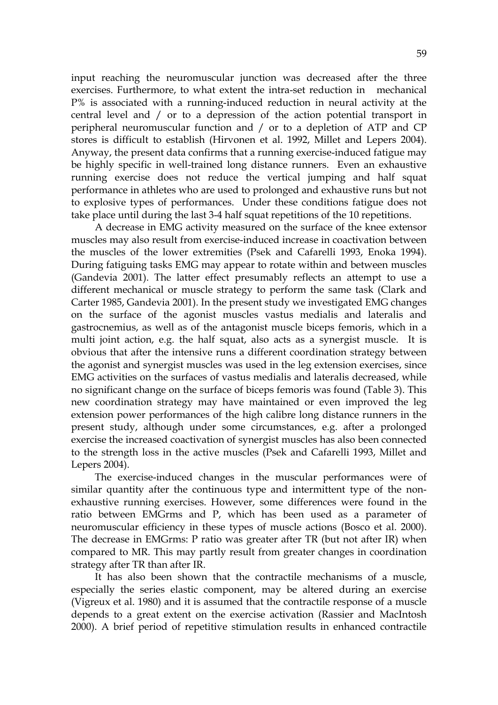input reaching the neuromuscular junction was decreased after the three exercises. Furthermore, to what extent the intra-set reduction in mechanical P% is associated with a running-induced reduction in neural activity at the central level and / or to a depression of the action potential transport in peripheral neuromuscular function and / or to a depletion of ATP and CP stores is difficult to establish (Hirvonen et al. 1992, Millet and Lepers 2004). Anyway, the present data confirms that a running exercise-induced fatigue may be highly specific in well-trained long distance runners. Even an exhaustive running exercise does not reduce the vertical jumping and half squat performance in athletes who are used to prolonged and exhaustive runs but not to explosive types of performances. Under these conditions fatigue does not take place until during the last 3-4 half squat repetitions of the 10 repetitions.

A decrease in EMG activity measured on the surface of the knee extensor muscles may also result from exercise-induced increase in coactivation between the muscles of the lower extremities (Psek and Cafarelli 1993, Enoka 1994). During fatiguing tasks EMG may appear to rotate within and between muscles (Gandevia 2001). The latter effect presumably reflects an attempt to use a different mechanical or muscle strategy to perform the same task (Clark and Carter 1985, Gandevia 2001). In the present study we investigated EMG changes on the surface of the agonist muscles vastus medialis and lateralis and gastrocnemius, as well as of the antagonist muscle biceps femoris, which in a multi joint action, e.g. the half squat, also acts as a synergist muscle. It is obvious that after the intensive runs a different coordination strategy between the agonist and synergist muscles was used in the leg extension exercises, since EMG activities on the surfaces of vastus medialis and lateralis decreased, while no significant change on the surface of biceps femoris was found (Table 3). This new coordination strategy may have maintained or even improved the leg extension power performances of the high calibre long distance runners in the present study, although under some circumstances, e.g. after a prolonged exercise the increased coactivation of synergist muscles has also been connected to the strength loss in the active muscles (Psek and Cafarelli 1993, Millet and Lepers 2004).

The exercise-induced changes in the muscular performances were of similar quantity after the continuous type and intermittent type of the nonexhaustive running exercises. However, some differences were found in the ratio between EMGrms and P, which has been used as a parameter of neuromuscular efficiency in these types of muscle actions (Bosco et al. 2000). The decrease in EMGrms: P ratio was greater after TR (but not after IR) when compared to MR. This may partly result from greater changes in coordination strategy after TR than after IR.

It has also been shown that the contractile mechanisms of a muscle, especially the series elastic component, may be altered during an exercise (Vigreux et al. 1980) and it is assumed that the contractile response of a muscle depends to a great extent on the exercise activation (Rassier and MacIntosh 2000). A brief period of repetitive stimulation results in enhanced contractile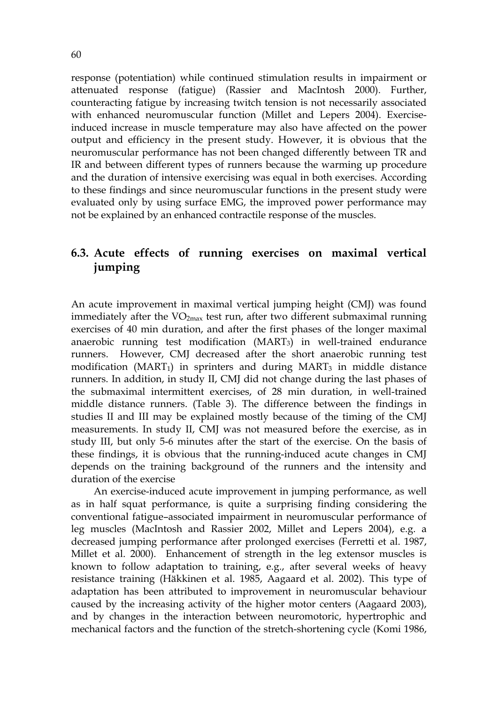response (potentiation) while continued stimulation results in impairment or attenuated response (fatigue) (Rassier and MacIntosh 2000). Further, counteracting fatigue by increasing twitch tension is not necessarily associated with enhanced neuromuscular function (Millet and Lepers 2004). Exerciseinduced increase in muscle temperature may also have affected on the power output and efficiency in the present study. However, it is obvious that the neuromuscular performance has not been changed differently between TR and IR and between different types of runners because the warming up procedure and the duration of intensive exercising was equal in both exercises. According to these findings and since neuromuscular functions in the present study were evaluated only by using surface EMG, the improved power performance may not be explained by an enhanced contractile response of the muscles.

# **6.3. Acute effects of running exercises on maximal vertical jumping**

An acute improvement in maximal vertical jumping height (CMJ) was found immediately after the VO<sub>2max</sub> test run, after two different submaximal running exercises of 40 min duration, and after the first phases of the longer maximal anaerobic running test modification (MART3) in well-trained endurance runners. However, CMJ decreased after the short anaerobic running test modification ( $MART_1$ ) in sprinters and during  $MART_3$  in middle distance runners. In addition, in study II, CMJ did not change during the last phases of the submaximal intermittent exercises, of 28 min duration, in well-trained middle distance runners. (Table 3). The difference between the findings in studies II and III may be explained mostly because of the timing of the CMJ measurements. In study II, CMJ was not measured before the exercise, as in study III, but only 5-6 minutes after the start of the exercise. On the basis of these findings, it is obvious that the running-induced acute changes in CMJ depends on the training background of the runners and the intensity and duration of the exercise

 An exercise-induced acute improvement in jumping performance, as well as in half squat performance, is quite a surprising finding considering the conventional fatigue–associated impairment in neuromuscular performance of leg muscles (MacIntosh and Rassier 2002, Millet and Lepers 2004), e.g. a decreased jumping performance after prolonged exercises (Ferretti et al. 1987, Millet et al. 2000). Enhancement of strength in the leg extensor muscles is known to follow adaptation to training, e.g., after several weeks of heavy resistance training (Häkkinen et al. 1985, Aagaard et al. 2002). This type of adaptation has been attributed to improvement in neuromuscular behaviour caused by the increasing activity of the higher motor centers (Aagaard 2003), and by changes in the interaction between neuromotoric, hypertrophic and mechanical factors and the function of the stretch-shortening cycle (Komi 1986,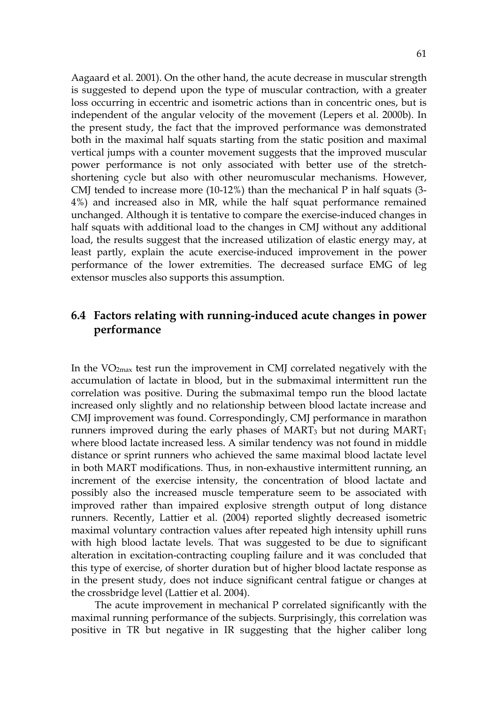Aagaard et al. 2001). On the other hand, the acute decrease in muscular strength is suggested to depend upon the type of muscular contraction, with a greater loss occurring in eccentric and isometric actions than in concentric ones, but is independent of the angular velocity of the movement (Lepers et al. 2000b). In the present study, the fact that the improved performance was demonstrated both in the maximal half squats starting from the static position and maximal vertical jumps with a counter movement suggests that the improved muscular power performance is not only associated with better use of the stretchshortening cycle but also with other neuromuscular mechanisms. However, CMJ tended to increase more (10-12%) than the mechanical P in half squats (3- 4%) and increased also in MR, while the half squat performance remained unchanged. Although it is tentative to compare the exercise-induced changes in half squats with additional load to the changes in CMJ without any additional load, the results suggest that the increased utilization of elastic energy may, at least partly, explain the acute exercise-induced improvement in the power performance of the lower extremities. The decreased surface EMG of leg extensor muscles also supports this assumption.

## **6.4 Factors relating with running-induced acute changes in power performance**

In the VO2max test run the improvement in CMJ correlated negatively with the accumulation of lactate in blood, but in the submaximal intermittent run the correlation was positive. During the submaximal tempo run the blood lactate increased only slightly and no relationship between blood lactate increase and CMJ improvement was found. Correspondingly, CMJ performance in marathon runners improved during the early phases of  $MART_3$  but not during  $MART_1$ where blood lactate increased less. A similar tendency was not found in middle distance or sprint runners who achieved the same maximal blood lactate level in both MART modifications. Thus, in non-exhaustive intermittent running, an increment of the exercise intensity, the concentration of blood lactate and possibly also the increased muscle temperature seem to be associated with improved rather than impaired explosive strength output of long distance runners*.* Recently, Lattier et al. (2004) reported slightly decreased isometric maximal voluntary contraction values after repeated high intensity uphill runs with high blood lactate levels. That was suggested to be due to significant alteration in excitation-contracting coupling failure and it was concluded that this type of exercise, of shorter duration but of higher blood lactate response as in the present study, does not induce significant central fatigue or changes at the crossbridge level (Lattier et al. 2004).

The acute improvement in mechanical P correlated significantly with the maximal running performance of the subjects. Surprisingly, this correlation was positive in TR but negative in IR suggesting that the higher caliber long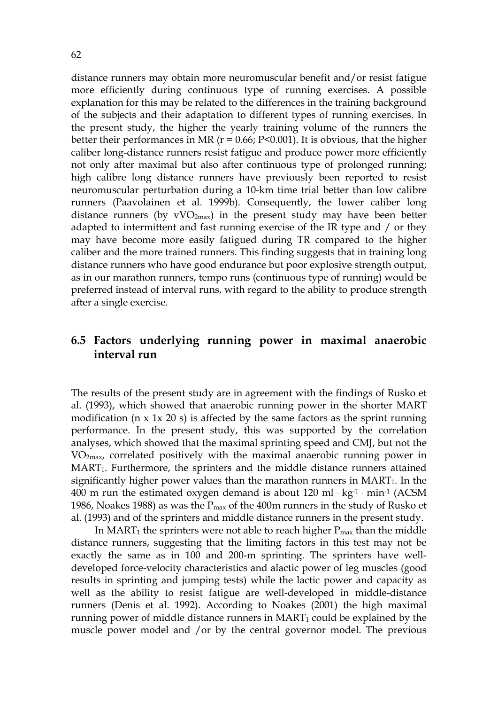distance runners may obtain more neuromuscular benefit and/or resist fatigue more efficiently during continuous type of running exercises. A possible explanation for this may be related to the differences in the training background of the subjects and their adaptation to different types of running exercises. In the present study, the higher the yearly training volume of the runners the better their performances in MR ( $r = 0.66$ ; P<0.001). It is obvious, that the higher caliber long-distance runners resist fatigue and produce power more efficiently not only after maximal but also after continuous type of prolonged running; high calibre long distance runners have previously been reported to resist neuromuscular perturbation during a 10-km time trial better than low calibre runners (Paavolainen et al. 1999b). Consequently, the lower caliber long distance runners (by  $vVO<sub>2max</sub>$ ) in the present study may have been better adapted to intermittent and fast running exercise of the IR type and / or they may have become more easily fatigued during TR compared to the higher caliber and the more trained runners. This finding suggests that in training long distance runners who have good endurance but poor explosive strength output, as in our marathon runners, tempo runs (continuous type of running) would be preferred instead of interval runs, with regard to the ability to produce strength after a single exercise.

## **6.5 Factors underlying running power in maximal anaerobic interval run**

The results of the present study are in agreement with the findings of Rusko et al. (1993), which showed that anaerobic running power in the shorter MART modification ( $n \times 1 \times 20$  s) is affected by the same factors as the sprint running performance. In the present study, this was supported by the correlation analyses, which showed that the maximal sprinting speed and CMJ, but not the VO2max, correlated positively with the maximal anaerobic running power in MART<sub>1</sub>. Furthermore, the sprinters and the middle distance runners attained significantly higher power values than the marathon runners in  $MART_1$ . In the 400 m run the estimated oxygen demand is about  $120 \text{ ml} \cdot \text{kg}^{-1} \cdot \text{min}^{-1}$  (ACSM 1986, Noakes 1988) as was the  $P_{\text{max}}$  of the 400m runners in the study of Rusko et al. (1993) and of the sprinters and middle distance runners in the present study.

In MART<sub>1</sub> the sprinters were not able to reach higher  $P_{\text{max}}$  than the middle distance runners, suggesting that the limiting factors in this test may not be exactly the same as in 100 and 200-m sprinting. The sprinters have welldeveloped force-velocity characteristics and alactic power of leg muscles (good results in sprinting and jumping tests) while the lactic power and capacity as well as the ability to resist fatigue are well-developed in middle-distance runners (Denis et al. 1992). According to Noakes (2001) the high maximal running power of middle distance runners in  $MART_1$  could be explained by the muscle power model and /or by the central governor model. The previous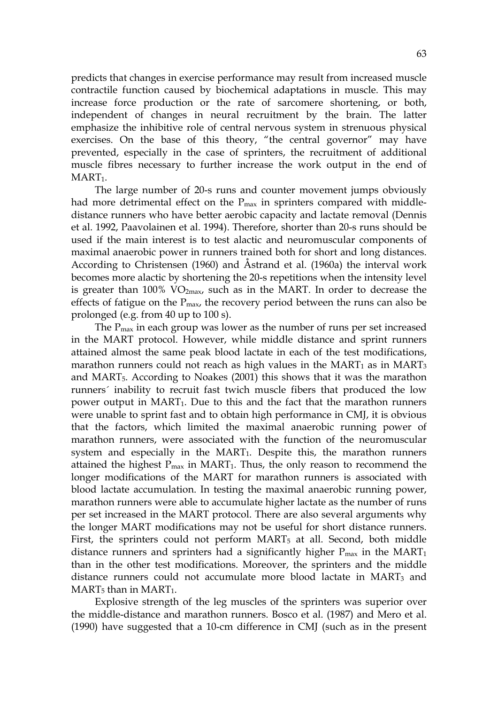predicts that changes in exercise performance may result from increased muscle contractile function caused by biochemical adaptations in muscle. This may increase force production or the rate of sarcomere shortening, or both, independent of changes in neural recruitment by the brain. The latter emphasize the inhibitive role of central nervous system in strenuous physical exercises. On the base of this theory, "the central governor" may have prevented, especially in the case of sprinters, the recruitment of additional muscle fibres necessary to further increase the work output in the end of  $MART_1$ .

The large number of 20-s runs and counter movement jumps obviously had more detrimental effect on the  $P_{\text{max}}$  in sprinters compared with middledistance runners who have better aerobic capacity and lactate removal (Dennis et al. 1992, Paavolainen et al. 1994). Therefore, shorter than 20-s runs should be used if the main interest is to test alactic and neuromuscular components of maximal anaerobic power in runners trained both for short and long distances. According to Christensen (1960) and Åstrand et al. (1960a) the interval work becomes more alactic by shortening the 20-s repetitions when the intensity level is greater than  $100\%$  VO<sub>2max</sub>, such as in the MART. In order to decrease the effects of fatigue on the  $P_{\text{max}}$ , the recovery period between the runs can also be prolonged (e.g. from 40 up to 100 s).

The  $P_{\text{max}}$  in each group was lower as the number of runs per set increased in the MART protocol. However, while middle distance and sprint runners attained almost the same peak blood lactate in each of the test modifications, marathon runners could not reach as high values in the  $MART_1$  as in  $MART_3$ and MART5. According to Noakes (2001) this shows that it was the marathon runners´ inability to recruit fast twich muscle fibers that produced the low power output in MART1. Due to this and the fact that the marathon runners were unable to sprint fast and to obtain high performance in CMJ, it is obvious that the factors, which limited the maximal anaerobic running power of marathon runners, were associated with the function of the neuromuscular system and especially in the  $MART_1$ . Despite this, the marathon runners attained the highest  $P_{max}$  in MART<sub>1</sub>. Thus, the only reason to recommend the longer modifications of the MART for marathon runners is associated with blood lactate accumulation. In testing the maximal anaerobic running power, marathon runners were able to accumulate higher lactate as the number of runs per set increased in the MART protocol. There are also several arguments why the longer MART modifications may not be useful for short distance runners. First, the sprinters could not perform  $MART_5$  at all. Second, both middle distance runners and sprinters had a significantly higher  $P_{\text{max}}$  in the MART<sub>1</sub> than in the other test modifications. Moreover, the sprinters and the middle distance runners could not accumulate more blood lactate in MART<sub>3</sub> and  $MART_5$  than in  $MART_1$ .

Explosive strength of the leg muscles of the sprinters was superior over the middle-distance and marathon runners. Bosco et al. (1987) and Mero et al. (1990) have suggested that a 10-cm difference in CMJ (such as in the present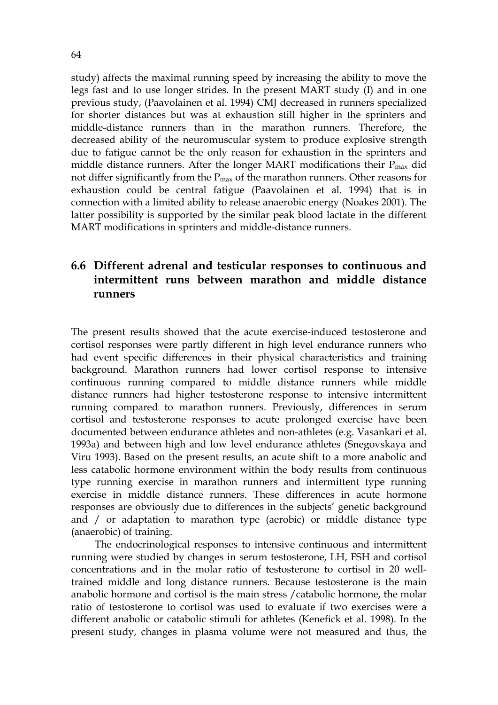study) affects the maximal running speed by increasing the ability to move the legs fast and to use longer strides. In the present MART study (I) and in one previous study, (Paavolainen et al. 1994) CMJ decreased in runners specialized for shorter distances but was at exhaustion still higher in the sprinters and middle-distance runners than in the marathon runners. Therefore, the decreased ability of the neuromuscular system to produce explosive strength due to fatigue cannot be the only reason for exhaustion in the sprinters and middle distance runners. After the longer MART modifications their  $P_{\text{max}}$  did not differ significantly from the  $P_{\text{max}}$  of the marathon runners. Other reasons for exhaustion could be central fatigue (Paavolainen et al. 1994) that is in connection with a limited ability to release anaerobic energy (Noakes 2001). The latter possibility is supported by the similar peak blood lactate in the different MART modifications in sprinters and middle-distance runners.

## **6.6 Different adrenal and testicular responses to continuous and intermittent runs between marathon and middle distance runners**

The present results showed that the acute exercise-induced testosterone and cortisol responses were partly different in high level endurance runners who had event specific differences in their physical characteristics and training background. Marathon runners had lower cortisol response to intensive continuous running compared to middle distance runners while middle distance runners had higher testosterone response to intensive intermittent running compared to marathon runners. Previously, differences in serum cortisol and testosterone responses to acute prolonged exercise have been documented between endurance athletes and non-athletes (e.g. Vasankari et al. 1993a) and between high and low level endurance athletes (Snegovskaya and Viru 1993). Based on the present results, an acute shift to a more anabolic and less catabolic hormone environment within the body results from continuous type running exercise in marathon runners and intermittent type running exercise in middle distance runners. These differences in acute hormone responses are obviously due to differences in the subjects' genetic background and / or adaptation to marathon type (aerobic) or middle distance type (anaerobic) of training.

The endocrinological responses to intensive continuous and intermittent running were studied by changes in serum testosterone, LH, FSH and cortisol concentrations and in the molar ratio of testosterone to cortisol in 20 welltrained middle and long distance runners. Because testosterone is the main anabolic hormone and cortisol is the main stress /catabolic hormone, the molar ratio of testosterone to cortisol was used to evaluate if two exercises were a different anabolic or catabolic stimuli for athletes (Kenefick et al. 1998). In the present study, changes in plasma volume were not measured and thus, the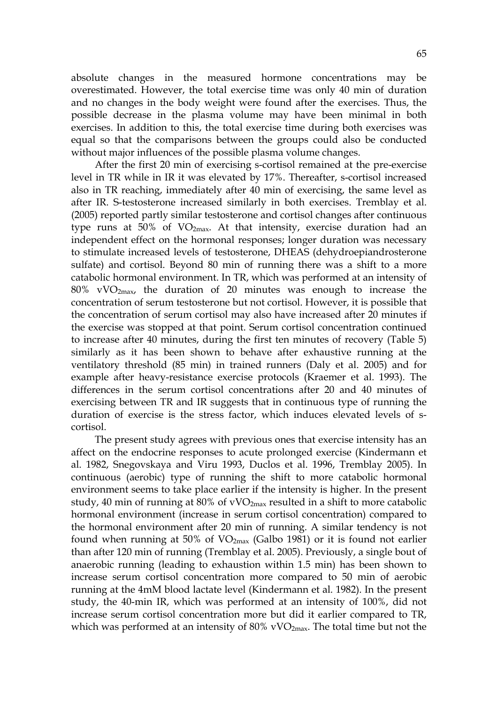absolute changes in the measured hormone concentrations may be overestimated. However, the total exercise time was only 40 min of duration and no changes in the body weight were found after the exercises. Thus, the possible decrease in the plasma volume may have been minimal in both exercises. In addition to this, the total exercise time during both exercises was equal so that the comparisons between the groups could also be conducted without major influences of the possible plasma volume changes.

After the first 20 min of exercising s-cortisol remained at the pre-exercise level in TR while in IR it was elevated by 17%. Thereafter, s-cortisol increased also in TR reaching, immediately after 40 min of exercising, the same level as after IR. S-testosterone increased similarly in both exercises. Tremblay et al. (2005) reported partly similar testosterone and cortisol changes after continuous type runs at 50% of  $VO<sub>2max</sub>$ . At that intensity, exercise duration had an independent effect on the hormonal responses; longer duration was necessary to stimulate increased levels of testosterone, DHEAS (dehydroepiandrosterone sulfate) and cortisol. Beyond 80 min of running there was a shift to a more catabolic hormonal environment. In TR, which was performed at an intensity of  $80\%$  vVO<sub>2max</sub>, the duration of 20 minutes was enough to increase the concentration of serum testosterone but not cortisol. However, it is possible that the concentration of serum cortisol may also have increased after 20 minutes if the exercise was stopped at that point. Serum cortisol concentration continued to increase after 40 minutes, during the first ten minutes of recovery (Table 5) similarly as it has been shown to behave after exhaustive running at the ventilatory threshold (85 min) in trained runners (Daly et al. 2005) and for example after heavy-resistance exercise protocols (Kraemer et al. 1993). The differences in the serum cortisol concentrations after 20 and 40 minutes of exercising between TR and IR suggests that in continuous type of running the duration of exercise is the stress factor, which induces elevated levels of scortisol.

The present study agrees with previous ones that exercise intensity has an affect on the endocrine responses to acute prolonged exercise (Kindermann et al. 1982, Snegovskaya and Viru 1993, Duclos et al. 1996, Tremblay 2005). In continuous (aerobic) type of running the shift to more catabolic hormonal environment seems to take place earlier if the intensity is higher. In the present study, 40 min of running at 80% of  $vVO<sub>2max</sub>$  resulted in a shift to more catabolic hormonal environment (increase in serum cortisol concentration) compared to the hormonal environment after 20 min of running. A similar tendency is not found when running at 50% of  $VO_{2max}$  (Galbo 1981) or it is found not earlier than after 120 min of running (Tremblay et al. 2005). Previously, a single bout of anaerobic running (leading to exhaustion within 1.5 min) has been shown to increase serum cortisol concentration more compared to 50 min of aerobic running at the 4mM blood lactate level (Kindermann et al. 1982). In the present study, the 40-min IR, which was performed at an intensity of 100%, did not increase serum cortisol concentration more but did it earlier compared to TR, which was performed at an intensity of  $80\%$  vVO<sub>2max</sub>. The total time but not the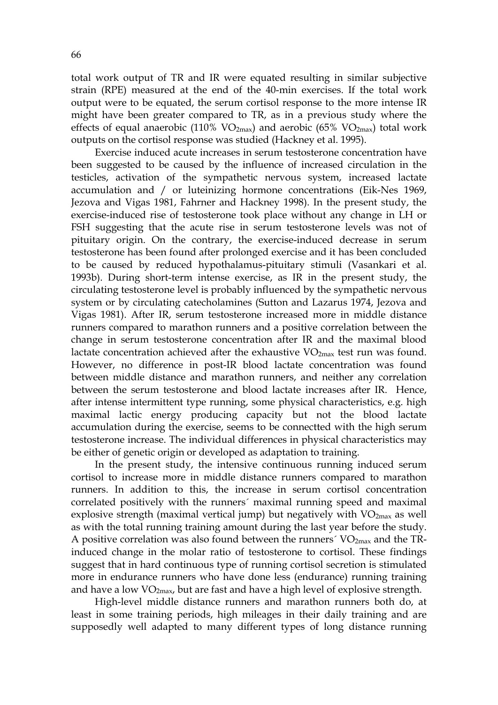total work output of TR and IR were equated resulting in similar subjective strain (RPE) measured at the end of the 40-min exercises. If the total work output were to be equated, the serum cortisol response to the more intense IR might have been greater compared to TR, as in a previous study where the effects of equal anaerobic (110%  $VO_{2max}$ ) and aerobic (65%  $VO_{2max}$ ) total work outputs on the cortisol response was studied (Hackney et al. 1995).

Exercise induced acute increases in serum testosterone concentration have been suggested to be caused by the influence of increased circulation in the testicles, activation of the sympathetic nervous system, increased lactate accumulation and / or luteinizing hormone concentrations (Eik-Nes 1969, Jezova and Vigas 1981, Fahrner and Hackney 1998). In the present study, the exercise-induced rise of testosterone took place without any change in LH or FSH suggesting that the acute rise in serum testosterone levels was not of pituitary origin. On the contrary, the exercise-induced decrease in serum testosterone has been found after prolonged exercise and it has been concluded to be caused by reduced hypothalamus-pituitary stimuli (Vasankari et al. 1993b). During short-term intense exercise, as IR in the present study, the circulating testosterone level is probably influenced by the sympathetic nervous system or by circulating catecholamines (Sutton and Lazarus 1974, Jezova and Vigas 1981). After IR, serum testosterone increased more in middle distance runners compared to marathon runners and a positive correlation between the change in serum testosterone concentration after IR and the maximal blood lactate concentration achieved after the exhaustive  $VO_{2max}$  test run was found. However, no difference in post-IR blood lactate concentration was found between middle distance and marathon runners, and neither any correlation between the serum testosterone and blood lactate increases after IR. Hence, after intense intermittent type running, some physical characteristics, e.g. high maximal lactic energy producing capacity but not the blood lactate accumulation during the exercise, seems to be connectted with the high serum testosterone increase. The individual differences in physical characteristics may be either of genetic origin or developed as adaptation to training.

In the present study, the intensive continuous running induced serum cortisol to increase more in middle distance runners compared to marathon runners. In addition to this, the increase in serum cortisol concentration correlated positively with the runners´ maximal running speed and maximal explosive strength (maximal vertical jump) but negatively with  $VO<sub>2max</sub>$  as well as with the total running training amount during the last year before the study. A positive correlation was also found between the runners<sup> $\gamma$ </sup> VO<sub>2max</sub> and the TRinduced change in the molar ratio of testosterone to cortisol. These findings suggest that in hard continuous type of running cortisol secretion is stimulated more in endurance runners who have done less (endurance) running training and have a low  $VO<sub>2max</sub>$ , but are fast and have a high level of explosive strength.

High-level middle distance runners and marathon runners both do, at least in some training periods, high mileages in their daily training and are supposedly well adapted to many different types of long distance running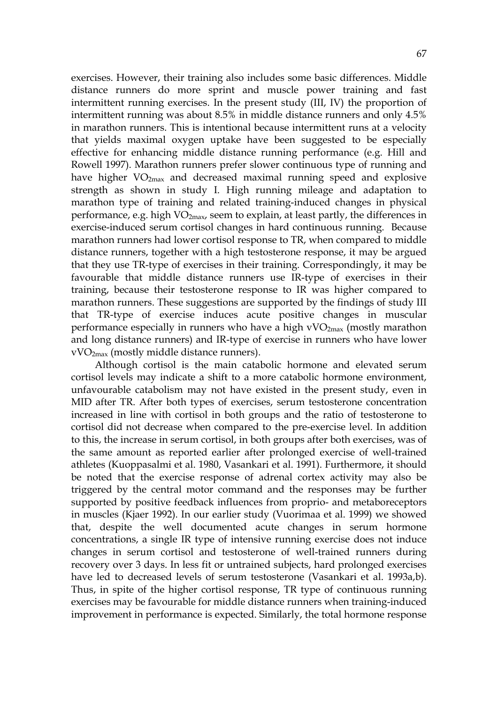exercises. However, their training also includes some basic differences. Middle distance runners do more sprint and muscle power training and fast intermittent running exercises. In the present study (III, IV) the proportion of intermittent running was about 8.5% in middle distance runners and only 4.5% in marathon runners. This is intentional because intermittent runs at a velocity that yields maximal oxygen uptake have been suggested to be especially effective for enhancing middle distance running performance (e.g. Hill and Rowell 1997). Marathon runners prefer slower continuous type of running and have higher  $VO<sub>2max</sub>$  and decreased maximal running speed and explosive strength as shown in study I. High running mileage and adaptation to marathon type of training and related training-induced changes in physical performance, e.g. high  $VO_{2max}$ , seem to explain, at least partly, the differences in exercise-induced serum cortisol changes in hard continuous running. Because marathon runners had lower cortisol response to TR, when compared to middle distance runners, together with a high testosterone response, it may be argued that they use TR-type of exercises in their training. Correspondingly, it may be favourable that middle distance runners use IR-type of exercises in their training, because their testosterone response to IR was higher compared to marathon runners. These suggestions are supported by the findings of study III that TR-type of exercise induces acute positive changes in muscular performance especially in runners who have a high  $vVO<sub>2max</sub>$  (mostly marathon and long distance runners) and IR-type of exercise in runners who have lower vVO2max (mostly middle distance runners).

Although cortisol is the main catabolic hormone and elevated serum cortisol levels may indicate a shift to a more catabolic hormone environment, unfavourable catabolism may not have existed in the present study, even in MID after TR. After both types of exercises, serum testosterone concentration increased in line with cortisol in both groups and the ratio of testosterone to cortisol did not decrease when compared to the pre-exercise level. In addition to this, the increase in serum cortisol, in both groups after both exercises, was of the same amount as reported earlier after prolonged exercise of well-trained athletes (Kuoppasalmi et al. 1980, Vasankari et al. 1991). Furthermore, it should be noted that the exercise response of adrenal cortex activity may also be triggered by the central motor command and the responses may be further supported by positive feedback influences from proprio- and metaboreceptors in muscles (Kjaer 1992). In our earlier study (Vuorimaa et al. 1999) we showed that, despite the well documented acute changes in serum hormone concentrations, a single IR type of intensive running exercise does not induce changes in serum cortisol and testosterone of well-trained runners during recovery over 3 days. In less fit or untrained subjects, hard prolonged exercises have led to decreased levels of serum testosterone (Vasankari et al. 1993a,b). Thus, in spite of the higher cortisol response, TR type of continuous running exercises may be favourable for middle distance runners when training-induced improvement in performance is expected. Similarly, the total hormone response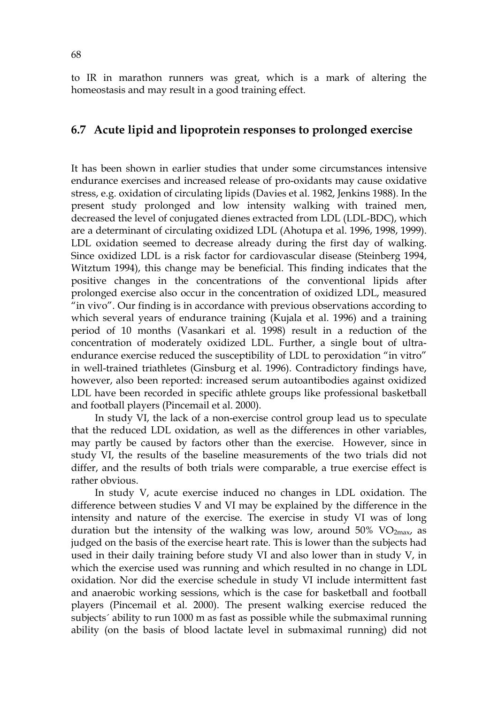to IR in marathon runners was great, which is a mark of altering the homeostasis and may result in a good training effect.

### **6.7 Acute lipid and lipoprotein responses to prolonged exercise**

It has been shown in earlier studies that under some circumstances intensive endurance exercises and increased release of pro-oxidants may cause oxidative stress, e.g. oxidation of circulating lipids (Davies et al. 1982, Jenkins 1988). In the present study prolonged and low intensity walking with trained men, decreased the level of conjugated dienes extracted from LDL (LDL-BDC), which are a determinant of circulating oxidized LDL (Ahotupa et al. 1996, 1998, 1999). LDL oxidation seemed to decrease already during the first day of walking. Since oxidized LDL is a risk factor for cardiovascular disease (Steinberg 1994, Witztum 1994), this change may be beneficial. This finding indicates that the positive changes in the concentrations of the conventional lipids after prolonged exercise also occur in the concentration of oxidized LDL, measured "in vivo". Our finding is in accordance with previous observations according to which several years of endurance training (Kujala et al. 1996) and a training period of 10 months (Vasankari et al. 1998) result in a reduction of the concentration of moderately oxidized LDL. Further, a single bout of ultraendurance exercise reduced the susceptibility of LDL to peroxidation "in vitro" in well-trained triathletes (Ginsburg et al. 1996). Contradictory findings have, however, also been reported: increased serum autoantibodies against oxidized LDL have been recorded in specific athlete groups like professional basketball and football players (Pincemail et al. 2000).

In study VI, the lack of a non-exercise control group lead us to speculate that the reduced LDL oxidation, as well as the differences in other variables, may partly be caused by factors other than the exercise. However, since in study VI, the results of the baseline measurements of the two trials did not differ, and the results of both trials were comparable, a true exercise effect is rather obvious.

In study V, acute exercise induced no changes in LDL oxidation. The difference between studies V and VI may be explained by the difference in the intensity and nature of the exercise. The exercise in study VI was of long duration but the intensity of the walking was low, around  $50\%$  VO<sub>2max</sub>, as judged on the basis of the exercise heart rate. This is lower than the subjects had used in their daily training before study VI and also lower than in study V, in which the exercise used was running and which resulted in no change in LDL oxidation. Nor did the exercise schedule in study VI include intermittent fast and anaerobic working sessions, which is the case for basketball and football players (Pincemail et al. 2000). The present walking exercise reduced the subjects´ ability to run 1000 m as fast as possible while the submaximal running ability (on the basis of blood lactate level in submaximal running) did not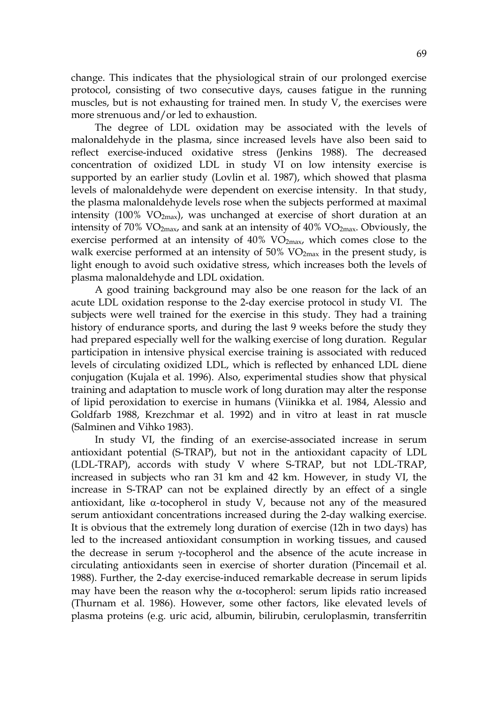change. This indicates that the physiological strain of our prolonged exercise protocol, consisting of two consecutive days, causes fatigue in the running muscles, but is not exhausting for trained men. In study V, the exercises were more strenuous and/or led to exhaustion.

The degree of LDL oxidation may be associated with the levels of malonaldehyde in the plasma, since increased levels have also been said to reflect exercise-induced oxidative stress (Jenkins 1988). The decreased concentration of oxidized LDL in study VI on low intensity exercise is supported by an earlier study (Lovlin et al. 1987), which showed that plasma levels of malonaldehyde were dependent on exercise intensity. In that study, the plasma malonaldehyde levels rose when the subjects performed at maximal intensity (100%  $VO_{2max}$ ), was unchanged at exercise of short duration at an intensity of 70%  $VO_{2max}$ , and sank at an intensity of 40%  $VO_{2max}$ . Obviously, the exercise performed at an intensity of 40% VO2max, which comes close to the walk exercise performed at an intensity of  $50\%$  VO<sub>2max</sub> in the present study, is light enough to avoid such oxidative stress, which increases both the levels of plasma malonaldehyde and LDL oxidation.

A good training background may also be one reason for the lack of an acute LDL oxidation response to the 2-day exercise protocol in study VI. The subjects were well trained for the exercise in this study. They had a training history of endurance sports, and during the last 9 weeks before the study they had prepared especially well for the walking exercise of long duration. Regular participation in intensive physical exercise training is associated with reduced levels of circulating oxidized LDL, which is reflected by enhanced LDL diene conjugation (Kujala et al. 1996). Also, experimental studies show that physical training and adaptation to muscle work of long duration may alter the response of lipid peroxidation to exercise in humans (Viinikka et al. 1984, Alessio and Goldfarb 1988, Krezchmar et al. 1992) and in vitro at least in rat muscle (Salminen and Vihko 1983).

In study VI, the finding of an exercise-associated increase in serum antioxidant potential (S-TRAP), but not in the antioxidant capacity of LDL (LDL-TRAP), accords with study V where S-TRAP, but not LDL-TRAP, increased in subjects who ran 31 km and 42 km. However, in study VI, the increase in S-TRAP can not be explained directly by an effect of a single antioxidant, like α-tocopherol in study V, because not any of the measured serum antioxidant concentrations increased during the 2-day walking exercise. It is obvious that the extremely long duration of exercise (12h in two days) has led to the increased antioxidant consumption in working tissues, and caused the decrease in serum γ-tocopherol and the absence of the acute increase in circulating antioxidants seen in exercise of shorter duration (Pincemail et al. 1988). Further, the 2-day exercise-induced remarkable decrease in serum lipids may have been the reason why the  $\alpha$ -tocopherol: serum lipids ratio increased (Thurnam et al. 1986). However, some other factors, like elevated levels of plasma proteins (e.g. uric acid, albumin, bilirubin, ceruloplasmin, transferritin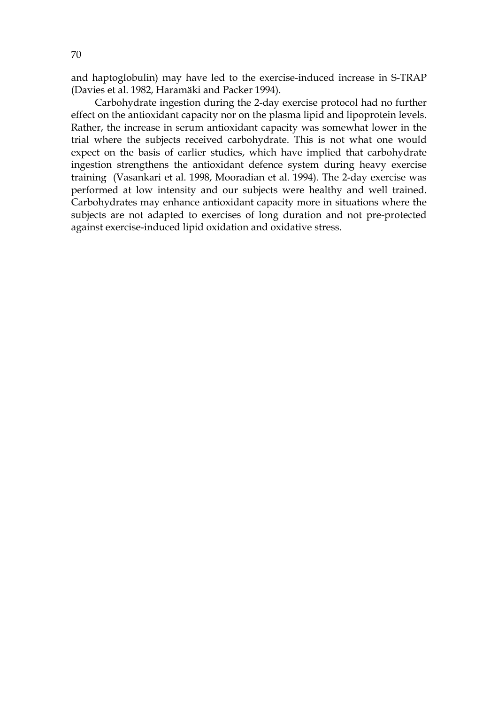and haptoglobulin) may have led to the exercise-induced increase in S-TRAP (Davies et al. 1982, Haramäki and Packer 1994).

Carbohydrate ingestion during the 2-day exercise protocol had no further effect on the antioxidant capacity nor on the plasma lipid and lipoprotein levels. Rather, the increase in serum antioxidant capacity was somewhat lower in the trial where the subjects received carbohydrate. This is not what one would expect on the basis of earlier studies, which have implied that carbohydrate ingestion strengthens the antioxidant defence system during heavy exercise training (Vasankari et al. 1998, Mooradian et al. 1994). The 2-day exercise was performed at low intensity and our subjects were healthy and well trained. Carbohydrates may enhance antioxidant capacity more in situations where the subjects are not adapted to exercises of long duration and not pre-protected against exercise-induced lipid oxidation and oxidative stress.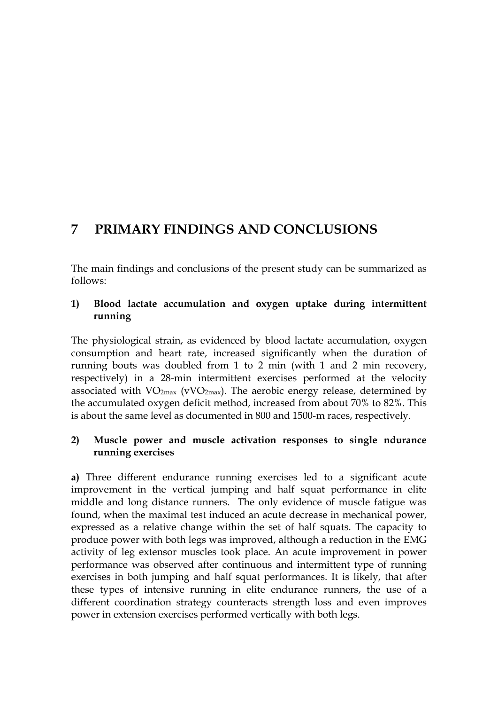# **7 PRIMARY FINDINGS AND CONCLUSIONS**

The main findings and conclusions of the present study can be summarized as follows:

### **1) Blood lactate accumulation and oxygen uptake during intermittent running**

The physiological strain, as evidenced by blood lactate accumulation, oxygen consumption and heart rate, increased significantly when the duration of running bouts was doubled from 1 to 2 min (with 1 and 2 min recovery, respectively) in a 28-min intermittent exercises performed at the velocity associated with  $VO<sub>2max</sub>$  (vVO<sub>2max</sub>). The aerobic energy release, determined by the accumulated oxygen deficit method, increased from about 70% to 82%. This is about the same level as documented in 800 and 1500-m races, respectively.

### **2) Muscle power and muscle activation responses to single ndurance running exercises**

**a)** Three different endurance running exercises led to a significant acute improvement in the vertical jumping and half squat performance in elite middle and long distance runners. The only evidence of muscle fatigue was found, when the maximal test induced an acute decrease in mechanical power, expressed as a relative change within the set of half squats. The capacity to produce power with both legs was improved, although a reduction in the EMG activity of leg extensor muscles took place. An acute improvement in power performance was observed after continuous and intermittent type of running exercises in both jumping and half squat performances. It is likely, that after these types of intensive running in elite endurance runners, the use of a different coordination strategy counteracts strength loss and even improves power in extension exercises performed vertically with both legs.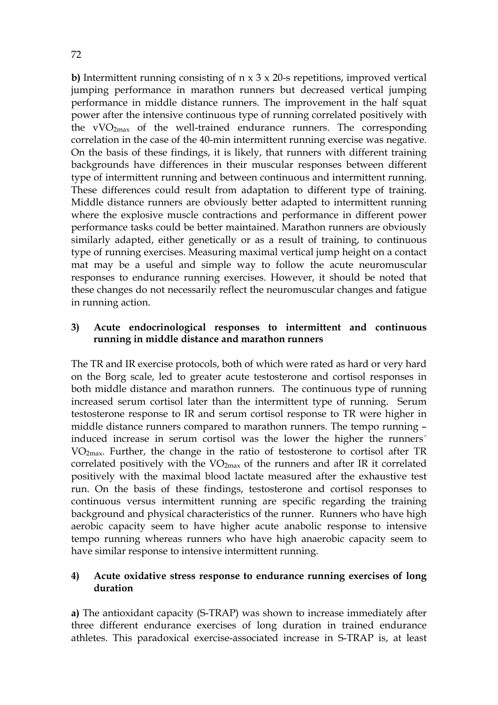**b)** Intermittent running consisting of n x 3 x 20-s repetitions, improved vertical jumping performance in marathon runners but decreased vertical jumping performance in middle distance runners. The improvement in the half squat power after the intensive continuous type of running correlated positively with the  $vVO<sub>2max</sub>$  of the well-trained endurance runners. The corresponding correlation in the case of the 40-min intermittent running exercise was negative. On the basis of these findings, it is likely, that runners with different training backgrounds have differences in their muscular responses between different type of intermittent running and between continuous and intermittent running. These differences could result from adaptation to different type of training. Middle distance runners are obviously better adapted to intermittent running where the explosive muscle contractions and performance in different power performance tasks could be better maintained. Marathon runners are obviously similarly adapted, either genetically or as a result of training, to continuous type of running exercises. Measuring maximal vertical jump height on a contact mat may be a useful and simple way to follow the acute neuromuscular responses to endurance running exercises. However, it should be noted that these changes do not necessarily reflect the neuromuscular changes and fatigue in running action.

## **3) Acute endocrinological responses to intermittent and continuous running in middle distance and marathon runners**

The TR and IR exercise protocols, both of which were rated as hard or very hard on the Borg scale, led to greater acute testosterone and cortisol responses in both middle distance and marathon runners. The continuous type of running increased serum cortisol later than the intermittent type of running. Serum testosterone response to IR and serum cortisol response to TR were higher in middle distance runners compared to marathon runners. The tempo running – induced increase in serum cortisol was the lower the higher the runners´ VO2max. Further, the change in the ratio of testosterone to cortisol after TR correlated positively with the  $VO_{2max}$  of the runners and after IR it correlated positively with the maximal blood lactate measured after the exhaustive test run. On the basis of these findings, testosterone and cortisol responses to continuous versus intermittent running are specific regarding the training background and physical characteristics of the runner. Runners who have high aerobic capacity seem to have higher acute anabolic response to intensive tempo running whereas runners who have high anaerobic capacity seem to have similar response to intensive intermittent running.

## **4) Acute oxidative stress response to endurance running exercises of long duration**

**a)** The antioxidant capacity (S-TRAP) was shown to increase immediately after three different endurance exercises of long duration in trained endurance athletes. This paradoxical exercise-associated increase in S-TRAP is, at least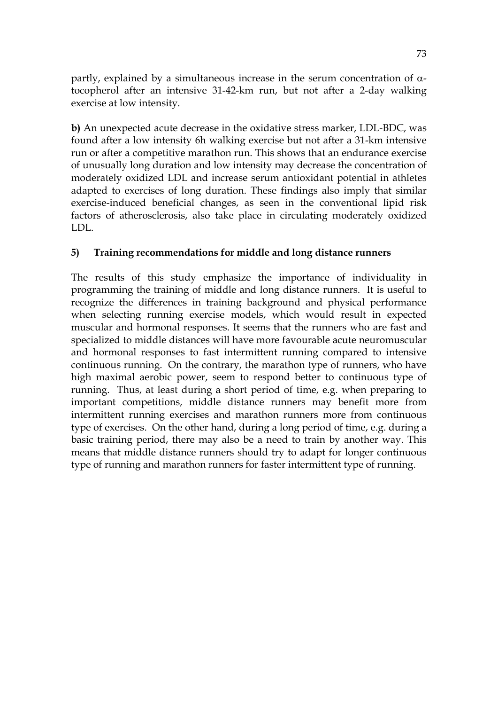partly, explained by a simultaneous increase in the serum concentration of  $\alpha$ tocopherol after an intensive 31-42-km run, but not after a 2-day walking exercise at low intensity.

**b)** An unexpected acute decrease in the oxidative stress marker, LDL-BDC, was found after a low intensity 6h walking exercise but not after a 31-km intensive run or after a competitive marathon run. This shows that an endurance exercise of unusually long duration and low intensity may decrease the concentration of moderately oxidized LDL and increase serum antioxidant potential in athletes adapted to exercises of long duration. These findings also imply that similar exercise-induced beneficial changes, as seen in the conventional lipid risk factors of atherosclerosis, also take place in circulating moderately oxidized LDL.

# **5) Training recommendations for middle and long distance runners**

The results of this study emphasize the importance of individuality in programming the training of middle and long distance runners. It is useful to recognize the differences in training background and physical performance when selecting running exercise models, which would result in expected muscular and hormonal responses. It seems that the runners who are fast and specialized to middle distances will have more favourable acute neuromuscular and hormonal responses to fast intermittent running compared to intensive continuous running. On the contrary, the marathon type of runners, who have high maximal aerobic power, seem to respond better to continuous type of running. Thus, at least during a short period of time, e.g. when preparing to important competitions, middle distance runners may benefit more from intermittent running exercises and marathon runners more from continuous type of exercises. On the other hand, during a long period of time, e.g. during a basic training period, there may also be a need to train by another way. This means that middle distance runners should try to adapt for longer continuous type of running and marathon runners for faster intermittent type of running.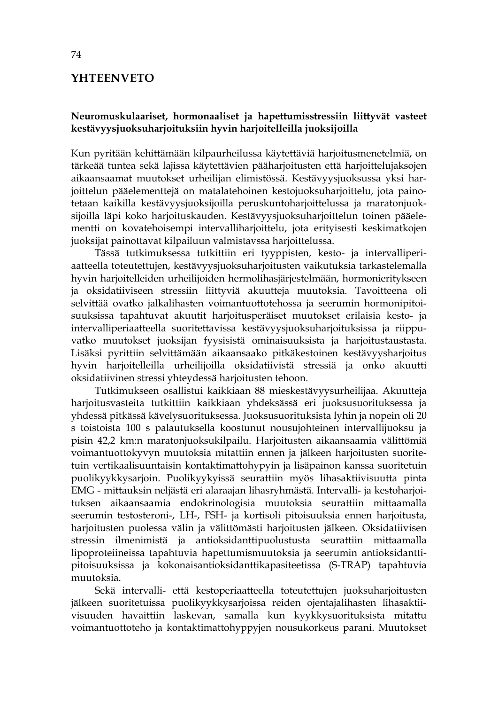# **YHTEENVETO**

#### **Neuromuskulaariset, hormonaaliset ja hapettumisstressiin liittyvät vasteet kestävyysjuoksuharjoituksiin hyvin harjoitelleilla juoksijoilla**

Kun pyritään kehittämään kilpaurheilussa käytettäviä harjoitusmenetelmiä, on tärkeää tuntea sekä lajissa käytettävien pääharjoitusten että harjoittelujaksojen aikaansaamat muutokset urheilijan elimistössä. Kestävyysjuoksussa yksi harjoittelun pääelementtejä on matalatehoinen kestojuoksuharjoittelu, jota painotetaan kaikilla kestävyysjuoksijoilla peruskuntoharjoittelussa ja maratonjuoksijoilla läpi koko harjoituskauden. Kestävyysjuoksuharjoittelun toinen pääelementti on kovatehoisempi intervalliharjoittelu, jota erityisesti keskimatkojen juoksijat painottavat kilpailuun valmistavssa harjoittelussa.

Tässä tutkimuksessa tutkittiin eri tyyppisten, kesto- ja intervalliperiaatteella toteutettujen, kestävyysjuoksuharjoitusten vaikutuksia tarkastelemalla hyvin harjoitelleiden urheilijoiden hermolihasjärjestelmään, hormonieritykseen ja oksidatiiviseen stressiin liittyviä akuutteja muutoksia. Tavoitteena oli selvittää ovatko jalkalihasten voimantuottotehossa ja seerumin hormonipitoisuuksissa tapahtuvat akuutit harjoitusperäiset muutokset erilaisia kesto- ja intervalliperiaatteella suoritettavissa kestävyysjuoksuharjoituksissa ja riippuvatko muutokset juoksijan fyysisistä ominaisuuksista ja harjoitustaustasta. Lisäksi pyrittiin selvittämään aikaansaako pitkäkestoinen kestävyysharjoitus hyvin harjoitelleilla urheilijoilla oksidatiivistä stressiä ja onko akuutti oksidatiivinen stressi yhteydessä harjoitusten tehoon.

Tutkimukseen osallistui kaikkiaan 88 mieskestävyysurheilijaa. Akuutteja harjoitusvasteita tutkittiin kaikkiaan yhdeksässä eri juoksusuorituksessa ja yhdessä pitkässä kävelysuorituksessa. Juoksusuorituksista lyhin ja nopein oli 20 s toistoista 100 s palautuksella koostunut nousujohteinen intervallijuoksu ja pisin 42,2 km:n maratonjuoksukilpailu. Harjoitusten aikaansaamia välittömiä voimantuottokyvyn muutoksia mitattiin ennen ja jälkeen harjoitusten suoritetuin vertikaalisuuntaisin kontaktimattohypyin ja lisäpainon kanssa suoritetuin puolikyykkysarjoin. Puolikyykyissä seurattiin myös lihasaktiivisuutta pinta EMG - mittauksin neljästä eri alaraajan lihasryhmästä. Intervalli- ja kestoharjoituksen aikaansaamia endokrinologisia muutoksia seurattiin mittaamalla seerumin testosteroni-, LH-, FSH- ja kortisoli pitoisuuksia ennen harjoitusta, harjoitusten puolessa välin ja välittömästi harjoitusten jälkeen. Oksidatiivisen stressin ilmenimistä ja antioksidanttipuolustusta seurattiin mittaamalla lipoproteiineissa tapahtuvia hapettumismuutoksia ja seerumin antioksidanttipitoisuuksissa ja kokonaisantioksidanttikapasiteetissa (S-TRAP) tapahtuvia muutoksia.

Sekä intervalli- että kestoperiaatteella toteutettujen juoksuharjoitusten jälkeen suoritetuissa puolikyykkysarjoissa reiden ojentajalihasten lihasaktiivisuuden havaittiin laskevan, samalla kun kyykkysuorituksista mitattu voimantuottoteho ja kontaktimattohyppyjen nousukorkeus parani. Muutokset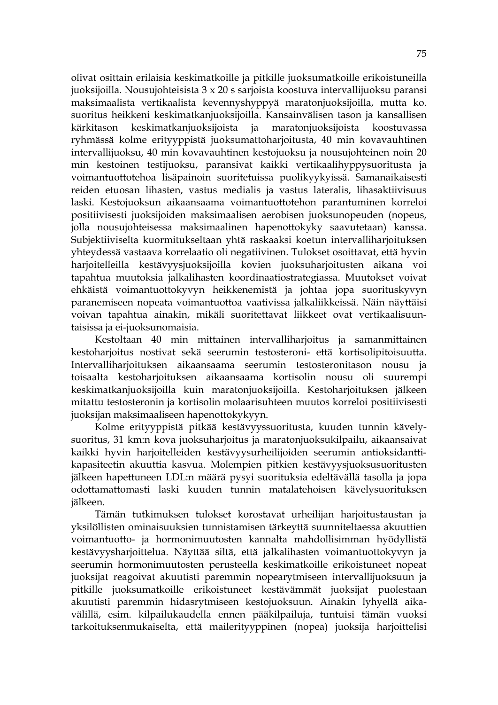olivat osittain erilaisia keskimatkoille ja pitkille juoksumatkoille erikoistuneilla juoksijoilla. Nousujohteisista 3 x 20 s sarjoista koostuva intervallijuoksu paransi maksimaalista vertikaalista kevennyshyppyä maratonjuoksijoilla, mutta ko. suoritus heikkeni keskimatkanjuoksijoilla. Kansainvälisen tason ja kansallisen kärkitason keskimatkanjuoksijoista ja maratonjuoksijoista koostuvassa ryhmässä kolme erityyppistä juoksumattoharjoitusta, 40 min kovavauhtinen intervallijuoksu, 40 min kovavauhtinen kestojuoksu ja nousujohteinen noin 20 min kestoinen testijuoksu, paransivat kaikki vertikaalihyppysuoritusta ja voimantuottotehoa lisäpainoin suoritetuissa puolikyykyissä. Samanaikaisesti reiden etuosan lihasten, vastus medialis ja vastus lateralis, lihasaktiivisuus laski. Kestojuoksun aikaansaama voimantuottotehon parantuminen korreloi positiivisesti juoksijoiden maksimaalisen aerobisen juoksunopeuden (nopeus, jolla nousujohteisessa maksimaalinen hapenottokyky saavutetaan) kanssa. Subjektiiviselta kuormitukseltaan yhtä raskaaksi koetun intervalliharjoituksen yhteydessä vastaava korrelaatio oli negatiivinen. Tulokset osoittavat, että hyvin harjoitelleilla kestävyysjuoksijoilla kovien juoksuharjoitusten aikana voi tapahtua muutoksia jalkalihasten koordinaatiostrategiassa. Muutokset voivat ehkäistä voimantuottokyvyn heikkenemistä ja johtaa jopa suorituskyvyn paranemiseen nopeata voimantuottoa vaativissa jalkaliikkeissä. Näin näyttäisi voivan tapahtua ainakin, mikäli suoritettavat liikkeet ovat vertikaalisuuntaisissa ja ei-juoksunomaisia.

Kestoltaan 40 min mittainen intervalliharjoitus ja samanmittainen kestoharjoitus nostivat sekä seerumin testosteroni- että kortisolipitoisuutta. Intervalliharjoituksen aikaansaama seerumin testosteronitason nousu ja toisaalta kestoharjoituksen aikaansaama kortisolin nousu oli suurempi keskimatkanjuoksijoilla kuin maratonjuoksijoilla. Kestoharjoituksen jälkeen mitattu testosteronin ja kortisolin molaarisuhteen muutos korreloi positiivisesti juoksijan maksimaaliseen hapenottokykyyn.

Kolme erityyppistä pitkää kestävyyssuoritusta, kuuden tunnin kävelysuoritus, 31 km:n kova juoksuharjoitus ja maratonjuoksukilpailu, aikaansaivat kaikki hyvin harjoitelleiden kestävyysurheilijoiden seerumin antioksidanttikapasiteetin akuuttia kasvua. Molempien pitkien kestävyysjuoksusuoritusten jälkeen hapettuneen LDL:n määrä pysyi suorituksia edeltävällä tasolla ja jopa odottamattomasti laski kuuden tunnin matalatehoisen kävelysuorituksen jälkeen.

Tämän tutkimuksen tulokset korostavat urheilijan harjoitustaustan ja yksilöllisten ominaisuuksien tunnistamisen tärkeyttä suunniteltaessa akuuttien voimantuotto- ja hormonimuutosten kannalta mahdollisimman hyödyllistä kestävyysharjoittelua. Näyttää siltä, että jalkalihasten voimantuottokyvyn ja seerumin hormonimuutosten perusteella keskimatkoille erikoistuneet nopeat juoksijat reagoivat akuutisti paremmin nopearytmiseen intervallijuoksuun ja pitkille juoksumatkoille erikoistuneet kestävämmät juoksijat puolestaan akuutisti paremmin hidasrytmiseen kestojuoksuun. Ainakin lyhyellä aikavälillä, esim. kilpailukaudella ennen pääkilpailuja, tuntuisi tämän vuoksi tarkoituksenmukaiselta, että mailerityyppinen (nopea) juoksija harjoittelisi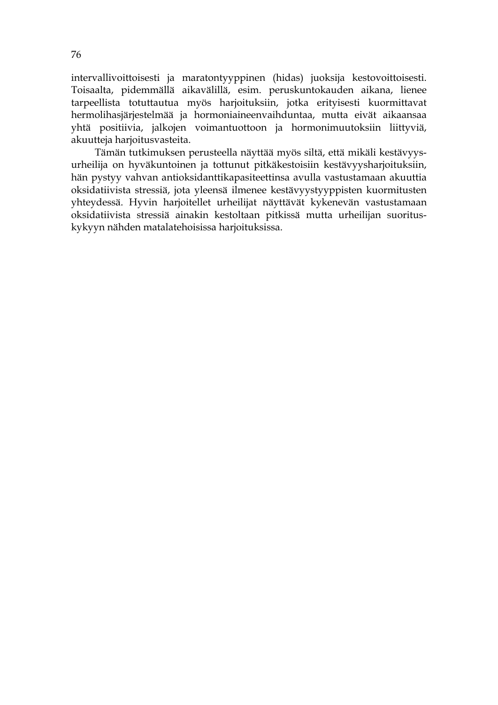intervallivoittoisesti ja maratontyyppinen (hidas) juoksija kestovoittoisesti. Toisaalta, pidemmällä aikavälillä, esim. peruskuntokauden aikana, lienee tarpeellista totuttautua myös harjoituksiin, jotka erityisesti kuormittavat hermolihasjärjestelmää ja hormoniaineenvaihduntaa, mutta eivät aikaansaa yhtä positiivia, jalkojen voimantuottoon ja hormonimuutoksiin liittyviä, akuutteja harjoitusvasteita.

Tämän tutkimuksen perusteella näyttää myös siltä, että mikäli kestävyysurheilija on hyväkuntoinen ja tottunut pitkäkestoisiin kestävyysharjoituksiin, hän pystyy vahvan antioksidanttikapasiteettinsa avulla vastustamaan akuuttia oksidatiivista stressiä, jota yleensä ilmenee kestävyystyyppisten kuormitusten yhteydessä. Hyvin harjoitellet urheilijat näyttävät kykenevän vastustamaan oksidatiivista stressiä ainakin kestoltaan pitkissä mutta urheilijan suorituskykyyn nähden matalatehoisissa harjoituksissa.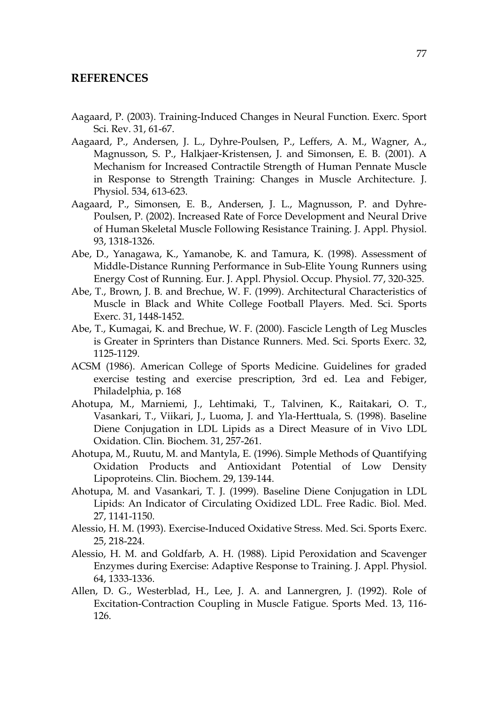## **REFERENCES**

- Aagaard, P. (2003). Training-Induced Changes in Neural Function. Exerc. Sport Sci. Rev. 31, 61-67.
- Aagaard, P., Andersen, J. L., Dyhre-Poulsen, P., Leffers, A. M., Wagner, A., Magnusson, S. P., Halkjaer-Kristensen, J. and Simonsen, E. B. (2001). A Mechanism for Increased Contractile Strength of Human Pennate Muscle in Response to Strength Training: Changes in Muscle Architecture. J. Physiol. 534, 613-623.
- Aagaard, P., Simonsen, E. B., Andersen, J. L., Magnusson, P. and Dyhre-Poulsen, P. (2002). Increased Rate of Force Development and Neural Drive of Human Skeletal Muscle Following Resistance Training. J. Appl. Physiol. 93, 1318-1326.
- Abe, D., Yanagawa, K., Yamanobe, K. and Tamura, K. (1998). Assessment of Middle-Distance Running Performance in Sub-Elite Young Runners using Energy Cost of Running. Eur. J. Appl. Physiol. Occup. Physiol. 77, 320-325.
- Abe, T., Brown, J. B. and Brechue, W. F. (1999). Architectural Characteristics of Muscle in Black and White College Football Players. Med. Sci. Sports Exerc. 31, 1448-1452.
- Abe, T., Kumagai, K. and Brechue, W. F. (2000). Fascicle Length of Leg Muscles is Greater in Sprinters than Distance Runners. Med. Sci. Sports Exerc. 32, 1125-1129.
- ACSM (1986). American College of Sports Medicine. Guidelines for graded exercise testing and exercise prescription, 3rd ed. Lea and Febiger, Philadelphia, p. 168
- Ahotupa, M., Marniemi, J., Lehtimaki, T., Talvinen, K., Raitakari, O. T., Vasankari, T., Viikari, J., Luoma, J. and Yla-Herttuala, S. (1998). Baseline Diene Conjugation in LDL Lipids as a Direct Measure of in Vivo LDL Oxidation. Clin. Biochem. 31, 257-261.
- Ahotupa, M., Ruutu, M. and Mantyla, E. (1996). Simple Methods of Quantifying Oxidation Products and Antioxidant Potential of Low Density Lipoproteins. Clin. Biochem. 29, 139-144.
- Ahotupa, M. and Vasankari, T. J. (1999). Baseline Diene Conjugation in LDL Lipids: An Indicator of Circulating Oxidized LDL. Free Radic. Biol. Med. 27, 1141-1150.
- Alessio, H. M. (1993). Exercise-Induced Oxidative Stress. Med. Sci. Sports Exerc. 25, 218-224.
- Alessio, H. M. and Goldfarb, A. H. (1988). Lipid Peroxidation and Scavenger Enzymes during Exercise: Adaptive Response to Training. J. Appl. Physiol. 64, 1333-1336.
- Allen, D. G., Westerblad, H., Lee, J. A. and Lannergren, J. (1992). Role of Excitation-Contraction Coupling in Muscle Fatigue. Sports Med. 13, 116- 126.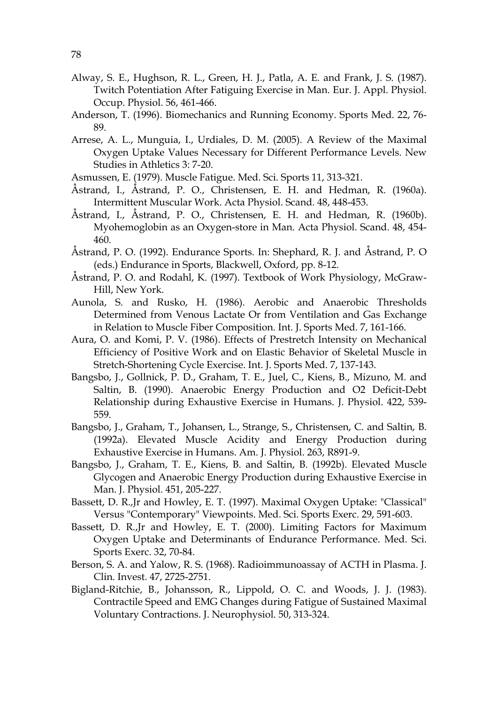- Alway, S. E., Hughson, R. L., Green, H. J., Patla, A. E. and Frank, J. S. (1987). Twitch Potentiation After Fatiguing Exercise in Man. Eur. J. Appl. Physiol. Occup. Physiol. 56, 461-466.
- Anderson, T. (1996). Biomechanics and Running Economy. Sports Med. 22, 76- 89.
- Arrese, A. L., Munguia, I., Urdiales, D. M. (2005). A Review of the Maximal Oxygen Uptake Values Necessary for Different Performance Levels. New Studies in Athletics 3: 7-20.
- Asmussen, E. (1979). Muscle Fatigue. Med. Sci. Sports 11, 313-321.
- Åstrand, I., Åstrand, P. O., Christensen, E. H. and Hedman, R. (1960a). Intermittent Muscular Work. Acta Physiol. Scand. 48, 448-453.
- Åstrand, I., Åstrand, P. O., Christensen, E. H. and Hedman, R. (1960b). Myohemoglobin as an Oxygen-store in Man. Acta Physiol. Scand. 48, 454- 460.
- Åstrand, P. O. (1992). Endurance Sports. In: Shephard, R. J. and Åstrand, P. O (eds.) Endurance in Sports, Blackwell, Oxford, pp. 8-12.
- Åstrand, P. O. and Rodahl, K. (1997). Textbook of Work Physiology, McGraw-Hill, New York.
- Aunola, S. and Rusko, H. (1986). Aerobic and Anaerobic Thresholds Determined from Venous Lactate Or from Ventilation and Gas Exchange in Relation to Muscle Fiber Composition. Int. J. Sports Med. 7, 161-166.
- Aura, O. and Komi, P. V. (1986). Effects of Prestretch Intensity on Mechanical Efficiency of Positive Work and on Elastic Behavior of Skeletal Muscle in Stretch-Shortening Cycle Exercise. Int. J. Sports Med. 7, 137-143.
- Bangsbo, J., Gollnick, P. D., Graham, T. E., Juel, C., Kiens, B., Mizuno, M. and Saltin, B. (1990). Anaerobic Energy Production and O2 Deficit-Debt Relationship during Exhaustive Exercise in Humans. J. Physiol. 422, 539- 559.
- Bangsbo, J., Graham, T., Johansen, L., Strange, S., Christensen, C. and Saltin, B. (1992a). Elevated Muscle Acidity and Energy Production during Exhaustive Exercise in Humans. Am. J. Physiol. 263, R891-9.
- Bangsbo, J., Graham, T. E., Kiens, B. and Saltin, B. (1992b). Elevated Muscle Glycogen and Anaerobic Energy Production during Exhaustive Exercise in Man. J. Physiol. 451, 205-227.
- Bassett, D. R.,Jr and Howley, E. T. (1997). Maximal Oxygen Uptake: "Classical" Versus "Contemporary" Viewpoints. Med. Sci. Sports Exerc. 29, 591-603.
- Bassett, D. R.,Jr and Howley, E. T. (2000). Limiting Factors for Maximum Oxygen Uptake and Determinants of Endurance Performance. Med. Sci. Sports Exerc. 32, 70-84.
- Berson, S. A. and Yalow, R. S. (1968). Radioimmunoassay of ACTH in Plasma. J. Clin. Invest. 47, 2725-2751.
- Bigland-Ritchie, B., Johansson, R., Lippold, O. C. and Woods, J. J. (1983). Contractile Speed and EMG Changes during Fatigue of Sustained Maximal Voluntary Contractions. J. Neurophysiol. 50, 313-324.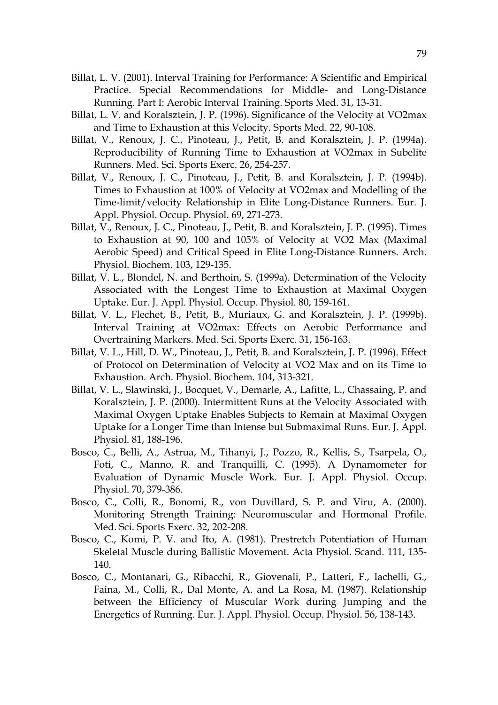- Billat, L. V. (2001). Interval Training for Performance: A Scientific and Empirical Practice. Special Recommendations for Middle- and Long-Distance Running. Part I: Aerobic Interval Training. Sports Med. 31, 13-31.
- Billat, L. V. and Koralsztein, J. P. (1996). Significance of the Velocity at VO2max and Time to Exhaustion at this Velocity. Sports Med. 22, 90-108.
- Billat, V., Renoux, J. C., Pinoteau, J., Petit, B. and Koralsztein, J. P. (1994a). Reproducibility of Running Time to Exhaustion at VO2max in Subelite Runners. Med. Sci. Sports Exerc. 26, 254-257.
- Billat, V., Renoux, J. C., Pinoteau, J., Petit, B. and Koralsztein, J. P. (1994b). Times to Exhaustion at 100% of Velocity at VO2max and Modelling of the Time-limit/velocity Relationship in Elite Long-Distance Runners. Eur. J. Appl. Physiol. Occup. Physiol. 69, 271-273.
- Billat, V., Renoux, J. C., Pinoteau, J., Petit, B. and Koralsztein, J. P. (1995). Times to Exhaustion at 90, 100 and 105% of Velocity at VO2 Max (Maximal Aerobic Speed) and Critical Speed in Elite Long-Distance Runners. Arch. Physiol. Biochem. 103, 129-135.
- Billat, V. L., Blondel, N. and Berthoin, S. (1999a). Determination of the Velocity Associated with the Longest Time to Exhaustion at Maximal Oxygen Uptake. Eur. J. Appl. Physiol. Occup. Physiol. 80, 159-161.
- Billat, V. L., Flechet, B., Petit, B., Muriaux, G. and Koralsztein, J. P. (1999b). Interval Training at VO2max: Effects on Aerobic Performance and Overtraining Markers. Med. Sci. Sports Exerc. 31, 156-163.
- Billat, V. L., Hill, D. W., Pinoteau, J., Petit, B. and Koralsztein, J. P. (1996). Effect of Protocol on Determination of Velocity at VO2 Max and on its Time to Exhaustion. Arch. Physiol. Biochem. 104, 313-321.
- Billat, V. L., Slawinski, J., Bocquet, V., Demarle, A., Lafitte, L., Chassaing, P. and Koralsztein, J. P. (2000). Intermittent Runs at the Velocity Associated with Maximal Oxygen Uptake Enables Subjects to Remain at Maximal Oxygen Uptake for a Longer Time than Intense but Submaximal Runs. Eur. J. Appl. Physiol. 81, 188-196.
- Bosco, C., Belli, A., Astrua, M., Tihanyi, J., Pozzo, R., Kellis, S., Tsarpela, O., Foti, C., Manno, R. and Tranquilli, C. (1995). A Dynamometer for Evaluation of Dynamic Muscle Work. Eur. J. Appl. Physiol. Occup. Physiol. 70, 379-386.
- Bosco, C., Colli, R., Bonomi, R., von Duvillard, S. P. and Viru, A. (2000). Monitoring Strength Training: Neuromuscular and Hormonal Profile. Med. Sci. Sports Exerc. 32, 202-208.
- Bosco, C., Komi, P. V. and Ito, A. (1981). Prestretch Potentiation of Human Skeletal Muscle during Ballistic Movement. Acta Physiol. Scand. 111, 135- 140.
- Bosco, C., Montanari, G., Ribacchi, R., Giovenali, P., Latteri, F., Iachelli, G., Faina, M., Colli, R., Dal Monte, A. and La Rosa, M. (1987). Relationship between the Efficiency of Muscular Work during Jumping and the Energetics of Running. Eur. J. Appl. Physiol. Occup. Physiol. 56, 138-143.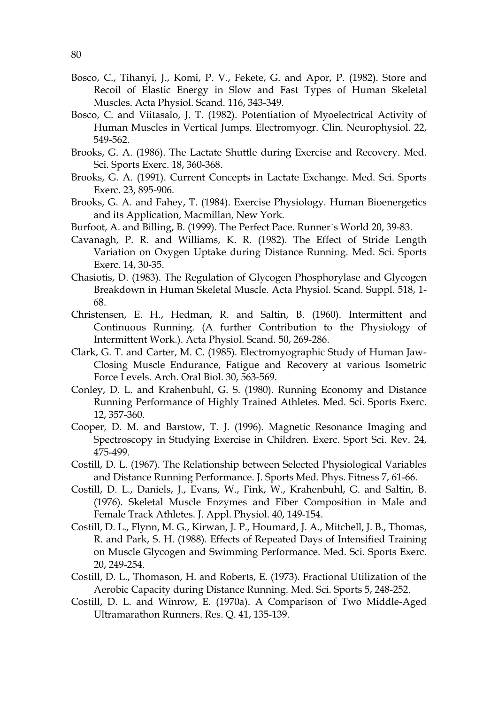- Bosco, C., Tihanyi, J., Komi, P. V., Fekete, G. and Apor, P. (1982). Store and Recoil of Elastic Energy in Slow and Fast Types of Human Skeletal Muscles. Acta Physiol. Scand. 116, 343-349.
- Bosco, C. and Viitasalo, J. T. (1982). Potentiation of Myoelectrical Activity of Human Muscles in Vertical Jumps. Electromyogr. Clin. Neurophysiol. 22, 549-562.
- Brooks, G. A. (1986). The Lactate Shuttle during Exercise and Recovery. Med. Sci. Sports Exerc. 18, 360-368.
- Brooks, G. A. (1991). Current Concepts in Lactate Exchange. Med. Sci. Sports Exerc. 23, 895-906.
- Brooks, G. A. and Fahey, T. (1984). Exercise Physiology. Human Bioenergetics and its Application, Macmillan, New York.
- Burfoot, A. and Billing, B. (1999). The Perfect Pace. Runner´s World 20, 39-83.
- Cavanagh, P. R. and Williams, K. R. (1982). The Effect of Stride Length Variation on Oxygen Uptake during Distance Running. Med. Sci. Sports Exerc. 14, 30-35.
- Chasiotis, D. (1983). The Regulation of Glycogen Phosphorylase and Glycogen Breakdown in Human Skeletal Muscle. Acta Physiol. Scand. Suppl. 518, 1- 68.
- Christensen, E. H., Hedman, R. and Saltin, B. (1960). Intermittent and Continuous Running. (A further Contribution to the Physiology of Intermittent Work.). Acta Physiol. Scand. 50, 269-286.
- Clark, G. T. and Carter, M. C. (1985). Electromyographic Study of Human Jaw-Closing Muscle Endurance, Fatigue and Recovery at various Isometric Force Levels. Arch. Oral Biol. 30, 563-569.
- Conley, D. L. and Krahenbuhl, G. S. (1980). Running Economy and Distance Running Performance of Highly Trained Athletes. Med. Sci. Sports Exerc. 12, 357-360.
- Cooper, D. M. and Barstow, T. J. (1996). Magnetic Resonance Imaging and Spectroscopy in Studying Exercise in Children. Exerc. Sport Sci. Rev. 24, 475-499.
- Costill, D. L. (1967). The Relationship between Selected Physiological Variables and Distance Running Performance. J. Sports Med. Phys. Fitness 7, 61-66.
- Costill, D. L., Daniels, J., Evans, W., Fink, W., Krahenbuhl, G. and Saltin, B. (1976). Skeletal Muscle Enzymes and Fiber Composition in Male and Female Track Athletes. J. Appl. Physiol. 40, 149-154.
- Costill, D. L., Flynn, M. G., Kirwan, J. P., Houmard, J. A., Mitchell, J. B., Thomas, R. and Park, S. H. (1988). Effects of Repeated Days of Intensified Training on Muscle Glycogen and Swimming Performance. Med. Sci. Sports Exerc. 20, 249-254.
- Costill, D. L., Thomason, H. and Roberts, E. (1973). Fractional Utilization of the Aerobic Capacity during Distance Running. Med. Sci. Sports 5, 248-252.
- Costill, D. L. and Winrow, E. (1970a). A Comparison of Two Middle-Aged Ultramarathon Runners. Res. Q. 41, 135-139.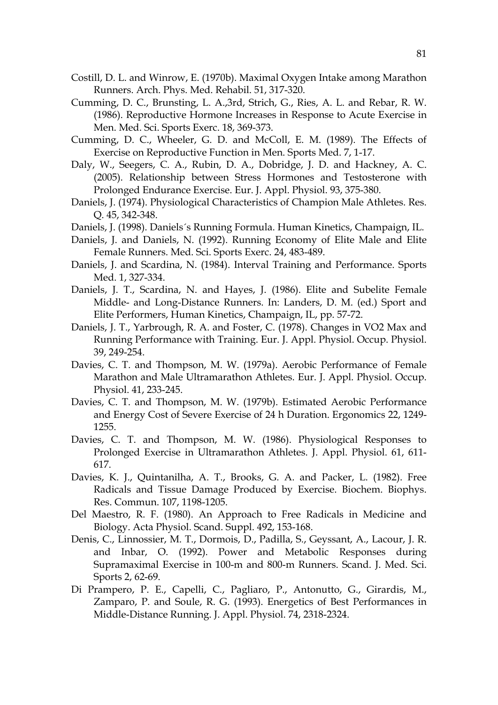- Costill, D. L. and Winrow, E. (1970b). Maximal Oxygen Intake among Marathon Runners. Arch. Phys. Med. Rehabil. 51, 317-320.
- Cumming, D. C., Brunsting, L. A.,3rd, Strich, G., Ries, A. L. and Rebar, R. W. (1986). Reproductive Hormone Increases in Response to Acute Exercise in Men. Med. Sci. Sports Exerc. 18, 369-373.
- Cumming, D. C., Wheeler, G. D. and McColl, E. M. (1989). The Effects of Exercise on Reproductive Function in Men. Sports Med. 7, 1-17.
- Daly, W., Seegers, C. A., Rubin, D. A., Dobridge, J. D. and Hackney, A. C. (2005). Relationship between Stress Hormones and Testosterone with Prolonged Endurance Exercise. Eur. J. Appl. Physiol. 93, 375-380.
- Daniels, J. (1974). Physiological Characteristics of Champion Male Athletes. Res. Q. 45, 342-348.
- Daniels, J. (1998). Daniels´s Running Formula. Human Kinetics, Champaign, IL.
- Daniels, J. and Daniels, N. (1992). Running Economy of Elite Male and Elite Female Runners. Med. Sci. Sports Exerc. 24, 483-489.
- Daniels, J. and Scardina, N. (1984). Interval Training and Performance. Sports Med. 1, 327-334.
- Daniels, J. T., Scardina, N. and Hayes, J. (1986). Elite and Subelite Female Middle- and Long-Distance Runners. In: Landers, D. M. (ed.) Sport and Elite Performers, Human Kinetics, Champaign, IL, pp. 57-72.
- Daniels, J. T., Yarbrough, R. A. and Foster, C. (1978). Changes in VO2 Max and Running Performance with Training. Eur. J. Appl. Physiol. Occup. Physiol. 39, 249-254.
- Davies, C. T. and Thompson, M. W. (1979a). Aerobic Performance of Female Marathon and Male Ultramarathon Athletes. Eur. J. Appl. Physiol. Occup. Physiol. 41, 233-245.
- Davies, C. T. and Thompson, M. W. (1979b). Estimated Aerobic Performance and Energy Cost of Severe Exercise of 24 h Duration. Ergonomics 22, 1249- 1255.
- Davies, C. T. and Thompson, M. W. (1986). Physiological Responses to Prolonged Exercise in Ultramarathon Athletes. J. Appl. Physiol. 61, 611- 617.
- Davies, K. J., Quintanilha, A. T., Brooks, G. A. and Packer, L. (1982). Free Radicals and Tissue Damage Produced by Exercise. Biochem. Biophys. Res. Commun. 107, 1198-1205.
- Del Maestro, R. F. (1980). An Approach to Free Radicals in Medicine and Biology. Acta Physiol. Scand. Suppl. 492, 153-168.
- Denis, C., Linnossier, M. T., Dormois, D., Padilla, S., Geyssant, A., Lacour, J. R. and Inbar, O. (1992). Power and Metabolic Responses during Supramaximal Exercise in 100-m and 800-m Runners. Scand. J. Med. Sci. Sports 2, 62-69.
- Di Prampero, P. E., Capelli, C., Pagliaro, P., Antonutto, G., Girardis, M., Zamparo, P. and Soule, R. G. (1993). Energetics of Best Performances in Middle-Distance Running. J. Appl. Physiol. 74, 2318-2324.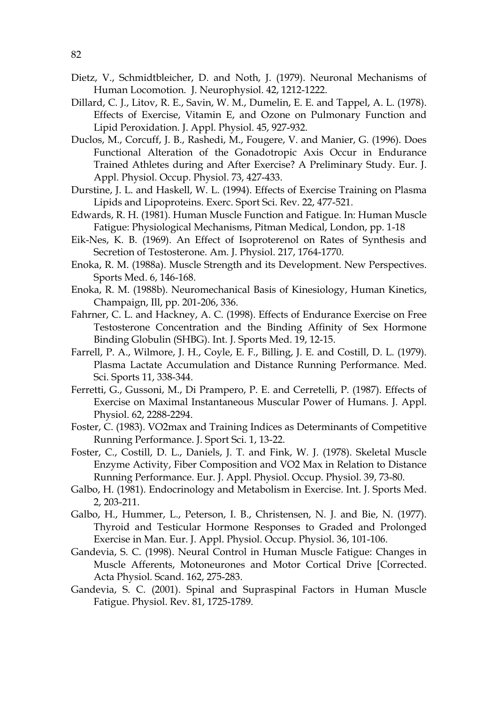- Dietz, V., Schmidtbleicher, D. and Noth, J. (1979). Neuronal Mechanisms of Human Locomotion. J. Neurophysiol. 42, 1212-1222.
- Dillard, C. J., Litov, R. E., Savin, W. M., Dumelin, E. E. and Tappel, A. L. (1978). Effects of Exercise, Vitamin E, and Ozone on Pulmonary Function and Lipid Peroxidation. J. Appl. Physiol. 45, 927-932.
- Duclos, M., Corcuff, J. B., Rashedi, M., Fougere, V. and Manier, G. (1996). Does Functional Alteration of the Gonadotropic Axis Occur in Endurance Trained Athletes during and After Exercise? A Preliminary Study. Eur. J. Appl. Physiol. Occup. Physiol. 73, 427-433.
- Durstine, J. L. and Haskell, W. L. (1994). Effects of Exercise Training on Plasma Lipids and Lipoproteins. Exerc. Sport Sci. Rev. 22, 477-521.
- Edwards, R. H. (1981). Human Muscle Function and Fatigue. In: Human Muscle Fatigue: Physiological Mechanisms, Pitman Medical, London, pp. 1-18
- Eik-Nes, K. B. (1969). An Effect of Isoproterenol on Rates of Synthesis and Secretion of Testosterone. Am. J. Physiol. 217, 1764-1770.
- Enoka, R. M. (1988a). Muscle Strength and its Development. New Perspectives. Sports Med. 6, 146-168.
- Enoka, R. M. (1988b). Neuromechanical Basis of Kinesiology, Human Kinetics, Champaign, Ill, pp. 201-206, 336.
- Fahrner, C. L. and Hackney, A. C. (1998). Effects of Endurance Exercise on Free Testosterone Concentration and the Binding Affinity of Sex Hormone Binding Globulin (SHBG). Int. J. Sports Med. 19, 12-15.
- Farrell, P. A., Wilmore, J. H., Coyle, E. F., Billing, J. E. and Costill, D. L. (1979). Plasma Lactate Accumulation and Distance Running Performance. Med. Sci. Sports 11, 338-344.
- Ferretti, G., Gussoni, M., Di Prampero, P. E. and Cerretelli, P. (1987). Effects of Exercise on Maximal Instantaneous Muscular Power of Humans. J. Appl. Physiol. 62, 2288-2294.
- Foster, C. (1983). VO2max and Training Indices as Determinants of Competitive Running Performance. J. Sport Sci. 1, 13-22.
- Foster, C., Costill, D. L., Daniels, J. T. and Fink, W. J. (1978). Skeletal Muscle Enzyme Activity, Fiber Composition and VO2 Max in Relation to Distance Running Performance. Eur. J. Appl. Physiol. Occup. Physiol. 39, 73-80.
- Galbo, H. (1981). Endocrinology and Metabolism in Exercise. Int. J. Sports Med. 2, 203-211.
- Galbo, H., Hummer, L., Peterson, I. B., Christensen, N. J. and Bie, N. (1977). Thyroid and Testicular Hormone Responses to Graded and Prolonged Exercise in Man. Eur. J. Appl. Physiol. Occup. Physiol. 36, 101-106.
- Gandevia, S. C. (1998). Neural Control in Human Muscle Fatigue: Changes in Muscle Afferents, Motoneurones and Motor Cortical Drive [Corrected. Acta Physiol. Scand. 162, 275-283.
- Gandevia, S. C. (2001). Spinal and Supraspinal Factors in Human Muscle Fatigue. Physiol. Rev. 81, 1725-1789.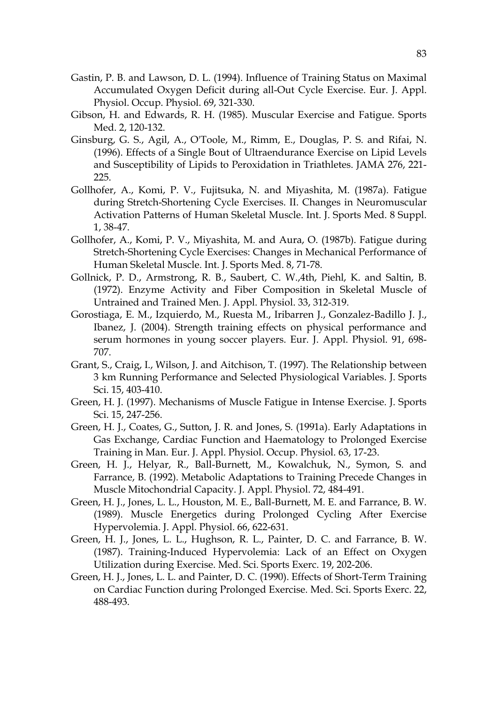- Gastin, P. B. and Lawson, D. L. (1994). Influence of Training Status on Maximal Accumulated Oxygen Deficit during all-Out Cycle Exercise. Eur. J. Appl. Physiol. Occup. Physiol. 69, 321-330.
- Gibson, H. and Edwards, R. H. (1985). Muscular Exercise and Fatigue. Sports Med. 2, 120-132.
- Ginsburg, G. S., Agil, A., O'Toole, M., Rimm, E., Douglas, P. S. and Rifai, N. (1996). Effects of a Single Bout of Ultraendurance Exercise on Lipid Levels and Susceptibility of Lipids to Peroxidation in Triathletes. JAMA 276, 221- 225.
- Gollhofer, A., Komi, P. V., Fujitsuka, N. and Miyashita, M. (1987a). Fatigue during Stretch-Shortening Cycle Exercises. II. Changes in Neuromuscular Activation Patterns of Human Skeletal Muscle. Int. J. Sports Med. 8 Suppl. 1, 38-47.
- Gollhofer, A., Komi, P. V., Miyashita, M. and Aura, O. (1987b). Fatigue during Stretch-Shortening Cycle Exercises: Changes in Mechanical Performance of Human Skeletal Muscle. Int. J. Sports Med. 8, 71-78.
- Gollnick, P. D., Armstrong, R. B., Saubert, C. W.,4th, Piehl, K. and Saltin, B. (1972). Enzyme Activity and Fiber Composition in Skeletal Muscle of Untrained and Trained Men. J. Appl. Physiol. 33, 312-319.
- Gorostiaga, E. M., Izquierdo, M., Ruesta M., Iribarren J., Gonzalez-Badillo J. J., Ibanez, J. (2004). Strength training effects on physical performance and serum hormones in young soccer players. Eur. J. Appl. Physiol. 91, 698- 707.
- Grant, S., Craig, I., Wilson, J. and Aitchison, T. (1997). The Relationship between 3 km Running Performance and Selected Physiological Variables. J. Sports Sci. 15, 403-410.
- Green, H. J. (1997). Mechanisms of Muscle Fatigue in Intense Exercise. J. Sports Sci. 15, 247-256.
- Green, H. J., Coates, G., Sutton, J. R. and Jones, S. (1991a). Early Adaptations in Gas Exchange, Cardiac Function and Haematology to Prolonged Exercise Training in Man. Eur. J. Appl. Physiol. Occup. Physiol. 63, 17-23.
- Green, H. J., Helyar, R., Ball-Burnett, M., Kowalchuk, N., Symon, S. and Farrance, B. (1992). Metabolic Adaptations to Training Precede Changes in Muscle Mitochondrial Capacity. J. Appl. Physiol. 72, 484-491.
- Green, H. J., Jones, L. L., Houston, M. E., Ball-Burnett, M. E. and Farrance, B. W. (1989). Muscle Energetics during Prolonged Cycling After Exercise Hypervolemia. J. Appl. Physiol. 66, 622-631.
- Green, H. J., Jones, L. L., Hughson, R. L., Painter, D. C. and Farrance, B. W. (1987). Training-Induced Hypervolemia: Lack of an Effect on Oxygen Utilization during Exercise. Med. Sci. Sports Exerc. 19, 202-206.
- Green, H. J., Jones, L. L. and Painter, D. C. (1990). Effects of Short-Term Training on Cardiac Function during Prolonged Exercise. Med. Sci. Sports Exerc. 22, 488-493.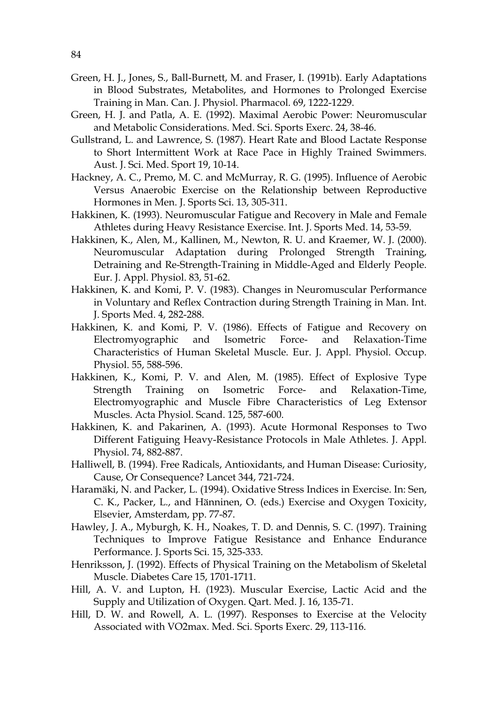- Green, H. J., Jones, S., Ball-Burnett, M. and Fraser, I. (1991b). Early Adaptations in Blood Substrates, Metabolites, and Hormones to Prolonged Exercise Training in Man. Can. J. Physiol. Pharmacol. 69, 1222-1229.
- Green, H. J. and Patla, A. E. (1992). Maximal Aerobic Power: Neuromuscular and Metabolic Considerations. Med. Sci. Sports Exerc. 24, 38-46.
- Gullstrand, L. and Lawrence, S. (1987). Heart Rate and Blood Lactate Response to Short Intermittent Work at Race Pace in Highly Trained Swimmers. Aust. J. Sci. Med. Sport 19, 10-14.
- Hackney, A. C., Premo, M. C. and McMurray, R. G. (1995). Influence of Aerobic Versus Anaerobic Exercise on the Relationship between Reproductive Hormones in Men. J. Sports Sci. 13, 305-311.
- Hakkinen, K. (1993). Neuromuscular Fatigue and Recovery in Male and Female Athletes during Heavy Resistance Exercise. Int. J. Sports Med. 14, 53-59.
- Hakkinen, K., Alen, M., Kallinen, M., Newton, R. U. and Kraemer, W. J. (2000). Neuromuscular Adaptation during Prolonged Strength Training, Detraining and Re-Strength-Training in Middle-Aged and Elderly People. Eur. J. Appl. Physiol. 83, 51-62.
- Hakkinen, K. and Komi, P. V. (1983). Changes in Neuromuscular Performance in Voluntary and Reflex Contraction during Strength Training in Man. Int. J. Sports Med. 4, 282-288.
- Hakkinen, K. and Komi, P. V. (1986). Effects of Fatigue and Recovery on Electromyographic and Isometric Force- and Relaxation-Time Characteristics of Human Skeletal Muscle. Eur. J. Appl. Physiol. Occup. Physiol. 55, 588-596.
- Hakkinen, K., Komi, P. V. and Alen, M. (1985). Effect of Explosive Type Strength Training on Isometric Force- and Relaxation-Time, Electromyographic and Muscle Fibre Characteristics of Leg Extensor Muscles. Acta Physiol. Scand. 125, 587-600.
- Hakkinen, K. and Pakarinen, A. (1993). Acute Hormonal Responses to Two Different Fatiguing Heavy-Resistance Protocols in Male Athletes. J. Appl. Physiol. 74, 882-887.
- Halliwell, B. (1994). Free Radicals, Antioxidants, and Human Disease: Curiosity, Cause, Or Consequence? Lancet 344, 721-724.
- Haramäki, N. and Packer, L. (1994). Oxidative Stress Indices in Exercise. In: Sen, C. K., Packer, L., and Hänninen, O. (eds.) Exercise and Oxygen Toxicity, Elsevier, Amsterdam, pp. 77-87.
- Hawley, J. A., Myburgh, K. H., Noakes, T. D. and Dennis, S. C. (1997). Training Techniques to Improve Fatigue Resistance and Enhance Endurance Performance. J. Sports Sci. 15, 325-333.
- Henriksson, J. (1992). Effects of Physical Training on the Metabolism of Skeletal Muscle. Diabetes Care 15, 1701-1711.
- Hill, A. V. and Lupton, H. (1923). Muscular Exercise, Lactic Acid and the Supply and Utilization of Oxygen. Qart. Med. J. 16, 135-71.
- Hill, D. W. and Rowell, A. L. (1997). Responses to Exercise at the Velocity Associated with VO2max. Med. Sci. Sports Exerc. 29, 113-116.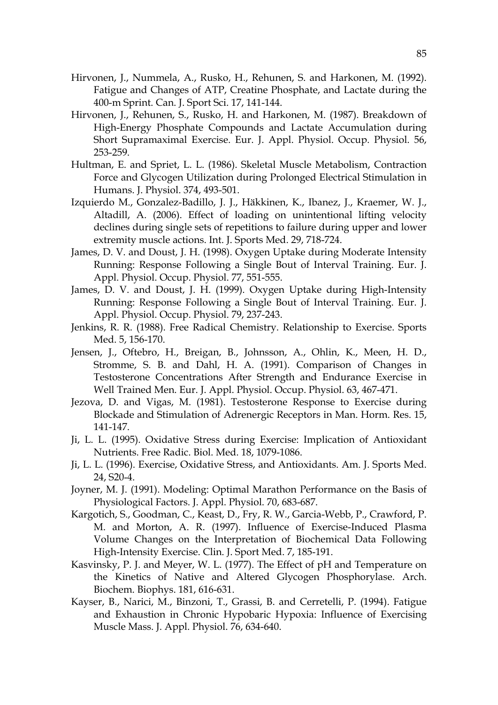- Hirvonen, J., Nummela, A., Rusko, H., Rehunen, S. and Harkonen, M. (1992). Fatigue and Changes of ATP, Creatine Phosphate, and Lactate during the 400-m Sprint. Can. J. Sport Sci. 17, 141-144.
- Hirvonen, J., Rehunen, S., Rusko, H. and Harkonen, M. (1987). Breakdown of High-Energy Phosphate Compounds and Lactate Accumulation during Short Supramaximal Exercise. Eur. J. Appl. Physiol. Occup. Physiol. 56, 253-259.
- Hultman, E. and Spriet, L. L. (1986). Skeletal Muscle Metabolism, Contraction Force and Glycogen Utilization during Prolonged Electrical Stimulation in Humans. J. Physiol. 374, 493-501.
- Izquierdo M., Gonzalez-Badillo, J. J., Häkkinen, K., Ibanez, J., Kraemer, W. J., Altadill, A. (2006). Effect of loading on unintentional lifting velocity declines during single sets of repetitions to failure during upper and lower extremity muscle actions. Int. J. Sports Med. 29, 718-724.
- James, D. V. and Doust, J. H. (1998). Oxygen Uptake during Moderate Intensity Running: Response Following a Single Bout of Interval Training. Eur. J. Appl. Physiol. Occup. Physiol. 77, 551-555.
- James, D. V. and Doust, J. H. (1999). Oxygen Uptake during High-Intensity Running: Response Following a Single Bout of Interval Training. Eur. J. Appl. Physiol. Occup. Physiol. 79, 237-243.
- Jenkins, R. R. (1988). Free Radical Chemistry. Relationship to Exercise. Sports Med. 5, 156-170.
- Jensen, J., Oftebro, H., Breigan, B., Johnsson, A., Ohlin, K., Meen, H. D., Stromme, S. B. and Dahl, H. A. (1991). Comparison of Changes in Testosterone Concentrations After Strength and Endurance Exercise in Well Trained Men. Eur. J. Appl. Physiol. Occup. Physiol. 63, 467-471.
- Jezova, D. and Vigas, M. (1981). Testosterone Response to Exercise during Blockade and Stimulation of Adrenergic Receptors in Man. Horm. Res. 15, 141-147.
- Ji, L. L. (1995). Oxidative Stress during Exercise: Implication of Antioxidant Nutrients. Free Radic. Biol. Med. 18, 1079-1086.
- Ji, L. L. (1996). Exercise, Oxidative Stress, and Antioxidants. Am. J. Sports Med. 24, S20-4.
- Joyner, M. J. (1991). Modeling: Optimal Marathon Performance on the Basis of Physiological Factors. J. Appl. Physiol. 70, 683-687.
- Kargotich, S., Goodman, C., Keast, D., Fry, R. W., Garcia-Webb, P., Crawford, P. M. and Morton, A. R. (1997). Influence of Exercise-Induced Plasma Volume Changes on the Interpretation of Biochemical Data Following High-Intensity Exercise. Clin. J. Sport Med. 7, 185-191.
- Kasvinsky, P. J. and Meyer, W. L. (1977). The Effect of pH and Temperature on the Kinetics of Native and Altered Glycogen Phosphorylase. Arch. Biochem. Biophys. 181, 616-631.
- Kayser, B., Narici, M., Binzoni, T., Grassi, B. and Cerretelli, P. (1994). Fatigue and Exhaustion in Chronic Hypobaric Hypoxia: Influence of Exercising Muscle Mass. J. Appl. Physiol. 76, 634-640.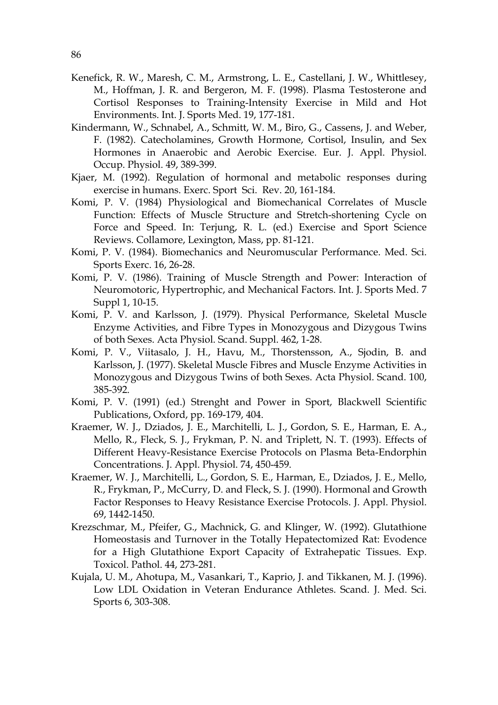- Kenefick, R. W., Maresh, C. M., Armstrong, L. E., Castellani, J. W., Whittlesey, M., Hoffman, J. R. and Bergeron, M. F. (1998). Plasma Testosterone and Cortisol Responses to Training-Intensity Exercise in Mild and Hot Environments. Int. J. Sports Med. 19, 177-181.
- Kindermann, W., Schnabel, A., Schmitt, W. M., Biro, G., Cassens, J. and Weber, F. (1982). Catecholamines, Growth Hormone, Cortisol, Insulin, and Sex Hormones in Anaerobic and Aerobic Exercise. Eur. J. Appl. Physiol. Occup. Physiol. 49, 389-399.
- Kjaer, M. (1992). Regulation of hormonal and metabolic responses during exercise in humans. Exerc. Sport Sci. Rev. 20, 161-184.
- Komi, P. V. (1984) Physiological and Biomechanical Correlates of Muscle Function: Effects of Muscle Structure and Stretch-shortening Cycle on Force and Speed. In: Terjung, R. L. (ed.) Exercise and Sport Science Reviews. Collamore, Lexington, Mass, pp. 81-121.
- Komi, P. V. (1984). Biomechanics and Neuromuscular Performance. Med. Sci. Sports Exerc. 16, 26-28.
- Komi, P. V. (1986). Training of Muscle Strength and Power: Interaction of Neuromotoric, Hypertrophic, and Mechanical Factors. Int. J. Sports Med. 7 Suppl 1, 10-15.
- Komi, P. V. and Karlsson, J. (1979). Physical Performance, Skeletal Muscle Enzyme Activities, and Fibre Types in Monozygous and Dizygous Twins of both Sexes. Acta Physiol. Scand. Suppl. 462, 1-28.
- Komi, P. V., Viitasalo, J. H., Havu, M., Thorstensson, A., Sjodin, B. and Karlsson, J. (1977). Skeletal Muscle Fibres and Muscle Enzyme Activities in Monozygous and Dizygous Twins of both Sexes. Acta Physiol. Scand. 100, 385-392.
- Komi, P. V. (1991) (ed.) Strenght and Power in Sport, Blackwell Scientific Publications, Oxford, pp. 169-179, 404.
- Kraemer, W. J., Dziados, J. E., Marchitelli, L. J., Gordon, S. E., Harman, E. A., Mello, R., Fleck, S. J., Frykman, P. N. and Triplett, N. T. (1993). Effects of Different Heavy-Resistance Exercise Protocols on Plasma Beta-Endorphin Concentrations. J. Appl. Physiol. 74, 450-459.
- Kraemer, W. J., Marchitelli, L., Gordon, S. E., Harman, E., Dziados, J. E., Mello, R., Frykman, P., McCurry, D. and Fleck, S. J. (1990). Hormonal and Growth Factor Responses to Heavy Resistance Exercise Protocols. J. Appl. Physiol. 69, 1442-1450.
- Krezschmar, M., Pfeifer, G., Machnick, G. and Klinger, W. (1992). Glutathione Homeostasis and Turnover in the Totally Hepatectomized Rat: Evodence for a High Glutathione Export Capacity of Extrahepatic Tissues. Exp. Toxicol. Pathol. 44, 273-281.
- Kujala, U. M., Ahotupa, M., Vasankari, T., Kaprio, J. and Tikkanen, M. J. (1996). Low LDL Oxidation in Veteran Endurance Athletes. Scand. J. Med. Sci. Sports 6, 303-308.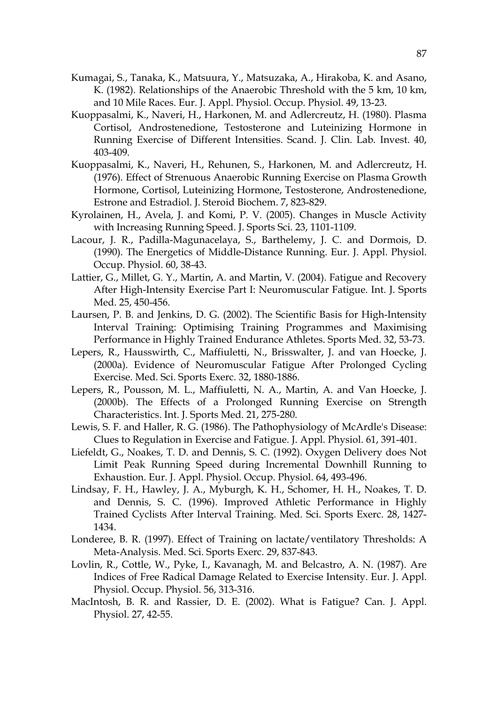- Kumagai, S., Tanaka, K., Matsuura, Y., Matsuzaka, A., Hirakoba, K. and Asano, K. (1982). Relationships of the Anaerobic Threshold with the 5 km, 10 km, and 10 Mile Races. Eur. J. Appl. Physiol. Occup. Physiol. 49, 13-23.
- Kuoppasalmi, K., Naveri, H., Harkonen, M. and Adlercreutz, H. (1980). Plasma Cortisol, Androstenedione, Testosterone and Luteinizing Hormone in Running Exercise of Different Intensities. Scand. J. Clin. Lab. Invest. 40, 403-409.
- Kuoppasalmi, K., Naveri, H., Rehunen, S., Harkonen, M. and Adlercreutz, H. (1976). Effect of Strenuous Anaerobic Running Exercise on Plasma Growth Hormone, Cortisol, Luteinizing Hormone, Testosterone, Androstenedione, Estrone and Estradiol. J. Steroid Biochem. 7, 823-829.
- Kyrolainen, H., Avela, J. and Komi, P. V. (2005). Changes in Muscle Activity with Increasing Running Speed. J. Sports Sci. 23, 1101-1109.
- Lacour, J. R., Padilla-Magunacelaya, S., Barthelemy, J. C. and Dormois, D. (1990). The Energetics of Middle-Distance Running. Eur. J. Appl. Physiol. Occup. Physiol. 60, 38-43.
- Lattier, G., Millet, G. Y., Martin, A. and Martin, V. (2004). Fatigue and Recovery After High-Intensity Exercise Part I: Neuromuscular Fatigue. Int. J. Sports Med. 25, 450-456.
- Laursen, P. B. and Jenkins, D. G. (2002). The Scientific Basis for High-Intensity Interval Training: Optimising Training Programmes and Maximising Performance in Highly Trained Endurance Athletes. Sports Med. 32, 53-73.
- Lepers, R., Hausswirth, C., Maffiuletti, N., Brisswalter, J. and van Hoecke, J. (2000a). Evidence of Neuromuscular Fatigue After Prolonged Cycling Exercise. Med. Sci. Sports Exerc. 32, 1880-1886.
- Lepers, R., Pousson, M. L., Maffiuletti, N. A., Martin, A. and Van Hoecke, J. (2000b). The Effects of a Prolonged Running Exercise on Strength Characteristics. Int. J. Sports Med. 21, 275-280.
- Lewis, S. F. and Haller, R. G. (1986). The Pathophysiology of McArdle's Disease: Clues to Regulation in Exercise and Fatigue. J. Appl. Physiol. 61, 391-401.
- Liefeldt, G., Noakes, T. D. and Dennis, S. C. (1992). Oxygen Delivery does Not Limit Peak Running Speed during Incremental Downhill Running to Exhaustion. Eur. J. Appl. Physiol. Occup. Physiol. 64, 493-496.
- Lindsay, F. H., Hawley, J. A., Myburgh, K. H., Schomer, H. H., Noakes, T. D. and Dennis, S. C. (1996). Improved Athletic Performance in Highly Trained Cyclists After Interval Training. Med. Sci. Sports Exerc. 28, 1427- 1434.
- Londeree, B. R. (1997). Effect of Training on lactate/ventilatory Thresholds: A Meta-Analysis. Med. Sci. Sports Exerc. 29, 837-843.
- Lovlin, R., Cottle, W., Pyke, I., Kavanagh, M. and Belcastro, A. N. (1987). Are Indices of Free Radical Damage Related to Exercise Intensity. Eur. J. Appl. Physiol. Occup. Physiol. 56, 313-316.
- MacIntosh, B. R. and Rassier, D. E. (2002). What is Fatigue? Can. J. Appl. Physiol. 27, 42-55.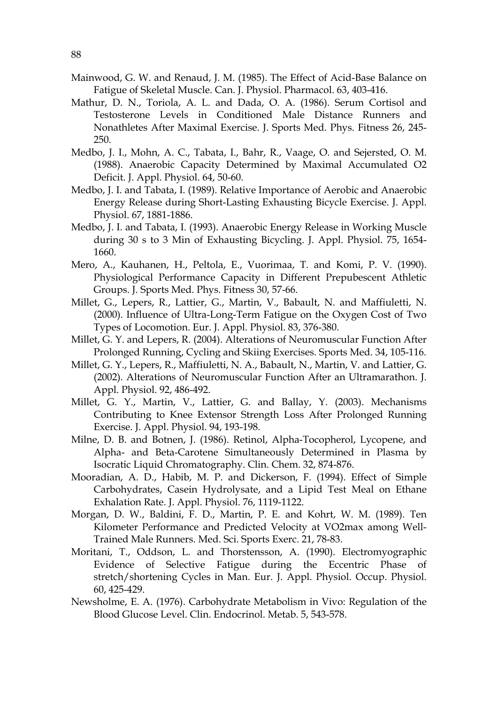- Mainwood, G. W. and Renaud, J. M. (1985). The Effect of Acid-Base Balance on Fatigue of Skeletal Muscle. Can. J. Physiol. Pharmacol. 63, 403-416.
- Mathur, D. N., Toriola, A. L. and Dada, O. A. (1986). Serum Cortisol and Testosterone Levels in Conditioned Male Distance Runners and Nonathletes After Maximal Exercise. J. Sports Med. Phys. Fitness 26, 245- 250.
- Medbo, J. I., Mohn, A. C., Tabata, I., Bahr, R., Vaage, O. and Sejersted, O. M. (1988). Anaerobic Capacity Determined by Maximal Accumulated O2 Deficit. J. Appl. Physiol. 64, 50-60.
- Medbo, J. I. and Tabata, I. (1989). Relative Importance of Aerobic and Anaerobic Energy Release during Short-Lasting Exhausting Bicycle Exercise. J. Appl. Physiol. 67, 1881-1886.
- Medbo, J. I. and Tabata, I. (1993). Anaerobic Energy Release in Working Muscle during 30 s to 3 Min of Exhausting Bicycling. J. Appl. Physiol. 75, 1654- 1660.
- Mero, A., Kauhanen, H., Peltola, E., Vuorimaa, T. and Komi, P. V. (1990). Physiological Performance Capacity in Different Prepubescent Athletic Groups. J. Sports Med. Phys. Fitness 30, 57-66.
- Millet, G., Lepers, R., Lattier, G., Martin, V., Babault, N. and Maffiuletti, N. (2000). Influence of Ultra-Long-Term Fatigue on the Oxygen Cost of Two Types of Locomotion. Eur. J. Appl. Physiol. 83, 376-380.
- Millet, G. Y. and Lepers, R. (2004). Alterations of Neuromuscular Function After Prolonged Running, Cycling and Skiing Exercises. Sports Med. 34, 105-116.
- Millet, G. Y., Lepers, R., Maffiuletti, N. A., Babault, N., Martin, V. and Lattier, G. (2002). Alterations of Neuromuscular Function After an Ultramarathon. J. Appl. Physiol. 92, 486-492.
- Millet, G. Y., Martin, V., Lattier, G. and Ballay, Y. (2003). Mechanisms Contributing to Knee Extensor Strength Loss After Prolonged Running Exercise. J. Appl. Physiol. 94, 193-198.
- Milne, D. B. and Botnen, J. (1986). Retinol, Alpha-Tocopherol, Lycopene, and Alpha- and Beta-Carotene Simultaneously Determined in Plasma by Isocratic Liquid Chromatography. Clin. Chem. 32, 874-876.
- Mooradian, A. D., Habib, M. P. and Dickerson, F. (1994). Effect of Simple Carbohydrates, Casein Hydrolysate, and a Lipid Test Meal on Ethane Exhalation Rate. J. Appl. Physiol. 76, 1119-1122.
- Morgan, D. W., Baldini, F. D., Martin, P. E. and Kohrt, W. M. (1989). Ten Kilometer Performance and Predicted Velocity at VO2max among Well-Trained Male Runners. Med. Sci. Sports Exerc. 21, 78-83.
- Moritani, T., Oddson, L. and Thorstensson, A. (1990). Electromyographic Evidence of Selective Fatigue during the Eccentric Phase of stretch/shortening Cycles in Man. Eur. J. Appl. Physiol. Occup. Physiol. 60, 425-429.
- Newsholme, E. A. (1976). Carbohydrate Metabolism in Vivo: Regulation of the Blood Glucose Level. Clin. Endocrinol. Metab. 5, 543-578.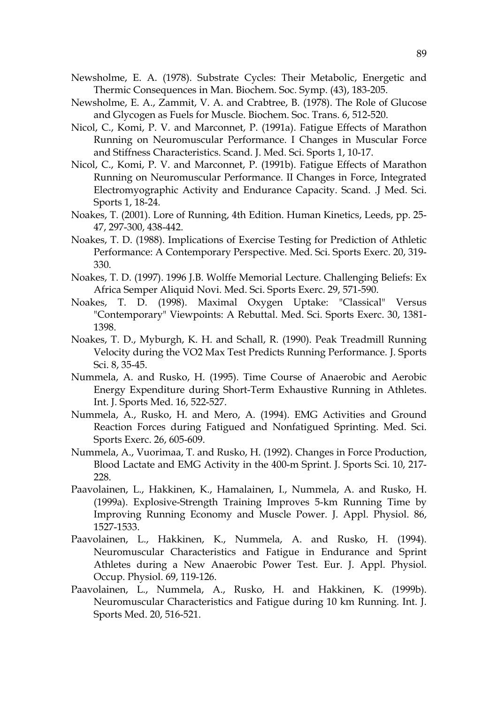- Newsholme, E. A. (1978). Substrate Cycles: Their Metabolic, Energetic and Thermic Consequences in Man. Biochem. Soc. Symp. (43), 183-205.
- Newsholme, E. A., Zammit, V. A. and Crabtree, B. (1978). The Role of Glucose and Glycogen as Fuels for Muscle. Biochem. Soc. Trans. 6, 512-520.
- Nicol, C., Komi, P. V. and Marconnet, P. (1991a). Fatigue Effects of Marathon Running on Neuromuscular Performance. I Changes in Muscular Force and Stiffness Characteristics. Scand. J. Med. Sci. Sports 1, 10-17.
- Nicol, C., Komi, P. V. and Marconnet, P. (1991b). Fatigue Effects of Marathon Running on Neuromuscular Performance. II Changes in Force, Integrated Electromyographic Activity and Endurance Capacity. Scand. .J Med. Sci. Sports 1, 18-24.
- Noakes, T. (2001). Lore of Running, 4th Edition. Human Kinetics, Leeds, pp. 25- 47, 297-300, 438-442.
- Noakes, T. D. (1988). Implications of Exercise Testing for Prediction of Athletic Performance: A Contemporary Perspective. Med. Sci. Sports Exerc. 20, 319- 330.
- Noakes, T. D. (1997). 1996 J.B. Wolffe Memorial Lecture. Challenging Beliefs: Ex Africa Semper Aliquid Novi. Med. Sci. Sports Exerc. 29, 571-590.
- Noakes, T. D. (1998). Maximal Oxygen Uptake: "Classical" Versus "Contemporary" Viewpoints: A Rebuttal. Med. Sci. Sports Exerc. 30, 1381- 1398.
- Noakes, T. D., Myburgh, K. H. and Schall, R. (1990). Peak Treadmill Running Velocity during the VO2 Max Test Predicts Running Performance. J. Sports Sci. 8, 35-45.
- Nummela, A. and Rusko, H. (1995). Time Course of Anaerobic and Aerobic Energy Expenditure during Short-Term Exhaustive Running in Athletes. Int. J. Sports Med. 16, 522-527.
- Nummela, A., Rusko, H. and Mero, A. (1994). EMG Activities and Ground Reaction Forces during Fatigued and Nonfatigued Sprinting. Med. Sci. Sports Exerc. 26, 605-609.
- Nummela, A., Vuorimaa, T. and Rusko, H. (1992). Changes in Force Production, Blood Lactate and EMG Activity in the 400-m Sprint. J. Sports Sci. 10, 217- 228.
- Paavolainen, L., Hakkinen, K., Hamalainen, I., Nummela, A. and Rusko, H. (1999a). Explosive-Strength Training Improves 5-km Running Time by Improving Running Economy and Muscle Power. J. Appl. Physiol. 86, 1527-1533.
- Paavolainen, L., Hakkinen, K., Nummela, A. and Rusko, H. (1994). Neuromuscular Characteristics and Fatigue in Endurance and Sprint Athletes during a New Anaerobic Power Test. Eur. J. Appl. Physiol. Occup. Physiol. 69, 119-126.
- Paavolainen, L., Nummela, A., Rusko, H. and Hakkinen, K. (1999b). Neuromuscular Characteristics and Fatigue during 10 km Running. Int. J. Sports Med. 20, 516-521.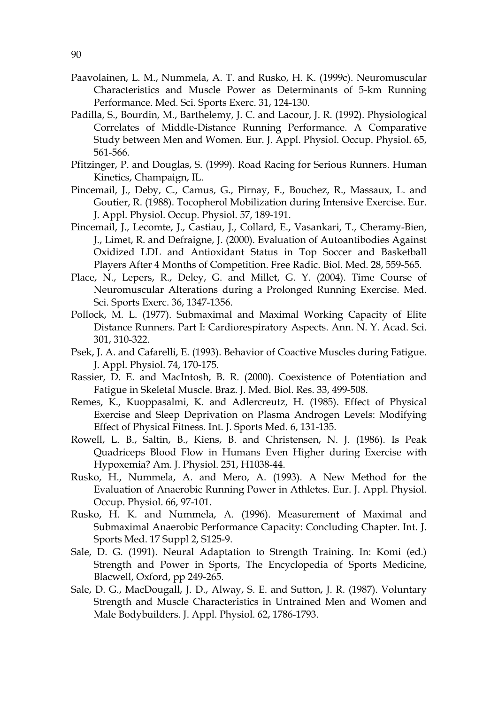- Paavolainen, L. M., Nummela, A. T. and Rusko, H. K. (1999c). Neuromuscular Characteristics and Muscle Power as Determinants of 5-km Running Performance. Med. Sci. Sports Exerc. 31, 124-130.
- Padilla, S., Bourdin, M., Barthelemy, J. C. and Lacour, J. R. (1992). Physiological Correlates of Middle-Distance Running Performance. A Comparative Study between Men and Women. Eur. J. Appl. Physiol. Occup. Physiol. 65, 561-566.
- Pfitzinger, P. and Douglas, S. (1999). Road Racing for Serious Runners. Human Kinetics, Champaign, IL.
- Pincemail, J., Deby, C., Camus, G., Pirnay, F., Bouchez, R., Massaux, L. and Goutier, R. (1988). Tocopherol Mobilization during Intensive Exercise. Eur. J. Appl. Physiol. Occup. Physiol. 57, 189-191.
- Pincemail, J., Lecomte, J., Castiau, J., Collard, E., Vasankari, T., Cheramy-Bien, J., Limet, R. and Defraigne, J. (2000). Evaluation of Autoantibodies Against Oxidized LDL and Antioxidant Status in Top Soccer and Basketball Players After 4 Months of Competition. Free Radic. Biol. Med. 28, 559-565.
- Place, N., Lepers, R., Deley, G. and Millet, G. Y. (2004). Time Course of Neuromuscular Alterations during a Prolonged Running Exercise. Med. Sci. Sports Exerc. 36, 1347-1356.
- Pollock, M. L. (1977). Submaximal and Maximal Working Capacity of Elite Distance Runners. Part I: Cardiorespiratory Aspects. Ann. N. Y. Acad. Sci. 301, 310-322.
- Psek, J. A. and Cafarelli, E. (1993). Behavior of Coactive Muscles during Fatigue. J. Appl. Physiol. 74, 170-175.
- Rassier, D. E. and MacIntosh, B. R. (2000). Coexistence of Potentiation and Fatigue in Skeletal Muscle. Braz. J. Med. Biol. Res. 33, 499-508.
- Remes, K., Kuoppasalmi, K. and Adlercreutz, H. (1985). Effect of Physical Exercise and Sleep Deprivation on Plasma Androgen Levels: Modifying Effect of Physical Fitness. Int. J. Sports Med. 6, 131-135.
- Rowell, L. B., Saltin, B., Kiens, B. and Christensen, N. J. (1986). Is Peak Quadriceps Blood Flow in Humans Even Higher during Exercise with Hypoxemia? Am. J. Physiol. 251, H1038-44.
- Rusko, H., Nummela, A. and Mero, A. (1993). A New Method for the Evaluation of Anaerobic Running Power in Athletes. Eur. J. Appl. Physiol. Occup. Physiol. 66, 97-101.
- Rusko, H. K. and Nummela, A. (1996). Measurement of Maximal and Submaximal Anaerobic Performance Capacity: Concluding Chapter. Int. J. Sports Med. 17 Suppl 2, S125-9.
- Sale, D. G. (1991). Neural Adaptation to Strength Training. In: Komi (ed.) Strength and Power in Sports, The Encyclopedia of Sports Medicine, Blacwell, Oxford, pp 249-265.
- Sale, D. G., MacDougall, J. D., Alway, S. E. and Sutton, J. R. (1987). Voluntary Strength and Muscle Characteristics in Untrained Men and Women and Male Bodybuilders. J. Appl. Physiol. 62, 1786-1793.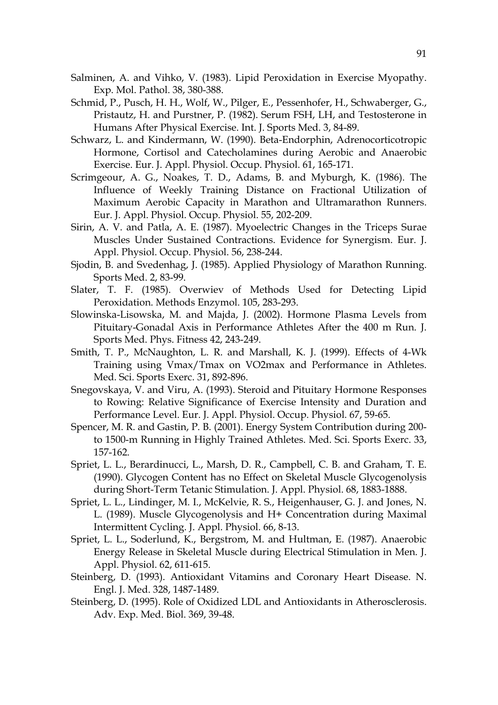- Salminen, A. and Vihko, V. (1983). Lipid Peroxidation in Exercise Myopathy. Exp. Mol. Pathol. 38, 380-388.
- Schmid, P., Pusch, H. H., Wolf, W., Pilger, E., Pessenhofer, H., Schwaberger, G., Pristautz, H. and Purstner, P. (1982). Serum FSH, LH, and Testosterone in Humans After Physical Exercise. Int. J. Sports Med. 3, 84-89.
- Schwarz, L. and Kindermann, W. (1990). Beta-Endorphin, Adrenocorticotropic Hormone, Cortisol and Catecholamines during Aerobic and Anaerobic Exercise. Eur. J. Appl. Physiol. Occup. Physiol. 61, 165-171.
- Scrimgeour, A. G., Noakes, T. D., Adams, B. and Myburgh, K. (1986). The Influence of Weekly Training Distance on Fractional Utilization of Maximum Aerobic Capacity in Marathon and Ultramarathon Runners. Eur. J. Appl. Physiol. Occup. Physiol. 55, 202-209.
- Sirin, A. V. and Patla, A. E. (1987). Myoelectric Changes in the Triceps Surae Muscles Under Sustained Contractions. Evidence for Synergism. Eur. J. Appl. Physiol. Occup. Physiol. 56, 238-244.
- Sjodin, B. and Svedenhag, J. (1985). Applied Physiology of Marathon Running. Sports Med. 2, 83-99.
- Slater, T. F. (1985). Overwiev of Methods Used for Detecting Lipid Peroxidation. Methods Enzymol. 105, 283-293.
- Slowinska-Lisowska, M. and Majda, J. (2002). Hormone Plasma Levels from Pituitary-Gonadal Axis in Performance Athletes After the 400 m Run. J. Sports Med. Phys. Fitness 42, 243-249.
- Smith, T. P., McNaughton, L. R. and Marshall, K. J. (1999). Effects of 4-Wk Training using Vmax/Tmax on VO2max and Performance in Athletes. Med. Sci. Sports Exerc. 31, 892-896.
- Snegovskaya, V. and Viru, A. (1993). Steroid and Pituitary Hormone Responses to Rowing: Relative Significance of Exercise Intensity and Duration and Performance Level. Eur. J. Appl. Physiol. Occup. Physiol. 67, 59-65.
- Spencer, M. R. and Gastin, P. B. (2001). Energy System Contribution during 200 to 1500-m Running in Highly Trained Athletes. Med. Sci. Sports Exerc. 33, 157-162.
- Spriet, L. L., Berardinucci, L., Marsh, D. R., Campbell, C. B. and Graham, T. E. (1990). Glycogen Content has no Effect on Skeletal Muscle Glycogenolysis during Short-Term Tetanic Stimulation. J. Appl. Physiol. 68, 1883-1888.
- Spriet, L. L., Lindinger, M. I., McKelvie, R. S., Heigenhauser, G. J. and Jones, N. L. (1989). Muscle Glycogenolysis and H+ Concentration during Maximal Intermittent Cycling. J. Appl. Physiol. 66, 8-13.
- Spriet, L. L., Soderlund, K., Bergstrom, M. and Hultman, E. (1987). Anaerobic Energy Release in Skeletal Muscle during Electrical Stimulation in Men. J. Appl. Physiol. 62, 611-615.
- Steinberg, D. (1993). Antioxidant Vitamins and Coronary Heart Disease. N. Engl. J. Med. 328, 1487-1489.
- Steinberg, D. (1995). Role of Oxidized LDL and Antioxidants in Atherosclerosis. Adv. Exp. Med. Biol. 369, 39-48.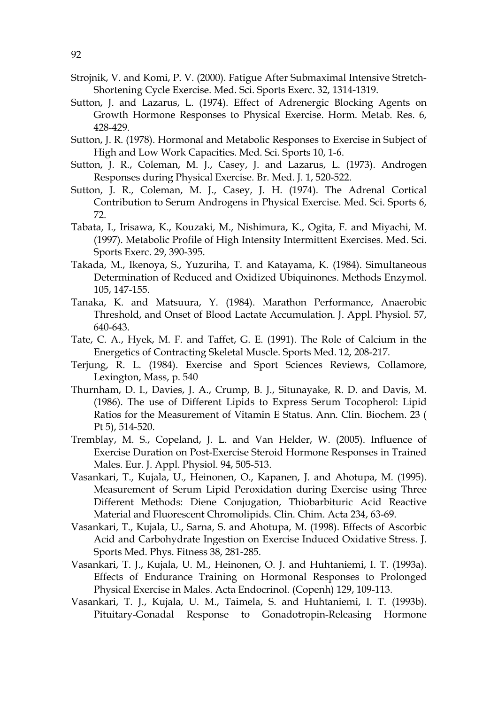- Strojnik, V. and Komi, P. V. (2000). Fatigue After Submaximal Intensive Stretch-Shortening Cycle Exercise. Med. Sci. Sports Exerc. 32, 1314-1319.
- Sutton, J. and Lazarus, L. (1974). Effect of Adrenergic Blocking Agents on Growth Hormone Responses to Physical Exercise. Horm. Metab. Res. 6, 428-429.
- Sutton, J. R. (1978). Hormonal and Metabolic Responses to Exercise in Subject of High and Low Work Capacities. Med. Sci. Sports 10, 1-6.
- Sutton, J. R., Coleman, M. J., Casey, J. and Lazarus, L. (1973). Androgen Responses during Physical Exercise. Br. Med. J. 1, 520-522.
- Sutton, J. R., Coleman, M. J., Casey, J. H. (1974). The Adrenal Cortical Contribution to Serum Androgens in Physical Exercise. Med. Sci. Sports 6, 72.
- Tabata, I., Irisawa, K., Kouzaki, M., Nishimura, K., Ogita, F. and Miyachi, M. (1997). Metabolic Profile of High Intensity Intermittent Exercises. Med. Sci. Sports Exerc. 29, 390-395.
- Takada, M., Ikenoya, S., Yuzuriha, T. and Katayama, K. (1984). Simultaneous Determination of Reduced and Oxidized Ubiquinones. Methods Enzymol. 105, 147-155.
- Tanaka, K. and Matsuura, Y. (1984). Marathon Performance, Anaerobic Threshold, and Onset of Blood Lactate Accumulation. J. Appl. Physiol. 57, 640-643.
- Tate, C. A., Hyek, M. F. and Taffet, G. E. (1991). The Role of Calcium in the Energetics of Contracting Skeletal Muscle. Sports Med. 12, 208-217.
- Terjung, R. L. (1984). Exercise and Sport Sciences Reviews, Collamore, Lexington, Mass, p. 540
- Thurnham, D. I., Davies, J. A., Crump, B. J., Situnayake, R. D. and Davis, M. (1986). The use of Different Lipids to Express Serum Tocopherol: Lipid Ratios for the Measurement of Vitamin E Status. Ann. Clin. Biochem. 23 ( Pt 5), 514-520.
- Tremblay, M. S., Copeland, J. L. and Van Helder, W. (2005). Influence of Exercise Duration on Post-Exercise Steroid Hormone Responses in Trained Males. Eur. J. Appl. Physiol. 94, 505-513.
- Vasankari, T., Kujala, U., Heinonen, O., Kapanen, J. and Ahotupa, M. (1995). Measurement of Serum Lipid Peroxidation during Exercise using Three Different Methods: Diene Conjugation, Thiobarbituric Acid Reactive Material and Fluorescent Chromolipids. Clin. Chim. Acta 234, 63-69.
- Vasankari, T., Kujala, U., Sarna, S. and Ahotupa, M. (1998). Effects of Ascorbic Acid and Carbohydrate Ingestion on Exercise Induced Oxidative Stress. J. Sports Med. Phys. Fitness 38, 281-285.
- Vasankari, T. J., Kujala, U. M., Heinonen, O. J. and Huhtaniemi, I. T. (1993a). Effects of Endurance Training on Hormonal Responses to Prolonged Physical Exercise in Males. Acta Endocrinol. (Copenh) 129, 109-113.
- Vasankari, T. J., Kujala, U. M., Taimela, S. and Huhtaniemi, I. T. (1993b). Pituitary-Gonadal Response to Gonadotropin-Releasing Hormone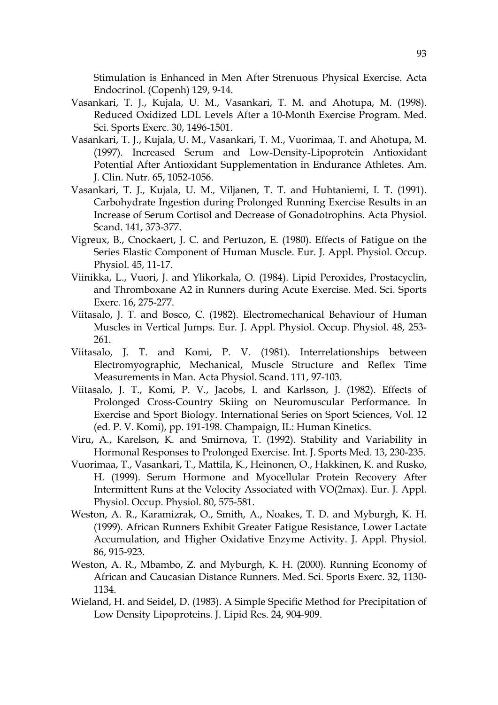Stimulation is Enhanced in Men After Strenuous Physical Exercise. Acta Endocrinol. (Copenh) 129, 9-14.

- Vasankari, T. J., Kujala, U. M., Vasankari, T. M. and Ahotupa, M. (1998). Reduced Oxidized LDL Levels After a 10-Month Exercise Program. Med. Sci. Sports Exerc. 30, 1496-1501.
- Vasankari, T. J., Kujala, U. M., Vasankari, T. M., Vuorimaa, T. and Ahotupa, M. (1997). Increased Serum and Low-Density-Lipoprotein Antioxidant Potential After Antioxidant Supplementation in Endurance Athletes. Am. J. Clin. Nutr. 65, 1052-1056.
- Vasankari, T. J., Kujala, U. M., Viljanen, T. T. and Huhtaniemi, I. T. (1991). Carbohydrate Ingestion during Prolonged Running Exercise Results in an Increase of Serum Cortisol and Decrease of Gonadotrophins. Acta Physiol. Scand. 141, 373-377.
- Vigreux, B., Cnockaert, J. C. and Pertuzon, E. (1980). Effects of Fatigue on the Series Elastic Component of Human Muscle. Eur. J. Appl. Physiol. Occup. Physiol. 45, 11-17.
- Viinikka, L., Vuori, J. and Ylikorkala, O. (1984). Lipid Peroxides, Prostacyclin, and Thromboxane A2 in Runners during Acute Exercise. Med. Sci. Sports Exerc. 16, 275-277.
- Viitasalo, J. T. and Bosco, C. (1982). Electromechanical Behaviour of Human Muscles in Vertical Jumps. Eur. J. Appl. Physiol. Occup. Physiol. 48, 253- 261.
- Viitasalo, J. T. and Komi, P. V. (1981). Interrelationships between Electromyographic, Mechanical, Muscle Structure and Reflex Time Measurements in Man. Acta Physiol. Scand. 111, 97-103.
- Viitasalo, J. T., Komi, P. V., Jacobs, I. and Karlsson, J. (1982). Effects of Prolonged Cross-Country Skiing on Neuromuscular Performance. In Exercise and Sport Biology. International Series on Sport Sciences, Vol. 12 (ed. P. V. Komi), pp. 191-198. Champaign, IL: Human Kinetics.
- Viru, A., Karelson, K. and Smirnova, T. (1992). Stability and Variability in Hormonal Responses to Prolonged Exercise. Int. J. Sports Med. 13, 230-235.
- Vuorimaa, T., Vasankari, T., Mattila, K., Heinonen, O., Hakkinen, K. and Rusko, H. (1999). Serum Hormone and Myocellular Protein Recovery After Intermittent Runs at the Velocity Associated with VO(2max). Eur. J. Appl. Physiol. Occup. Physiol. 80, 575-581.
- Weston, A. R., Karamizrak, O., Smith, A., Noakes, T. D. and Myburgh, K. H. (1999). African Runners Exhibit Greater Fatigue Resistance, Lower Lactate Accumulation, and Higher Oxidative Enzyme Activity. J. Appl. Physiol. 86, 915-923.
- Weston, A. R., Mbambo, Z. and Myburgh, K. H. (2000). Running Economy of African and Caucasian Distance Runners. Med. Sci. Sports Exerc. 32, 1130- 1134.
- Wieland, H. and Seidel, D. (1983). A Simple Specific Method for Precipitation of Low Density Lipoproteins. J. Lipid Res. 24, 904-909.